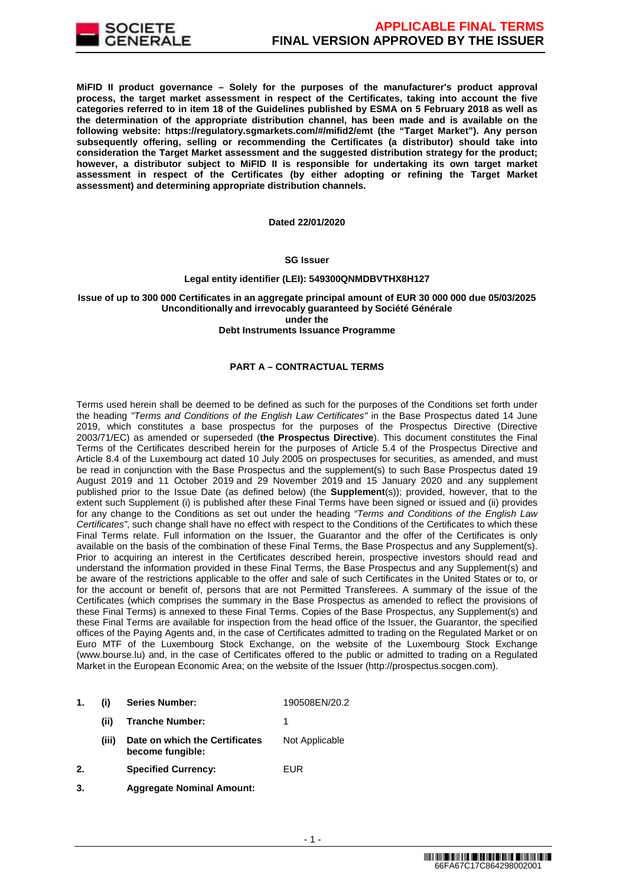

**MiFID II product governance – Solely for the purposes of the manufacturer's product approval process, the target market assessment in respect of the Certificates, taking into account the five categories referred to in item 18 of the Guidelines published by ESMA on 5 February 2018 as well as the determination of the appropriate distribution channel, has been made and is available on the following website: https://regulatory.sgmarkets.com/#/mifid2/emt (the "Target Market"). Any person subsequently offering, selling or recommending the Certificates (a distributor) should take into consideration the Target Market assessment and the suggested distribution strategy for the product; however, a distributor subject to MiFID II is responsible for undertaking its own target market assessment in respect of the Certificates (by either adopting or refining the Target Market assessment) and determining appropriate distribution channels.**

#### **Dated 22/01/2020**

#### **SG Issuer**

#### **Legal entity identifier (LEI): 549300QNMDBVTHX8H127**

## **Issue of up to 300 000 Certificates in an aggregate principal amount of EUR 30 000 000 due 05/03/2025 Unconditionally and irrevocably guaranteed by Société Générale under the**

#### **Debt Instruments Issuance Programme**

# **PART A – CONTRACTUAL TERMS**

Terms used herein shall be deemed to be defined as such for the purposes of the Conditions set forth under the heading "Terms and Conditions of the English Law Certificates" in the Base Prospectus dated 14 June 2019, which constitutes a base prospectus for the purposes of the Prospectus Directive (Directive 2003/71/EC) as amended or superseded (**the Prospectus Directive**). This document constitutes the Final Terms of the Certificates described herein for the purposes of Article 5.4 of the Prospectus Directive and Article 8.4 of the Luxembourg act dated 10 July 2005 on prospectuses for securities, as amended, and must be read in conjunction with the Base Prospectus and the supplement(s) to such Base Prospectus dated 19 August 2019 and 11 October 2019 and 29 November 2019 and 15 January 2020 and any supplement published prior to the Issue Date (as defined below) (the **Supplement**(s)); provided, however, that to the extent such Supplement (i) is published after these Final Terms have been signed or issued and (ii) provides for any change to the Conditions as set out under the heading "Terms and Conditions of the English Law Certificates", such change shall have no effect with respect to the Conditions of the Certificates to which these Final Terms relate. Full information on the Issuer, the Guarantor and the offer of the Certificates is only available on the basis of the combination of these Final Terms, the Base Prospectus and any Supplement(s). Prior to acquiring an interest in the Certificates described herein, prospective investors should read and understand the information provided in these Final Terms, the Base Prospectus and any Supplement(s) and be aware of the restrictions applicable to the offer and sale of such Certificates in the United States or to, or for the account or benefit of, persons that are not Permitted Transferees. A summary of the issue of the Certificates (which comprises the summary in the Base Prospectus as amended to reflect the provisions of these Final Terms) is annexed to these Final Terms. Copies of the Base Prospectus, any Supplement(s) and these Final Terms are available for inspection from the head office of the Issuer, the Guarantor, the specified offices of the Paying Agents and, in the case of Certificates admitted to trading on the Regulated Market or on Euro MTF of the Luxembourg Stock Exchange, on the website of the Luxembourg Stock Exchange (www.bourse.lu) and, in the case of Certificates offered to the public or admitted to trading on a Regulated Market in the European Economic Area; on the website of the Issuer (http://prospectus.socgen.com).

- **1. (i) Series Number:** 190508EN/20.2 **(ii) Tranche Number:** 1 **(iii) Date on which the Certificates become fungible:** Not Applicable **2. Specified Currency:** EUR
- **3. Aggregate Nominal Amount:**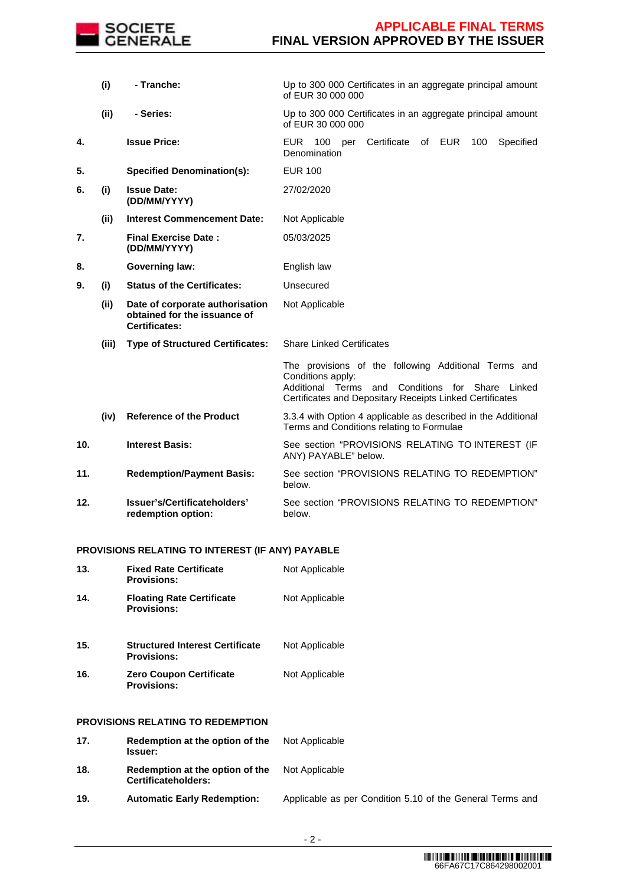

|     | (i)   | - Tranche:                                                                              | Up to 300 000 Certificates in an aggregate principal amount<br>of EUR 30 000 000                                                                                                                |  |  |  |  |
|-----|-------|-----------------------------------------------------------------------------------------|-------------------------------------------------------------------------------------------------------------------------------------------------------------------------------------------------|--|--|--|--|
|     | (ii)  | - Series:                                                                               | Up to 300 000 Certificates in an aggregate principal amount<br>of EUR 30 000 000                                                                                                                |  |  |  |  |
| 4.  |       | <b>Issue Price:</b>                                                                     | Certificate<br>of EUR<br>Specified<br>EUR.<br>100<br>100<br>per<br>Denomination                                                                                                                 |  |  |  |  |
| 5.  |       | <b>Specified Denomination(s):</b>                                                       | EUR 100                                                                                                                                                                                         |  |  |  |  |
| 6.  | (i)   | <b>Issue Date:</b><br>(DD/MM/YYYY)                                                      | 27/02/2020                                                                                                                                                                                      |  |  |  |  |
|     | (ii)  | <b>Interest Commencement Date:</b>                                                      | Not Applicable                                                                                                                                                                                  |  |  |  |  |
| 7.  |       | <b>Final Exercise Date:</b><br>(DD/MM/YYYY)                                             | 05/03/2025                                                                                                                                                                                      |  |  |  |  |
| 8.  |       | <b>Governing law:</b>                                                                   | English law                                                                                                                                                                                     |  |  |  |  |
| 9.  | (i)   | <b>Status of the Certificates:</b>                                                      | Unsecured                                                                                                                                                                                       |  |  |  |  |
|     | (ii)  | Date of corporate authorisation<br>obtained for the issuance of<br><b>Certificates:</b> | Not Applicable                                                                                                                                                                                  |  |  |  |  |
|     | (iii) | <b>Type of Structured Certificates:</b>                                                 | <b>Share Linked Certificates</b>                                                                                                                                                                |  |  |  |  |
|     |       |                                                                                         | The provisions of the following Additional Terms and<br>Conditions apply:<br>Additional Terms<br>and Conditions for Share<br>Linked<br>Certificates and Depositary Receipts Linked Certificates |  |  |  |  |
|     | (iv)  | <b>Reference of the Product</b>                                                         | 3.3.4 with Option 4 applicable as described in the Additional<br>Terms and Conditions relating to Formulae                                                                                      |  |  |  |  |
| 10. |       | <b>Interest Basis:</b>                                                                  | See section "PROVISIONS RELATING TO INTEREST (IF<br>ANY) PAYABLE" below.                                                                                                                        |  |  |  |  |
| 11. |       | <b>Redemption/Payment Basis:</b>                                                        | See section "PROVISIONS RELATING TO REDEMPTION"<br>below.                                                                                                                                       |  |  |  |  |
| 12. |       | Issuer's/Certificateholders'<br>redemption option:                                      | See section "PROVISIONS RELATING TO REDEMPTION"<br>below.                                                                                                                                       |  |  |  |  |

# **PROVISIONS RELATING TO INTEREST (IF ANY) PAYABLE**

| 13. | <b>Fixed Rate Certificate</b><br><b>Provisions:</b>          | Not Applicable |
|-----|--------------------------------------------------------------|----------------|
| 14. | <b>Floating Rate Certificate</b><br><b>Provisions:</b>       | Not Applicable |
| 15. | <b>Structured Interest Certificate</b><br><b>Provisions:</b> | Not Applicable |
| 16. | <b>Zero Coupon Certificate</b><br><b>Provisions:</b>         | Not Applicable |
|     | PROVISIONS RELATING TO REDEMPTION                            |                |
| 17. | Redemption at the option of the<br><b>Issuer:</b>            | Not Applicable |
| 18. | Redemption at the option of the<br>Certificateholders:       | Not Applicable |

**19. Automatic Early Redemption:** Applicable as per Condition 5.10 of the General Terms and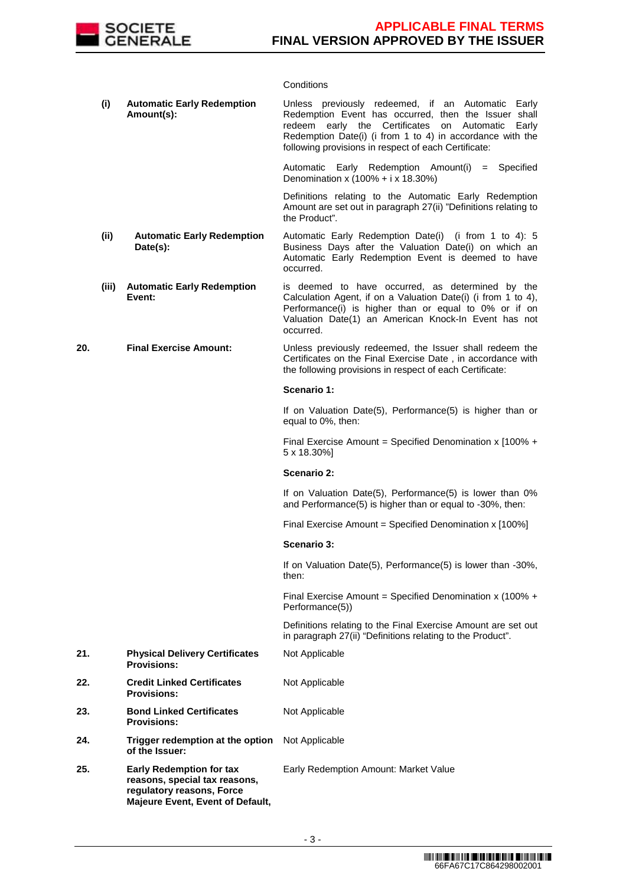

# **Conditions**

|     | (i)   | <b>Automatic Early Redemption</b><br>Amount(s):                                                                                                                            | Unless previously redeemed, if an Automatic Early<br>Redemption Event has occurred, then the Issuer shall<br>redeem early the Certificates<br>on Automatic<br>Early<br>Redemption Date(i) (i from 1 to 4) in accordance with the<br>following provisions in respect of each Certificate: |  |  |
|-----|-------|----------------------------------------------------------------------------------------------------------------------------------------------------------------------------|------------------------------------------------------------------------------------------------------------------------------------------------------------------------------------------------------------------------------------------------------------------------------------------|--|--|
|     |       |                                                                                                                                                                            | = Specified<br>Automatic Early Redemption Amount(i)<br>Denomination x $(100\% + i \times 18.30\%)$                                                                                                                                                                                       |  |  |
|     |       |                                                                                                                                                                            | Definitions relating to the Automatic Early Redemption<br>Amount are set out in paragraph 27(ii) "Definitions relating to<br>the Product".                                                                                                                                               |  |  |
|     | (ii)  | <b>Automatic Early Redemption</b><br>Date(s):                                                                                                                              | Automatic Early Redemption Date(i) (i from 1 to 4): 5<br>Business Days after the Valuation Date(i) on which an<br>Automatic Early Redemption Event is deemed to have<br>occurred.                                                                                                        |  |  |
|     | (iii) | <b>Automatic Early Redemption</b><br>Event:                                                                                                                                | is deemed to have occurred, as determined by the<br>Calculation Agent, if on a Valuation Date(i) (i from 1 to 4),<br>Performance(i) is higher than or equal to 0% or if on<br>Valuation Date(1) an American Knock-In Event has not<br>occurred.                                          |  |  |
| 20. |       | <b>Final Exercise Amount:</b>                                                                                                                                              | Unless previously redeemed, the Issuer shall redeem the<br>Certificates on the Final Exercise Date, in accordance with<br>the following provisions in respect of each Certificate:                                                                                                       |  |  |
|     |       |                                                                                                                                                                            | Scenario 1:                                                                                                                                                                                                                                                                              |  |  |
|     |       |                                                                                                                                                                            | If on Valuation Date(5), Performance(5) is higher than or<br>equal to 0%, then:                                                                                                                                                                                                          |  |  |
|     |       |                                                                                                                                                                            | Final Exercise Amount = Specified Denomination x $[100\% +$<br>5 x 18.30%]                                                                                                                                                                                                               |  |  |
|     |       |                                                                                                                                                                            | Scenario 2:                                                                                                                                                                                                                                                                              |  |  |
|     |       |                                                                                                                                                                            | If on Valuation Date(5), Performance(5) is lower than 0%<br>and Performance(5) is higher than or equal to -30%, then:                                                                                                                                                                    |  |  |
|     |       |                                                                                                                                                                            | Final Exercise Amount = Specified Denomination x [100%]                                                                                                                                                                                                                                  |  |  |
|     |       |                                                                                                                                                                            | <b>Scenario 3:</b>                                                                                                                                                                                                                                                                       |  |  |
|     |       |                                                                                                                                                                            | If on Valuation Date(5), Performance(5) is lower than -30%,<br>then:                                                                                                                                                                                                                     |  |  |
|     |       |                                                                                                                                                                            | Final Exercise Amount = Specified Denomination x (100% +<br>Performance(5))                                                                                                                                                                                                              |  |  |
|     |       |                                                                                                                                                                            | Definitions relating to the Final Exercise Amount are set out<br>in paragraph 27(ii) "Definitions relating to the Product".                                                                                                                                                              |  |  |
| 21. |       | <b>Physical Delivery Certificates</b><br><b>Provisions:</b>                                                                                                                | Not Applicable                                                                                                                                                                                                                                                                           |  |  |
| 22. |       | <b>Credit Linked Certificates</b><br><b>Provisions:</b>                                                                                                                    | Not Applicable                                                                                                                                                                                                                                                                           |  |  |
| 23. |       | <b>Bond Linked Certificates</b><br><b>Provisions:</b>                                                                                                                      | Not Applicable                                                                                                                                                                                                                                                                           |  |  |
| 24. |       | Trigger redemption at the option<br>of the Issuer:                                                                                                                         | Not Applicable                                                                                                                                                                                                                                                                           |  |  |
| 25. |       | <b>Early Redemption for tax</b><br>Early Redemption Amount: Market Value<br>reasons, special tax reasons,<br>regulatory reasons, Force<br>Majeure Event, Event of Default, |                                                                                                                                                                                                                                                                                          |  |  |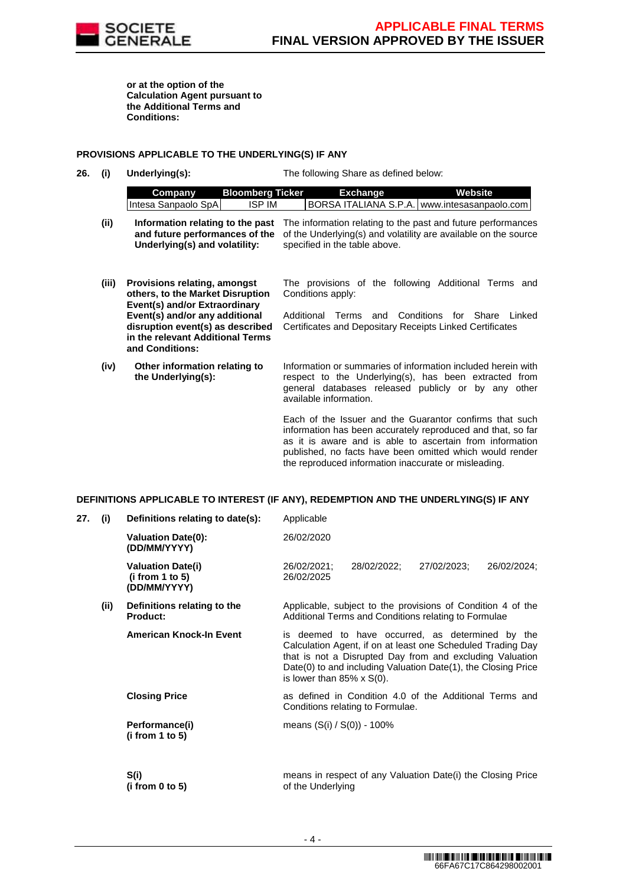

published, no facts have been omitted which would render the reproduced information inaccurate or misleading.

**or at the option of the Calculation Agent pursuant to the Additional Terms and Conditions:**

## **PROVISIONS APPLICABLE TO THE UNDERLYING(S) IF ANY**

**26. (i) Underlying(s):** The following Share as defined below:

| Company              | <b>Bloomberg Ticker</b> | <b>Exchange</b> | Website                                               |
|----------------------|-------------------------|-----------------|-------------------------------------------------------|
| Intesa Sanpaolo SpAI | ISP IM                  |                 | <b>BORSA ITALIANA S.P.A. www.intesasanpaolo.com L</b> |
|                      |                         |                 |                                                       |

- (ii) **Information relating to the past** The information relating to the past and future performances **and future performances of the Underlying(s) and volatility:** of the Underlying(s) and volatility are available on the source specified in the table above.
- **(iii) Provisions relating, amongst others, to the Market Disruption Event(s) and/or Extraordinary Event(s) and/or any additional disruption event(s) as described in the relevant Additional Terms and Conditions:** The provisions of the following Additional Terms and Conditions apply: Additional Terms and Conditions for Share Linked Certificates and Depositary Receipts Linked Certificates **(iv) Other information relating to the Underlying(s):** Information or summaries of information included herein with respect to the Underlying(s), has been extracted from general databases released publicly or by any other available information. Each of the Issuer and the Guarantor confirms that such information has been accurately reproduced and that, so far as it is aware and is able to ascertain from information

## **DEFINITIONS APPLICABLE TO INTEREST (IF ANY), REDEMPTION AND THE UNDERLYING(S) IF ANY**

| 27. | (i)  | Definitions relating to date(s):                            | Applicable                                                                                                                                                                                                                                                                         |  |  |  |  |  |
|-----|------|-------------------------------------------------------------|------------------------------------------------------------------------------------------------------------------------------------------------------------------------------------------------------------------------------------------------------------------------------------|--|--|--|--|--|
|     |      | <b>Valuation Date(0):</b><br>(DD/MM/YYYY)                   | 26/02/2020                                                                                                                                                                                                                                                                         |  |  |  |  |  |
|     |      | <b>Valuation Date(i)</b><br>(i from 1 to 5)<br>(DD/MM/YYYY) | 26/02/2024;<br>26/02/2021;<br>28/02/2022;<br>27/02/2023:<br>26/02/2025                                                                                                                                                                                                             |  |  |  |  |  |
|     | (ii) | Definitions relating to the<br><b>Product:</b>              | Applicable, subject to the provisions of Condition 4 of the<br>Additional Terms and Conditions relating to Formulae                                                                                                                                                                |  |  |  |  |  |
|     |      | American Knock-In Event                                     | is deemed to have occurred, as determined by the<br>Calculation Agent, if on at least one Scheduled Trading Day<br>that is not a Disrupted Day from and excluding Valuation<br>Date(0) to and including Valuation Date(1), the Closing Price<br>is lower than $85\% \times S(0)$ . |  |  |  |  |  |
|     |      | <b>Closing Price</b>                                        | as defined in Condition 4.0 of the Additional Terms and<br>Conditions relating to Formulae.                                                                                                                                                                                        |  |  |  |  |  |
|     |      | Performance(i)<br>(i from 1 to 5)                           | means (S(i) / S(0)) - 100%                                                                                                                                                                                                                                                         |  |  |  |  |  |
|     |      | S(i)<br>(i from $0$ to $5$ )                                | means in respect of any Valuation Date(i) the Closing Price<br>of the Underlying                                                                                                                                                                                                   |  |  |  |  |  |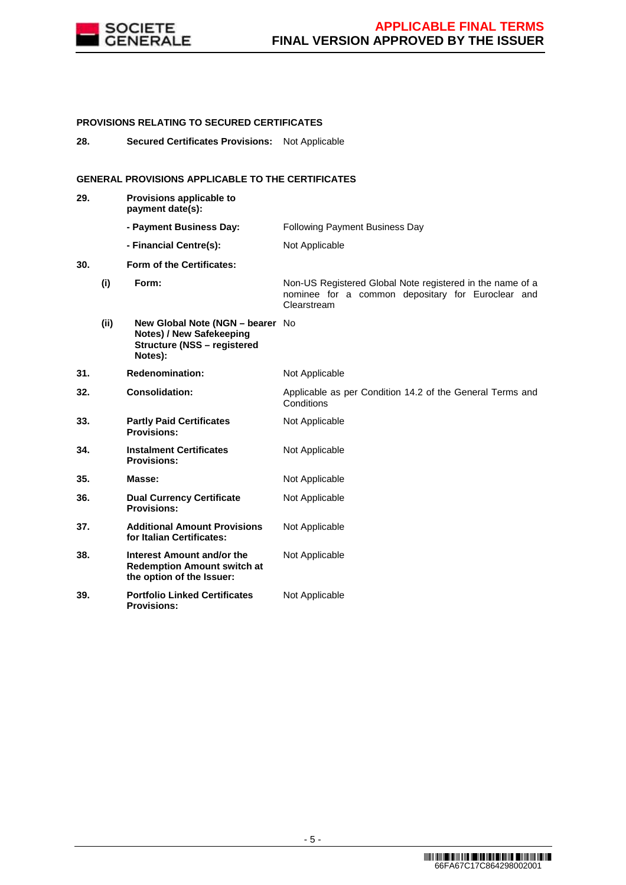

# **PROVISIONS RELATING TO SECURED CERTIFICATES**

**28. Secured Certificates Provisions:** Not Applicable

# **GENERAL PROVISIONS APPLICABLE TO THE CERTIFICATES**

| 29. |      | Provisions applicable to<br>payment date(s):                                                                         |                                                                                                                               |
|-----|------|----------------------------------------------------------------------------------------------------------------------|-------------------------------------------------------------------------------------------------------------------------------|
|     |      | - Payment Business Day:                                                                                              | <b>Following Payment Business Day</b>                                                                                         |
|     |      | - Financial Centre(s):                                                                                               | Not Applicable                                                                                                                |
| 30. |      | Form of the Certificates:                                                                                            |                                                                                                                               |
|     | (i)  | Form:                                                                                                                | Non-US Registered Global Note registered in the name of a<br>nominee for a common depositary for Euroclear and<br>Clearstream |
|     | (ii) | New Global Note (NGN - bearer No<br><b>Notes) / New Safekeeping</b><br><b>Structure (NSS - registered</b><br>Notes): |                                                                                                                               |
| 31. |      | Redenomination:                                                                                                      | Not Applicable                                                                                                                |
| 32. |      | <b>Consolidation:</b>                                                                                                | Applicable as per Condition 14.2 of the General Terms and<br>Conditions                                                       |
| 33. |      | <b>Partly Paid Certificates</b><br><b>Provisions:</b>                                                                | Not Applicable                                                                                                                |
| 34. |      | <b>Instalment Certificates</b><br><b>Provisions:</b>                                                                 | Not Applicable                                                                                                                |
| 35. |      | Masse:                                                                                                               | Not Applicable                                                                                                                |
| 36. |      | <b>Dual Currency Certificate</b><br><b>Provisions:</b>                                                               | Not Applicable                                                                                                                |
| 37. |      | <b>Additional Amount Provisions</b><br>for Italian Certificates:                                                     | Not Applicable                                                                                                                |
| 38. |      | Interest Amount and/or the<br><b>Redemption Amount switch at</b><br>the option of the Issuer:                        | Not Applicable                                                                                                                |
| 39. |      | <b>Portfolio Linked Certificates</b><br><b>Provisions:</b>                                                           | Not Applicable                                                                                                                |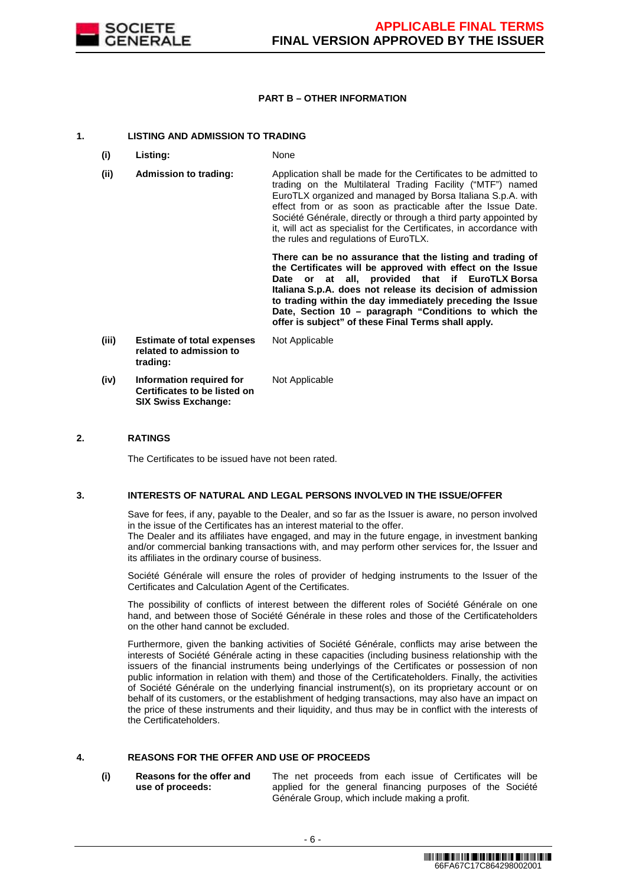

## **PART B – OTHER INFORMATION**

#### **1. LISTING AND ADMISSION TO TRADING**

- **(i) Listing:** None
- **(ii) Admission to trading:** Application shall be made for the Certificates to be admitted to trading on the Multilateral Trading Facility ("MTF") named EuroTLX organized and managed by Borsa Italiana S.p.A. with effect from or as soon as practicable after the Issue Date. Société Générale, directly or through a third party appointed by it, will act as specialist for the Certificates, in accordance with the rules and regulations of EuroTLX.

 **There can be no assurance that the listing and trading of the Certificates will be approved with effect on the Issue Date or at all, provided that if EuroTLX Borsa Italiana S.p.A. does not release its decision of admission to trading within the day immediately preceding the Issue Date, Section 10 – paragraph "Conditions to which the offer is subject" of these Final Terms shall apply.**

**(iii) Estimate of total expenses related to admission to trading:** Not Applicable **(iv) Information required for Certificates to be listed on SIX Swiss Exchange:** Not Applicable

### **2. RATINGS**

The Certificates to be issued have not been rated.

#### **3. INTERESTS OF NATURAL AND LEGAL PERSONS INVOLVED IN THE ISSUE/OFFER**

 Save for fees, if any, payable to the Dealer, and so far as the Issuer is aware, no person involved in the issue of the Certificates has an interest material to the offer.

The Dealer and its affiliates have engaged, and may in the future engage, in investment banking and/or commercial banking transactions with, and may perform other services for, the Issuer and its affiliates in the ordinary course of business.

 Société Générale will ensure the roles of provider of hedging instruments to the Issuer of the Certificates and Calculation Agent of the Certificates.

 The possibility of conflicts of interest between the different roles of Société Générale on one hand, and between those of Société Générale in these roles and those of the Certificateholders on the other hand cannot be excluded.

 Furthermore, given the banking activities of Société Générale, conflicts may arise between the interests of Société Générale acting in these capacities (including business relationship with the issuers of the financial instruments being underlyings of the Certificates or possession of non public information in relation with them) and those of the Certificateholders. Finally, the activities of Société Générale on the underlying financial instrument(s), on its proprietary account or on behalf of its customers, or the establishment of hedging transactions, may also have an impact on the price of these instruments and their liquidity, and thus may be in conflict with the interests of the Certificateholders.

# **4. REASONS FOR THE OFFER AND USE OF PROCEEDS**

**(i) Reasons for the offer and use of proceeds:**

The net proceeds from each issue of Certificates will be applied for the general financing purposes of the Société Générale Group, which include making a profit.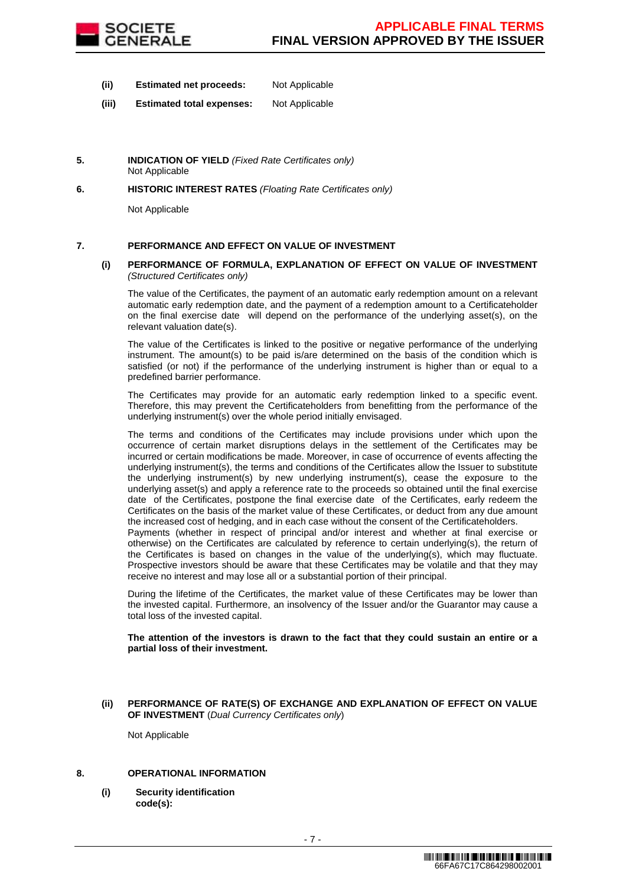

- **(ii) Estimated net proceeds:** Not Applicable
- **(iii) Estimated total expenses:** Not Applicable
- **5. INDICATION OF YIELD** (Fixed Rate Certificates only) Not Applicable
- **6. HISTORIC INTEREST RATES** (Floating Rate Certificates only)

Not Applicable

## **7. PERFORMANCE AND EFFECT ON VALUE OF INVESTMENT**

#### **(i) PERFORMANCE OF FORMULA, EXPLANATION OF EFFECT ON VALUE OF INVESTMENT**  (Structured Certificates only)

 The value of the Certificates, the payment of an automatic early redemption amount on a relevant automatic early redemption date, and the payment of a redemption amount to a Certificateholder on the final exercise date will depend on the performance of the underlying asset(s), on the relevant valuation date(s).

 The value of the Certificates is linked to the positive or negative performance of the underlying instrument. The amount(s) to be paid is/are determined on the basis of the condition which is satisfied (or not) if the performance of the underlying instrument is higher than or equal to a predefined barrier performance.

 The Certificates may provide for an automatic early redemption linked to a specific event. Therefore, this may prevent the Certificateholders from benefitting from the performance of the underlying instrument(s) over the whole period initially envisaged.

 The terms and conditions of the Certificates may include provisions under which upon the occurrence of certain market disruptions delays in the settlement of the Certificates may be incurred or certain modifications be made. Moreover, in case of occurrence of events affecting the underlying instrument(s), the terms and conditions of the Certificates allow the Issuer to substitute the underlying instrument(s) by new underlying instrument(s), cease the exposure to the underlying asset(s) and apply a reference rate to the proceeds so obtained until the final exercise date of the Certificates, postpone the final exercise date of the Certificates, early redeem the Certificates on the basis of the market value of these Certificates, or deduct from any due amount the increased cost of hedging, and in each case without the consent of the Certificateholders.

Payments (whether in respect of principal and/or interest and whether at final exercise or otherwise) on the Certificates are calculated by reference to certain underlying(s), the return of the Certificates is based on changes in the value of the underlying(s), which may fluctuate. Prospective investors should be aware that these Certificates may be volatile and that they may receive no interest and may lose all or a substantial portion of their principal.

 During the lifetime of the Certificates, the market value of these Certificates may be lower than the invested capital. Furthermore, an insolvency of the Issuer and/or the Guarantor may cause a total loss of the invested capital.

**The attention of the investors is drawn to the fact that they could sustain an entire or a partial loss of their investment.**

#### **(ii) PERFORMANCE OF RATE(S) OF EXCHANGE AND EXPLANATION OF EFFECT ON VALUE OF INVESTMENT** (Dual Currency Certificates only)

Not Applicable

#### **8. OPERATIONAL INFORMATION**

**(i) Security identification code(s):**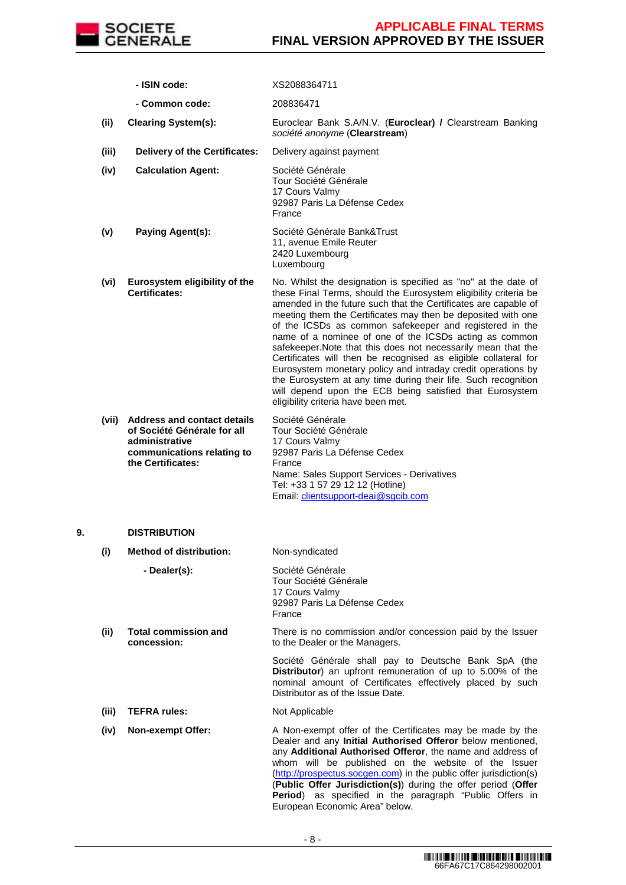

|    |       | - ISIN code:                                                                                                                           | XS2088364711                                                                                                                                                                                                                                                                                                                                                                                                                                                                                                                                                                                                                                                                                                                                                        |
|----|-------|----------------------------------------------------------------------------------------------------------------------------------------|---------------------------------------------------------------------------------------------------------------------------------------------------------------------------------------------------------------------------------------------------------------------------------------------------------------------------------------------------------------------------------------------------------------------------------------------------------------------------------------------------------------------------------------------------------------------------------------------------------------------------------------------------------------------------------------------------------------------------------------------------------------------|
|    |       | - Common code:                                                                                                                         | 208836471                                                                                                                                                                                                                                                                                                                                                                                                                                                                                                                                                                                                                                                                                                                                                           |
|    | (ii)  | <b>Clearing System(s):</b>                                                                                                             | Euroclear Bank S.A/N.V. (Euroclear) / Clearstream Banking<br>société anonyme (Clearstream)                                                                                                                                                                                                                                                                                                                                                                                                                                                                                                                                                                                                                                                                          |
|    | (iii) | Delivery of the Certificates:                                                                                                          | Delivery against payment                                                                                                                                                                                                                                                                                                                                                                                                                                                                                                                                                                                                                                                                                                                                            |
|    | (iv)  | <b>Calculation Agent:</b>                                                                                                              | Société Générale<br>Tour Société Générale<br>17 Cours Valmy<br>92987 Paris La Défense Cedex<br>France                                                                                                                                                                                                                                                                                                                                                                                                                                                                                                                                                                                                                                                               |
|    | (v)   | Paying Agent(s):                                                                                                                       | Société Générale Bank&Trust<br>11, avenue Emile Reuter<br>2420 Luxembourg<br>Luxembourg                                                                                                                                                                                                                                                                                                                                                                                                                                                                                                                                                                                                                                                                             |
|    | (vi)  | Eurosystem eligibility of the<br>Certificates:                                                                                         | No. Whilst the designation is specified as "no" at the date of<br>these Final Terms, should the Eurosystem eligibility criteria be<br>amended in the future such that the Certificates are capable of<br>meeting them the Certificates may then be deposited with one<br>of the ICSDs as common safekeeper and registered in the<br>name of a nominee of one of the ICSDs acting as common<br>safekeeper. Note that this does not necessarily mean that the<br>Certificates will then be recognised as eligible collateral for<br>Eurosystem monetary policy and intraday credit operations by<br>the Eurosystem at any time during their life. Such recognition<br>will depend upon the ECB being satisfied that Eurosystem<br>eligibility criteria have been met. |
|    | (vii) | <b>Address and contact details</b><br>of Société Générale for all<br>administrative<br>communications relating to<br>the Certificates: | Société Générale<br>Tour Société Générale<br>17 Cours Valmy<br>92987 Paris La Défense Cedex<br>France<br>Name: Sales Support Services - Derivatives<br>Tel: +33 1 57 29 12 12 (Hotline)<br>Email: clientsupport-deai@sgcib.com                                                                                                                                                                                                                                                                                                                                                                                                                                                                                                                                      |
| 9. |       | <b>DISTRIBUTION</b>                                                                                                                    |                                                                                                                                                                                                                                                                                                                                                                                                                                                                                                                                                                                                                                                                                                                                                                     |
|    | (i)   | <b>Method of distribution:</b>                                                                                                         | Non-syndicated                                                                                                                                                                                                                                                                                                                                                                                                                                                                                                                                                                                                                                                                                                                                                      |
|    |       | - Dealer(s):                                                                                                                           | Société Générale<br>Tour Société Générale<br>17 Cours Valmy<br>92987 Paris La Défense Cedex<br>France                                                                                                                                                                                                                                                                                                                                                                                                                                                                                                                                                                                                                                                               |
|    | (ii)  | <b>Total commission and</b><br>concession:                                                                                             | There is no commission and/or concession paid by the Issuer<br>to the Dealer or the Managers.                                                                                                                                                                                                                                                                                                                                                                                                                                                                                                                                                                                                                                                                       |
|    |       |                                                                                                                                        | Société Générale shall pay to Deutsche Bank SpA (the<br>Distributor) an upfront remuneration of up to 5.00% of the<br>nominal amount of Certificates effectively placed by such<br>Distributor as of the Issue Date.                                                                                                                                                                                                                                                                                                                                                                                                                                                                                                                                                |
|    | (iii) | <b>TEFRA rules:</b>                                                                                                                    | Not Applicable                                                                                                                                                                                                                                                                                                                                                                                                                                                                                                                                                                                                                                                                                                                                                      |
|    | (iv)  | <b>Non-exempt Offer:</b>                                                                                                               | A Non-exempt offer of the Certificates may be made by the<br>Dealer and any Initial Authorised Offeror below mentioned,<br>any Additional Authorised Offeror, the name and address of<br>whom will be published on the website of the Issuer<br>(http://prospectus.socgen.com) in the public offer jurisdiction(s)<br>(Public Offer Jurisdiction(s)) during the offer period (Offer<br>Period) as specified in the paragraph "Public Offers in                                                                                                                                                                                                                                                                                                                      |

European Economic Area" below.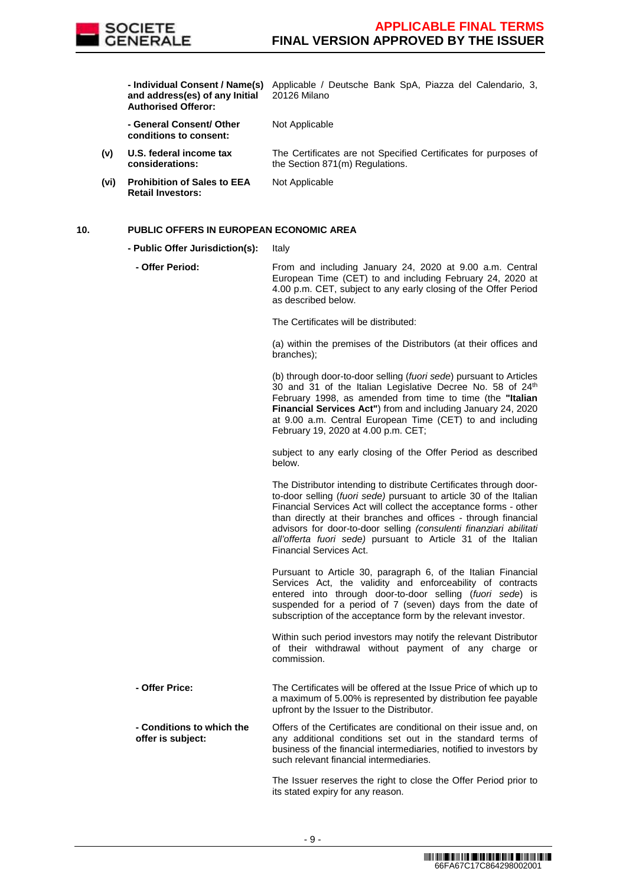

 **- Individual Consent / Name(s)**  Applicable / Deutsche Bank SpA, Piazza del Calendario, 3, **and address(es) of any Initial Authorised Offeror:**

20126 Milano

 **- General Consent/ Other conditions to consent:**

Not Applicable

The Certificates are not Specified Certificates for purposes of the Section 871(m) Regulations.

**(vi) Prohibition of Sales to EEA Retail Investors:**

**(v) U.S. federal income tax considerations:**

Not Applicable

## **10. PUBLIC OFFERS IN EUROPEAN ECONOMIC AREA**

- **Public Offer Jurisdiction(s):** Italy
	- **Offer Period:** From and including January 24, 2020 at 9.00 a.m. Central European Time (CET) to and including February 24, 2020 at 4.00 p.m. CET, subject to any early closing of the Offer Period as described below.

The Certificates will be distributed:

(a) within the premises of the Distributors (at their offices and branches);

(b) through door-to-door selling (fuori sede) pursuant to Articles 30 and 31 of the Italian Legislative Decree No. 58 of 24<sup>th</sup> February 1998, as amended from time to time (the **"Italian Financial Services Act"**) from and including January 24, 2020 at 9.00 a.m. Central European Time (CET) to and including February 19, 2020 at 4.00 p.m. CET;

subject to any early closing of the Offer Period as described below.

The Distributor intending to distribute Certificates through doorto-door selling (fuori sede) pursuant to article 30 of the Italian Financial Services Act will collect the acceptance forms - other than directly at their branches and offices - through financial advisors for door-to-door selling (consulenti finanziari abilitati all'offerta fuori sede) pursuant to Article 31 of the Italian Financial Services Act.

Pursuant to Article 30, paragraph 6, of the Italian Financial Services Act, the validity and enforceability of contracts entered into through door-to-door selling (fuori sede) is suspended for a period of 7 (seven) days from the date of subscription of the acceptance form by the relevant investor.

Within such period investors may notify the relevant Distributor of their withdrawal without payment of any charge or commission.

- **Offer Price:** The Certificates will be offered at the Issue Price of which up to a maximum of 5.00% is represented by distribution fee payable upfront by the Issuer to the Distributor.
- **Conditions to which the offer is subject:** Offers of the Certificates are conditional on their issue and, on any additional conditions set out in the standard terms of business of the financial intermediaries, notified to investors by such relevant financial intermediaries.

The Issuer reserves the right to close the Offer Period prior to its stated expiry for any reason.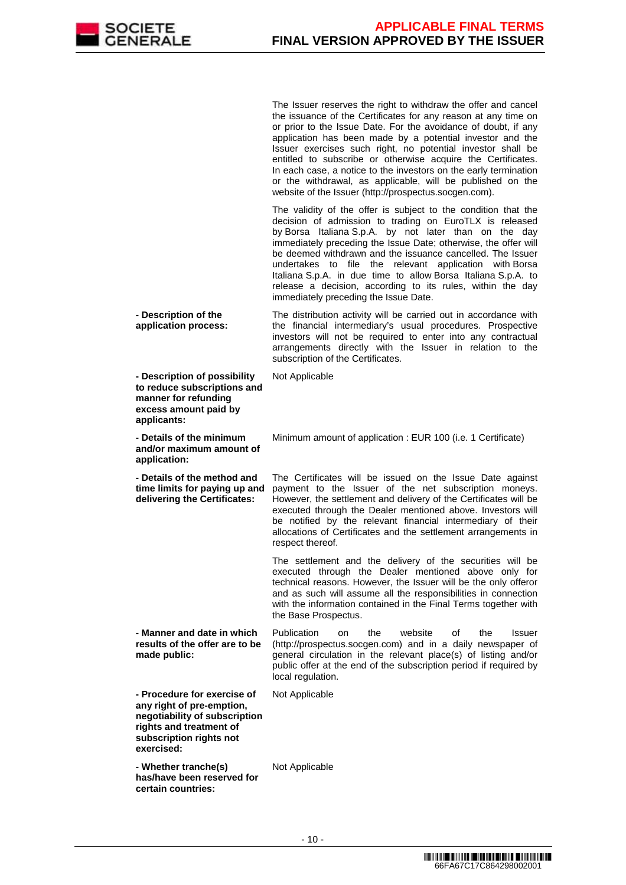

The Issuer reserves the right to withdraw the offer and cancel the issuance of the Certificates for any reason at any time on or prior to the Issue Date. For the avoidance of doubt, if any application has been made by a potential investor and the Issuer exercises such right, no potential investor shall be entitled to subscribe or otherwise acquire the Certificates. In each case, a notice to the investors on the early termination or the withdrawal, as applicable, will be published on the website of the Issuer (http://prospectus.socgen.com).

 The validity of the offer is subject to the condition that the decision of admission to trading on EuroTLX is released by Borsa Italiana S.p.A. by not later than on the day immediately preceding the Issue Date; otherwise, the offer will be deemed withdrawn and the issuance cancelled. The Issuer undertakes to file the relevant application with Borsa Italiana S.p.A. in due time to allow Borsa Italiana S.p.A. to release a decision, according to its rules, within the day immediately preceding the Issue Date.

 **- Description of the application process:** The distribution activity will be carried out in accordance with the financial intermediary's usual procedures. Prospective investors will not be required to enter into any contractual arrangements directly with the Issuer in relation to the subscription of the Certificates.

 **- Description of possibility to reduce subscriptions and manner for refunding excess amount paid by applicants:** Not Applicable **- Details of the minimum and/or maximum amount of application:** Minimum amount of application : EUR 100 (i.e. 1 Certificate) **- Details of the method and time limits for paying up and delivering the Certificates:** The Certificates will be issued on the Issue Date against payment to the Issuer of the net subscription moneys. However, the settlement and delivery of the Certificates will be executed through the Dealer mentioned above. Investors will be notified by the relevant financial intermediary of their allocations of Certificates and the settlement arrangements in respect thereof. The settlement and the delivery of the securities will be executed through the Dealer mentioned above only for technical reasons. However, the Issuer will be the only offeror and as such will assume all the responsibilities in connection with the information contained in the Final Terms together with the Base Prospectus. **- Manner and date in which results of the offer are to be made public:** Publication on the website of the Issuer (http://prospectus.socgen.com) and in a daily newspaper of general circulation in the relevant place(s) of listing and/or public offer at the end of the subscription period if required by local regulation. **- Procedure for exercise of any right of pre-emption, negotiability of subscription rights and treatment of subscription rights not exercised:** Not Applicable **- Whether tranche(s) has/have been reserved for**  Not Applicable

**certain countries:**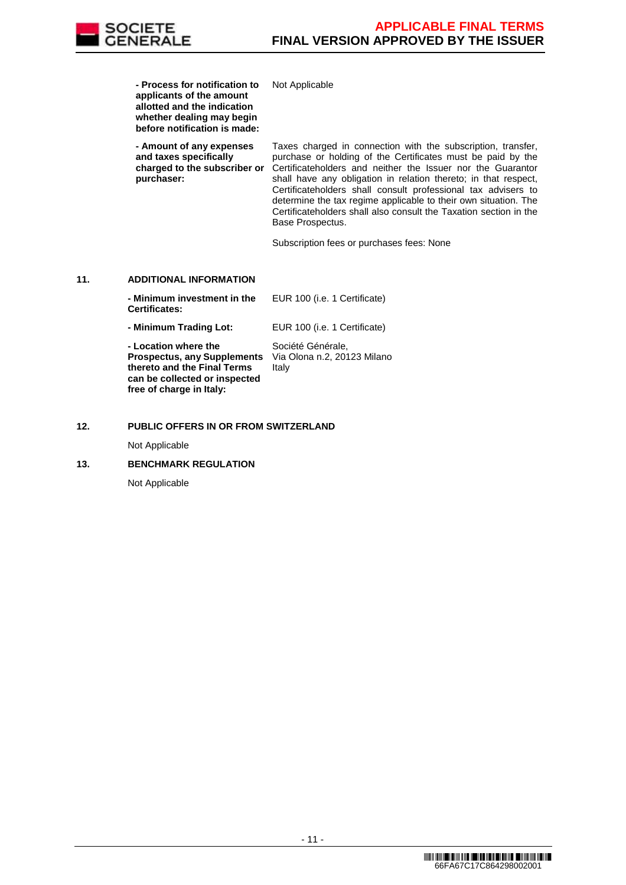

**- Process for notification to** 

**applicants of the amount allotted and the indication whether dealing may begin before notification is made: - Amount of any expenses and taxes specifically charged to the subscriber or purchaser:** Taxes charged in connection with the subscription, transfer, purchase or holding of the Certificates must be paid by the Certificateholders and neither the Issuer nor the Guarantor shall have any obligation in relation thereto; in that respect, Certificateholders shall consult professional tax advisers to determine the tax regime applicable to their own situation. The Certificateholders shall also consult the Taxation section in the Base Prospectus. Subscription fees or purchases fees: None **11. ADDITIONAL INFORMATION - Minimum investment in the Certificates:** EUR 100 (i.e. 1 Certificate) **- Minimum Trading Lot:** EUR 100 (i.e. 1 Certificate) **- Location where the Prospectus, any Supplements thereto and the Final Terms can be collected or inspected**  Société Générale, Via Olona n.2, 20123 Milano Italy

Not Applicable

#### **12. PUBLIC OFFERS IN OR FROM SWITZERLAND**

Not Applicable

### **13. BENCHMARK REGULATION**

**free of charge in Italy:**

Not Applicable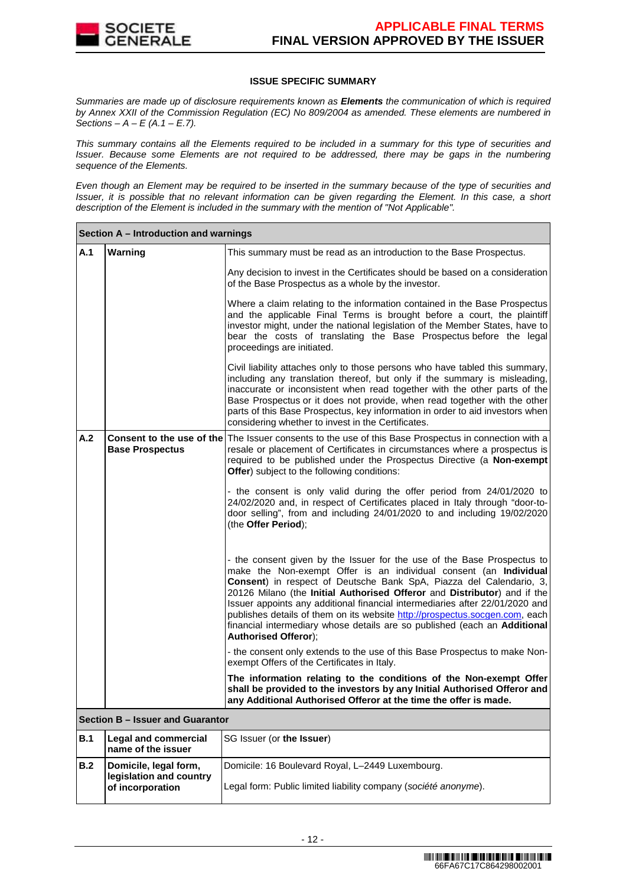

## **ISSUE SPECIFIC SUMMARY**

Summaries are made up of disclosure requirements known as **Elements** the communication of which is required by Annex XXII of the Commission Regulation (EC) No 809/2004 as amended. These elements are numbered in Sections –  $A - E(A.1 - E.7)$ .

This summary contains all the Elements required to be included in a summary for this type of securities and Issuer. Because some Elements are not required to be addressed, there may be gaps in the numbering sequence of the Elements.

Even though an Element may be required to be inserted in the summary because of the type of securities and Issuer, it is possible that no relevant information can be given regarding the Element. In this case, a short description of the Element is included in the summary with the mention of "Not Applicable".

|     | Section A – Introduction and warnings                                |                                                                                                                                                                                                                                                                                                                                                                                                                                                                                                                                                                            |  |  |  |  |
|-----|----------------------------------------------------------------------|----------------------------------------------------------------------------------------------------------------------------------------------------------------------------------------------------------------------------------------------------------------------------------------------------------------------------------------------------------------------------------------------------------------------------------------------------------------------------------------------------------------------------------------------------------------------------|--|--|--|--|
| A.1 | Warning                                                              | This summary must be read as an introduction to the Base Prospectus.                                                                                                                                                                                                                                                                                                                                                                                                                                                                                                       |  |  |  |  |
|     |                                                                      | Any decision to invest in the Certificates should be based on a consideration<br>of the Base Prospectus as a whole by the investor.                                                                                                                                                                                                                                                                                                                                                                                                                                        |  |  |  |  |
|     |                                                                      | Where a claim relating to the information contained in the Base Prospectus<br>and the applicable Final Terms is brought before a court, the plaintiff<br>investor might, under the national legislation of the Member States, have to<br>bear the costs of translating the Base Prospectus before the legal<br>proceedings are initiated.                                                                                                                                                                                                                                  |  |  |  |  |
|     |                                                                      | Civil liability attaches only to those persons who have tabled this summary,<br>including any translation thereof, but only if the summary is misleading,<br>inaccurate or inconsistent when read together with the other parts of the<br>Base Prospectus or it does not provide, when read together with the other<br>parts of this Base Prospectus, key information in order to aid investors when<br>considering whether to invest in the Certificates.                                                                                                                 |  |  |  |  |
| A.2 | <b>Base Prospectus</b>                                               | Consent to the use of the The Issuer consents to the use of this Base Prospectus in connection with a<br>resale or placement of Certificates in circumstances where a prospectus is<br>required to be published under the Prospectus Directive (a Non-exempt<br>Offer) subject to the following conditions:                                                                                                                                                                                                                                                                |  |  |  |  |
|     |                                                                      | - the consent is only valid during the offer period from 24/01/2020 to<br>24/02/2020 and, in respect of Certificates placed in Italy through "door-to-<br>door selling", from and including 24/01/2020 to and including 19/02/2020<br>(the Offer Period);                                                                                                                                                                                                                                                                                                                  |  |  |  |  |
|     |                                                                      | - the consent given by the Issuer for the use of the Base Prospectus to<br>make the Non-exempt Offer is an individual consent (an Individual<br>Consent) in respect of Deutsche Bank SpA, Piazza del Calendario, 3,<br>20126 Milano (the Initial Authorised Offeror and Distributor) and if the<br>Issuer appoints any additional financial intermediaries after 22/01/2020 and<br>publishes details of them on its website http://prospectus.socgen.com, each<br>financial intermediary whose details are so published (each an Additional<br><b>Authorised Offeror);</b> |  |  |  |  |
|     |                                                                      | - the consent only extends to the use of this Base Prospectus to make Non-<br>exempt Offers of the Certificates in Italy.                                                                                                                                                                                                                                                                                                                                                                                                                                                  |  |  |  |  |
|     |                                                                      | The information relating to the conditions of the Non-exempt Offer<br>shall be provided to the investors by any Initial Authorised Offeror and<br>any Additional Authorised Offeror at the time the offer is made.                                                                                                                                                                                                                                                                                                                                                         |  |  |  |  |
|     | Section B - Issuer and Guarantor                                     |                                                                                                                                                                                                                                                                                                                                                                                                                                                                                                                                                                            |  |  |  |  |
| B.1 | <b>Legal and commercial</b><br>name of the issuer                    | SG Issuer (or the Issuer)                                                                                                                                                                                                                                                                                                                                                                                                                                                                                                                                                  |  |  |  |  |
| B.2 | Domicile, legal form,<br>legislation and country<br>of incorporation | Domicile: 16 Boulevard Royal, L-2449 Luxembourg.<br>Legal form: Public limited liability company (société anonyme).                                                                                                                                                                                                                                                                                                                                                                                                                                                        |  |  |  |  |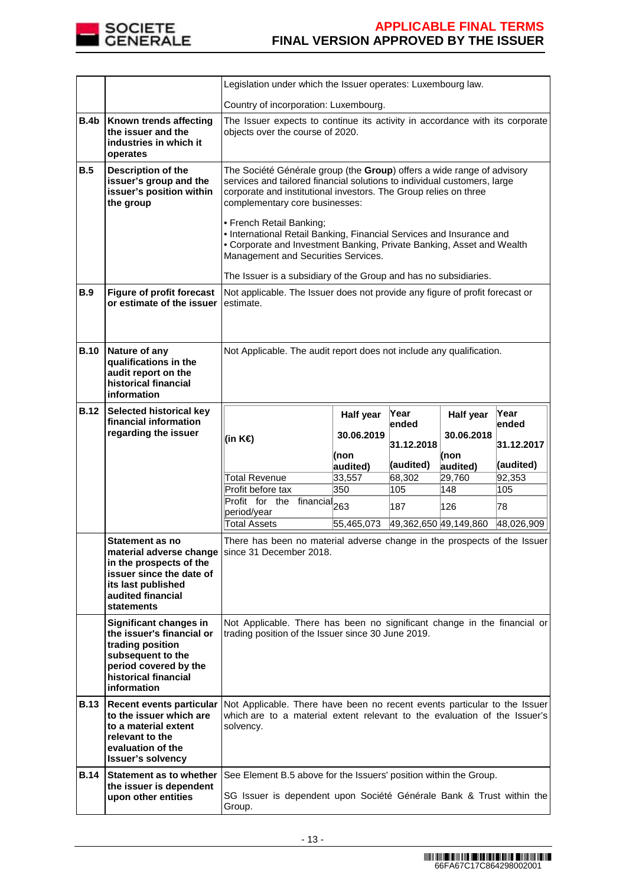

|             |                                                                                                                                                              | Legislation under which the Issuer operates: Luxembourg law.                                                                                                                                                                                                                                                                                                                                                                                                                                                                                     |            |                       |            |            |  |
|-------------|--------------------------------------------------------------------------------------------------------------------------------------------------------------|--------------------------------------------------------------------------------------------------------------------------------------------------------------------------------------------------------------------------------------------------------------------------------------------------------------------------------------------------------------------------------------------------------------------------------------------------------------------------------------------------------------------------------------------------|------------|-----------------------|------------|------------|--|
|             |                                                                                                                                                              | Country of incorporation: Luxembourg.                                                                                                                                                                                                                                                                                                                                                                                                                                                                                                            |            |                       |            |            |  |
| B.4b        | Known trends affecting<br>the issuer and the<br>industries in which it<br>operates                                                                           | The Issuer expects to continue its activity in accordance with its corporate<br>objects over the course of 2020.                                                                                                                                                                                                                                                                                                                                                                                                                                 |            |                       |            |            |  |
| B.5         | Description of the<br>issuer's group and the<br>issuer's position within<br>the group                                                                        | The Société Générale group (the Group) offers a wide range of advisory<br>services and tailored financial solutions to individual customers, large<br>corporate and institutional investors. The Group relies on three<br>complementary core businesses:<br>• French Retail Banking;<br>• International Retail Banking, Financial Services and Insurance and<br>• Corporate and Investment Banking, Private Banking, Asset and Wealth<br>Management and Securities Services.<br>The Issuer is a subsidiary of the Group and has no subsidiaries. |            |                       |            |            |  |
| B.9         | <b>Figure of profit forecast</b><br>or estimate of the issuer                                                                                                | Not applicable. The Issuer does not provide any figure of profit forecast or<br>estimate.                                                                                                                                                                                                                                                                                                                                                                                                                                                        |            |                       |            |            |  |
| <b>B.10</b> | Nature of any<br>qualifications in the<br>audit report on the<br>historical financial<br>information                                                         | Not Applicable. The audit report does not include any qualification.                                                                                                                                                                                                                                                                                                                                                                                                                                                                             |            |                       |            |            |  |
| <b>B.12</b> | Selected historical key<br>financial information                                                                                                             |                                                                                                                                                                                                                                                                                                                                                                                                                                                                                                                                                  | Half year  | Year                  | Half year  | Year       |  |
|             | regarding the issuer                                                                                                                                         | (in K€)                                                                                                                                                                                                                                                                                                                                                                                                                                                                                                                                          | 30.06.2019 | ended                 | 30.06.2018 | ended      |  |
|             |                                                                                                                                                              |                                                                                                                                                                                                                                                                                                                                                                                                                                                                                                                                                  | (non       | 31.12.2018            | (non       | 31.12.2017 |  |
|             |                                                                                                                                                              |                                                                                                                                                                                                                                                                                                                                                                                                                                                                                                                                                  | audited)   | (audited)             | audited)   | (audited)  |  |
|             |                                                                                                                                                              | <b>Total Revenue</b>                                                                                                                                                                                                                                                                                                                                                                                                                                                                                                                             | 33,557     | 68,302                | 29,760     | 92,353     |  |
|             |                                                                                                                                                              | Profit before tax                                                                                                                                                                                                                                                                                                                                                                                                                                                                                                                                | 350        | 105                   | 148        | 105        |  |
|             |                                                                                                                                                              | Profit for the financial <sub>263</sub><br>period/year                                                                                                                                                                                                                                                                                                                                                                                                                                                                                           |            | 187                   | 126        | 78         |  |
|             |                                                                                                                                                              | <b>Total Assets</b>                                                                                                                                                                                                                                                                                                                                                                                                                                                                                                                              | 55,465,073 | 49,362,650 49,149,860 |            | 48,026,909 |  |
|             | Statement as no<br>in the prospects of the<br>issuer since the date of<br>its last published<br>audited financial<br><b>statements</b>                       | There has been no material adverse change in the prospects of the Issuer<br>material adverse change since 31 December 2018.                                                                                                                                                                                                                                                                                                                                                                                                                      |            |                       |            |            |  |
|             | Significant changes in<br>the issuer's financial or<br>trading position<br>subsequent to the<br>period covered by the<br>historical financial<br>information | Not Applicable. There has been no significant change in the financial or<br>trading position of the Issuer since 30 June 2019.                                                                                                                                                                                                                                                                                                                                                                                                                   |            |                       |            |            |  |
| <b>B.13</b> |                                                                                                                                                              | Recent events particular Not Applicable. There have been no recent events particular to the Issuer<br>which are to a material extent relevant to the evaluation of the Issuer's<br>solvency.                                                                                                                                                                                                                                                                                                                                                     |            |                       |            |            |  |
|             | to the issuer which are<br>to a material extent<br>relevant to the<br>evaluation of the<br><b>Issuer's solvency</b>                                          |                                                                                                                                                                                                                                                                                                                                                                                                                                                                                                                                                  |            |                       |            |            |  |
| <b>B.14</b> | Statement as to whether<br>the issuer is dependent                                                                                                           | See Element B.5 above for the Issuers' position within the Group.                                                                                                                                                                                                                                                                                                                                                                                                                                                                                |            |                       |            |            |  |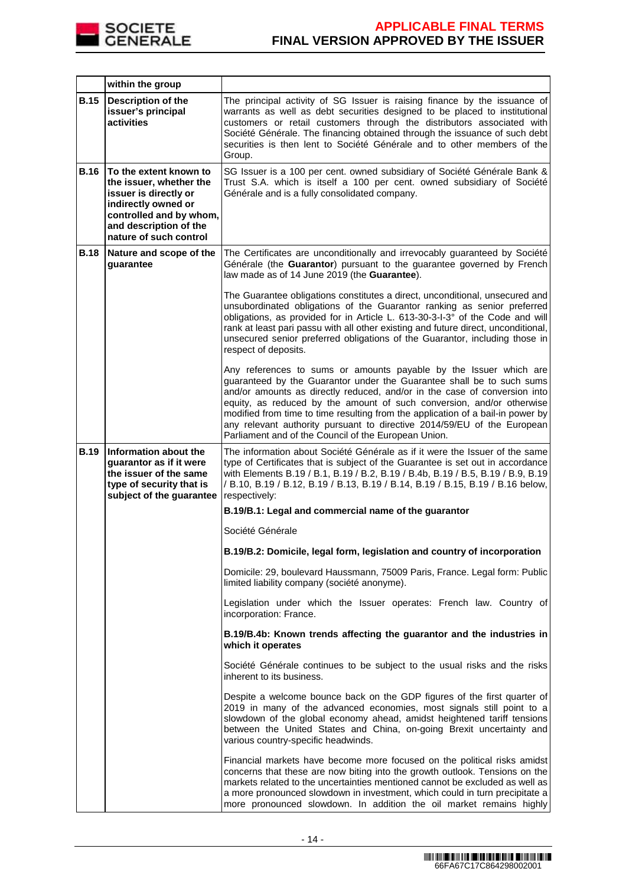

|             | within the group                                                                                                                                                                 |                                                                                                                                                                                                                                                                                                                                                                                                                                                                                                                        |
|-------------|----------------------------------------------------------------------------------------------------------------------------------------------------------------------------------|------------------------------------------------------------------------------------------------------------------------------------------------------------------------------------------------------------------------------------------------------------------------------------------------------------------------------------------------------------------------------------------------------------------------------------------------------------------------------------------------------------------------|
| <b>B.15</b> | <b>Description of the</b><br>issuer's principal<br>activities                                                                                                                    | The principal activity of SG Issuer is raising finance by the issuance of<br>warrants as well as debt securities designed to be placed to institutional<br>customers or retail customers through the distributors associated with<br>Société Générale. The financing obtained through the issuance of such debt<br>securities is then lent to Société Générale and to other members of the<br>Group.                                                                                                                   |
| <b>B.16</b> | To the extent known to<br>the issuer, whether the<br>issuer is directly or<br>indirectly owned or<br>controlled and by whom,<br>and description of the<br>nature of such control | SG Issuer is a 100 per cent. owned subsidiary of Société Générale Bank &<br>Trust S.A. which is itself a 100 per cent. owned subsidiary of Société<br>Générale and is a fully consolidated company.                                                                                                                                                                                                                                                                                                                    |
| <b>B.18</b> | Nature and scope of the<br>guarantee                                                                                                                                             | The Certificates are unconditionally and irrevocably guaranteed by Société<br>Générale (the Guarantor) pursuant to the guarantee governed by French<br>law made as of 14 June 2019 (the Guarantee).                                                                                                                                                                                                                                                                                                                    |
|             |                                                                                                                                                                                  | The Guarantee obligations constitutes a direct, unconditional, unsecured and<br>unsubordinated obligations of the Guarantor ranking as senior preferred<br>obligations, as provided for in Article L. 613-30-3-I-3° of the Code and will<br>rank at least pari passu with all other existing and future direct, unconditional,<br>unsecured senior preferred obligations of the Guarantor, including those in<br>respect of deposits.                                                                                  |
|             |                                                                                                                                                                                  | Any references to sums or amounts payable by the Issuer which are<br>guaranteed by the Guarantor under the Guarantee shall be to such sums<br>and/or amounts as directly reduced, and/or in the case of conversion into<br>equity, as reduced by the amount of such conversion, and/or otherwise<br>modified from time to time resulting from the application of a bail-in power by<br>any relevant authority pursuant to directive 2014/59/EU of the European<br>Parliament and of the Council of the European Union. |
| <b>B.19</b> | Information about the<br>guarantor as if it were<br>the issuer of the same<br>type of security that is<br>subject of the guarantee                                               | The information about Société Générale as if it were the Issuer of the same<br>type of Certificates that is subject of the Guarantee is set out in accordance<br>with Elements B.19 / B.1, B.19 / B.2, B.19 / B.4b, B.19 / B.5, B.19 / B.9, B.19<br>/ B.10, B.19 / B.12, B.19 / B.13, B.19 / B.14, B.19 / B.15, B.19 / B.16 below,<br>respectively:                                                                                                                                                                    |
|             |                                                                                                                                                                                  | B.19/B.1: Legal and commercial name of the guarantor                                                                                                                                                                                                                                                                                                                                                                                                                                                                   |
|             |                                                                                                                                                                                  | Société Générale                                                                                                                                                                                                                                                                                                                                                                                                                                                                                                       |
|             |                                                                                                                                                                                  | B.19/B.2: Domicile, legal form, legislation and country of incorporation                                                                                                                                                                                                                                                                                                                                                                                                                                               |
|             |                                                                                                                                                                                  | Domicile: 29, boulevard Haussmann, 75009 Paris, France. Legal form: Public<br>limited liability company (société anonyme).                                                                                                                                                                                                                                                                                                                                                                                             |
|             |                                                                                                                                                                                  | Legislation under which the Issuer operates: French law. Country of<br>incorporation: France.                                                                                                                                                                                                                                                                                                                                                                                                                          |
|             |                                                                                                                                                                                  | B.19/B.4b: Known trends affecting the guarantor and the industries in<br>which it operates                                                                                                                                                                                                                                                                                                                                                                                                                             |
|             |                                                                                                                                                                                  | Société Générale continues to be subject to the usual risks and the risks<br>inherent to its business.                                                                                                                                                                                                                                                                                                                                                                                                                 |
|             |                                                                                                                                                                                  | Despite a welcome bounce back on the GDP figures of the first quarter of<br>2019 in many of the advanced economies, most signals still point to a<br>slowdown of the global economy ahead, amidst heightened tariff tensions<br>between the United States and China, on-going Brexit uncertainty and<br>various country-specific headwinds.                                                                                                                                                                            |
|             |                                                                                                                                                                                  | Financial markets have become more focused on the political risks amidst<br>concerns that these are now biting into the growth outlook. Tensions on the<br>markets related to the uncertainties mentioned cannot be excluded as well as<br>a more pronounced slowdown in investment, which could in turn precipitate a<br>more pronounced slowdown. In addition the oil market remains highly                                                                                                                          |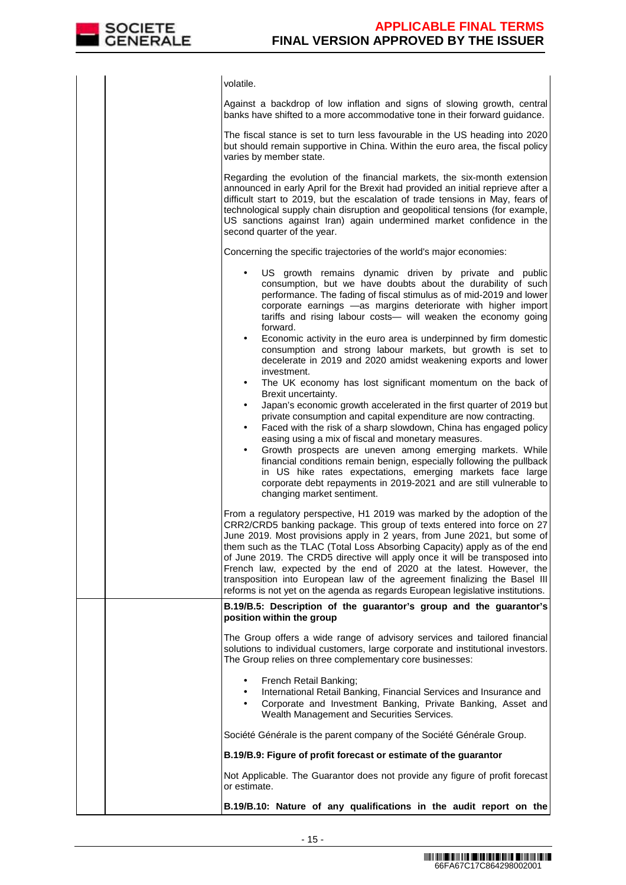

|  | volatile.                                                                                                                                                                                                                                                                                                                                                                                                                                                                                                                                                                                                                         |
|--|-----------------------------------------------------------------------------------------------------------------------------------------------------------------------------------------------------------------------------------------------------------------------------------------------------------------------------------------------------------------------------------------------------------------------------------------------------------------------------------------------------------------------------------------------------------------------------------------------------------------------------------|
|  | Against a backdrop of low inflation and signs of slowing growth, central<br>banks have shifted to a more accommodative tone in their forward guidance.                                                                                                                                                                                                                                                                                                                                                                                                                                                                            |
|  | The fiscal stance is set to turn less favourable in the US heading into 2020<br>but should remain supportive in China. Within the euro area, the fiscal policy<br>varies by member state.                                                                                                                                                                                                                                                                                                                                                                                                                                         |
|  | Regarding the evolution of the financial markets, the six-month extension<br>announced in early April for the Brexit had provided an initial reprieve after a<br>difficult start to 2019, but the escalation of trade tensions in May, fears of<br>technological supply chain disruption and geopolitical tensions (for example,<br>US sanctions against Iran) again undermined market confidence in the<br>second quarter of the year.                                                                                                                                                                                           |
|  | Concerning the specific trajectories of the world's major economies:                                                                                                                                                                                                                                                                                                                                                                                                                                                                                                                                                              |
|  | US growth remains dynamic driven by private and public<br>consumption, but we have doubts about the durability of such<br>performance. The fading of fiscal stimulus as of mid-2019 and lower<br>corporate earnings -as margins deteriorate with higher import<br>tariffs and rising labour costs- will weaken the economy going<br>forward.                                                                                                                                                                                                                                                                                      |
|  | Economic activity in the euro area is underpinned by firm domestic<br>$\bullet$<br>consumption and strong labour markets, but growth is set to<br>decelerate in 2019 and 2020 amidst weakening exports and lower<br>investment.<br>The UK economy has lost significant momentum on the back of<br>$\bullet$                                                                                                                                                                                                                                                                                                                       |
|  | Brexit uncertainty.<br>Japan's economic growth accelerated in the first quarter of 2019 but<br>$\bullet$<br>private consumption and capital expenditure are now contracting.<br>Faced with the risk of a sharp slowdown, China has engaged policy<br>٠<br>easing using a mix of fiscal and monetary measures.<br>Growth prospects are uneven among emerging markets. While<br>$\bullet$<br>financial conditions remain benign, especially following the pullback<br>in US hike rates expectations, emerging markets face large                                                                                                    |
|  | corporate debt repayments in 2019-2021 and are still vulnerable to<br>changing market sentiment.                                                                                                                                                                                                                                                                                                                                                                                                                                                                                                                                  |
|  | From a regulatory perspective, H1 2019 was marked by the adoption of the<br>CRR2/CRD5 banking package. This group of texts entered into force on 27<br>June 2019. Most provisions apply in 2 years, from June 2021, but some of<br>them such as the TLAC (Total Loss Absorbing Capacity) apply as of the end<br>of June 2019. The CRD5 directive will apply once it will be transposed into<br>French law, expected by the end of 2020 at the latest. However, the<br>transposition into European law of the agreement finalizing the Basel III<br>reforms is not yet on the agenda as regards European legislative institutions. |
|  | B.19/B.5: Description of the guarantor's group and the guarantor's<br>position within the group                                                                                                                                                                                                                                                                                                                                                                                                                                                                                                                                   |
|  | The Group offers a wide range of advisory services and tailored financial<br>solutions to individual customers, large corporate and institutional investors.<br>The Group relies on three complementary core businesses:                                                                                                                                                                                                                                                                                                                                                                                                          |
|  | French Retail Banking;<br>International Retail Banking, Financial Services and Insurance and<br>$\bullet$<br>Corporate and Investment Banking, Private Banking, Asset and<br>$\bullet$<br>Wealth Management and Securities Services.                                                                                                                                                                                                                                                                                                                                                                                              |
|  | Société Générale is the parent company of the Société Générale Group.                                                                                                                                                                                                                                                                                                                                                                                                                                                                                                                                                             |
|  | B.19/B.9: Figure of profit forecast or estimate of the guarantor                                                                                                                                                                                                                                                                                                                                                                                                                                                                                                                                                                  |
|  | Not Applicable. The Guarantor does not provide any figure of profit forecast<br>or estimate.                                                                                                                                                                                                                                                                                                                                                                                                                                                                                                                                      |
|  | B.19/B.10: Nature of any qualifications in the audit report on the                                                                                                                                                                                                                                                                                                                                                                                                                                                                                                                                                                |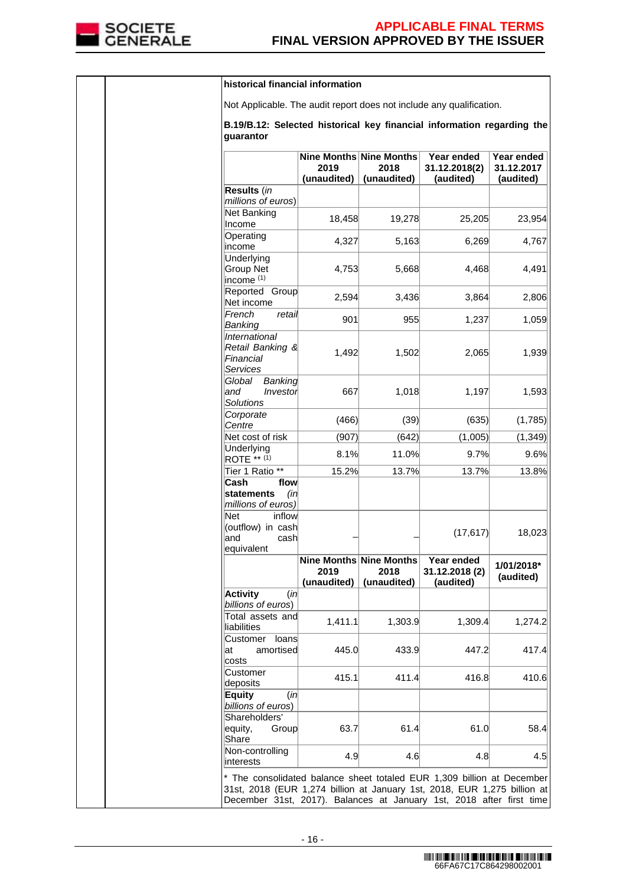

|  | historical financial information                                                                                                                                                                                           |                                                |                     |                                           |                                       |
|--|----------------------------------------------------------------------------------------------------------------------------------------------------------------------------------------------------------------------------|------------------------------------------------|---------------------|-------------------------------------------|---------------------------------------|
|  | Not Applicable. The audit report does not include any qualification.                                                                                                                                                       |                                                |                     |                                           |                                       |
|  | B.19/B.12: Selected historical key financial information regarding the<br>guarantor                                                                                                                                        |                                                |                     |                                           |                                       |
|  |                                                                                                                                                                                                                            | Nine Months Nine Months<br>2019<br>(unaudited) | 2018<br>(unaudited) | Year ended<br>31.12.2018(2)<br>(audited)  | Year ended<br>31.12.2017<br>(audited) |
|  | Results (in                                                                                                                                                                                                                |                                                |                     |                                           |                                       |
|  | millions of euros)                                                                                                                                                                                                         |                                                |                     |                                           |                                       |
|  | Net Banking<br>Income                                                                                                                                                                                                      | 18,458                                         | 19,278              | 25,205                                    | 23,954                                |
|  | Operating<br>lincome                                                                                                                                                                                                       | 4,327                                          | 5,163               | 6,269                                     | 4,767                                 |
|  | Underlying<br>Group Net<br>income <sup>(1)</sup>                                                                                                                                                                           | 4,753                                          | 5,668               | 4,468                                     | 4,491                                 |
|  | Reported Group<br>Net income                                                                                                                                                                                               | 2,594                                          | 3,436               | 3,864                                     | 2,806                                 |
|  | French<br>retail<br>Banking                                                                                                                                                                                                | 901                                            | 955                 | 1,237                                     | 1,059                                 |
|  | International<br>Retail Banking &<br>Financial<br><b>Services</b>                                                                                                                                                          | 1,492                                          | 1,502               | 2,065                                     | 1,939                                 |
|  | Global<br>Banking<br>and<br>Investor<br><b>Solutions</b>                                                                                                                                                                   | 667                                            | 1,018               | 1,197                                     | 1,593                                 |
|  | Corporate<br>Centre                                                                                                                                                                                                        | (466)                                          | (39)                | (635)                                     | (1,785)                               |
|  | Net cost of risk                                                                                                                                                                                                           | (907)                                          | (642)               | (1,005)                                   | (1, 349)                              |
|  | Underlying<br>$ROTE$ ** (1)                                                                                                                                                                                                | 8.1%                                           | 11.0%               | 9.7%                                      | 9.6%                                  |
|  | Tier 1 Ratio **                                                                                                                                                                                                            | 15.2%                                          | 13.7%               | 13.7%                                     | 13.8%                                 |
|  | Cash<br>flow<br>statements<br>(in<br>millions of euros)                                                                                                                                                                    |                                                |                     |                                           |                                       |
|  | <b>Net</b><br>inflow<br>(outflow) in cash<br>land<br>cash<br>equivalent                                                                                                                                                    |                                                |                     | (17, 617)                                 | 18,023                                |
|  |                                                                                                                                                                                                                            | Nine Months Nine Months<br>2019<br>(unaudited) | 2018<br>(unaudited) | Year ended<br>31.12.2018 (2)<br>(audited) | 1/01/2018*<br>(audited)               |
|  | <b>Activity</b><br>(in<br>billions of euros)                                                                                                                                                                               |                                                |                     |                                           |                                       |
|  | Total assets and<br>liabilities                                                                                                                                                                                            | 1,411.1                                        | 1,303.9             | 1,309.4                                   | 1,274.2                               |
|  | loans<br>Customer                                                                                                                                                                                                          |                                                |                     |                                           |                                       |
|  | amortised<br>lat<br>costs                                                                                                                                                                                                  | 445.0                                          | 433.9               | 447.2                                     | 417.4                                 |
|  | Customer<br>deposits                                                                                                                                                                                                       | 415.1                                          | 411.4               | 416.8                                     | 410.6                                 |
|  | Equity<br>(in<br>billions of euros)<br>Shareholders'                                                                                                                                                                       |                                                |                     |                                           |                                       |
|  | equity,<br>Group<br>Share                                                                                                                                                                                                  | 63.7                                           | 61.4                | 61.0                                      | 58.4                                  |
|  | Non-controlling<br>interests                                                                                                                                                                                               | 4.9                                            | 4.6                 | 4.8                                       | 4.5                                   |
|  | * The consolidated balance sheet totaled EUR 1,309 billion at December<br>31st, 2018 (EUR 1,274 billion at January 1st, 2018, EUR 1,275 billion at<br>December 31st, 2017). Balances at January 1st, 2018 after first time |                                                |                     |                                           |                                       |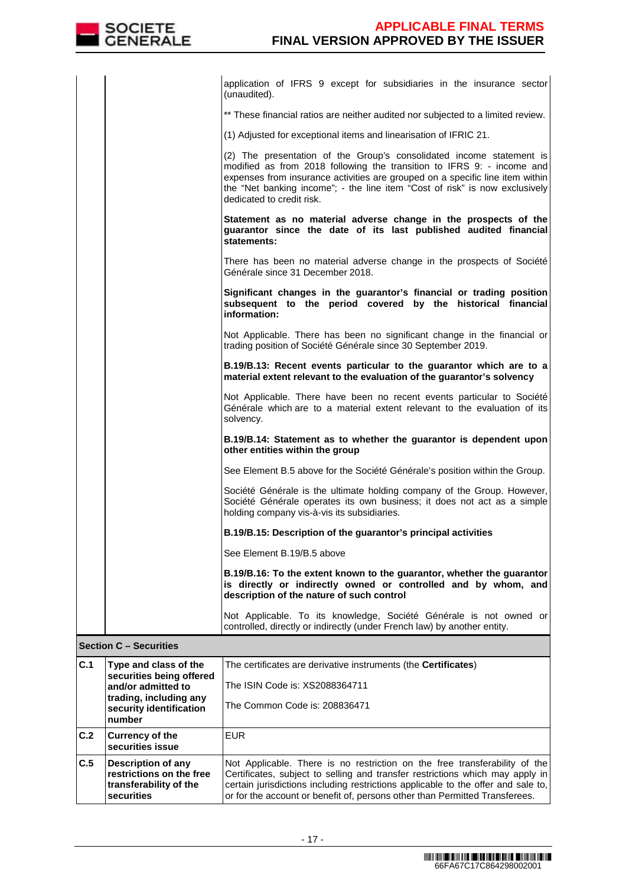|     |                                                                                        | application of IFRS 9 except for subsidiaries in the insurance sector<br>(unaudited).                                                                                                                                                                                                                                                       |
|-----|----------------------------------------------------------------------------------------|---------------------------------------------------------------------------------------------------------------------------------------------------------------------------------------------------------------------------------------------------------------------------------------------------------------------------------------------|
|     |                                                                                        | ** These financial ratios are neither audited nor subjected to a limited review.                                                                                                                                                                                                                                                            |
|     |                                                                                        | (1) Adjusted for exceptional items and linearisation of IFRIC 21.                                                                                                                                                                                                                                                                           |
|     |                                                                                        | (2) The presentation of the Group's consolidated income statement is<br>modified as from 2018 following the transition to IFRS 9: - income and<br>expenses from insurance activities are grouped on a specific line item within<br>the "Net banking income"; - the line item "Cost of risk" is now exclusively<br>dedicated to credit risk. |
|     |                                                                                        | Statement as no material adverse change in the prospects of the<br>guarantor since the date of its last published audited financial<br>statements:                                                                                                                                                                                          |
|     |                                                                                        | There has been no material adverse change in the prospects of Société<br>Générale since 31 December 2018.                                                                                                                                                                                                                                   |
|     |                                                                                        | Significant changes in the guarantor's financial or trading position<br>subsequent to the period covered by the historical financial<br>information:                                                                                                                                                                                        |
|     |                                                                                        | Not Applicable. There has been no significant change in the financial or<br>trading position of Société Générale since 30 September 2019.                                                                                                                                                                                                   |
|     |                                                                                        | B.19/B.13: Recent events particular to the guarantor which are to a<br>material extent relevant to the evaluation of the guarantor's solvency                                                                                                                                                                                               |
|     |                                                                                        | Not Applicable. There have been no recent events particular to Société<br>Générale which are to a material extent relevant to the evaluation of its<br>solvency.                                                                                                                                                                            |
|     |                                                                                        | B.19/B.14: Statement as to whether the guarantor is dependent upon<br>other entities within the group                                                                                                                                                                                                                                       |
|     |                                                                                        | See Element B.5 above for the Société Générale's position within the Group.                                                                                                                                                                                                                                                                 |
|     |                                                                                        | Société Générale is the ultimate holding company of the Group. However,<br>Société Générale operates its own business; it does not act as a simple<br>holding company vis-à-vis its subsidiaries.                                                                                                                                           |
|     |                                                                                        | B.19/B.15: Description of the guarantor's principal activities                                                                                                                                                                                                                                                                              |
|     |                                                                                        | See Element B.19/B.5 above                                                                                                                                                                                                                                                                                                                  |
|     |                                                                                        | B.19/B.16: To the extent known to the guarantor, whether the guarantor<br>is directly or indirectly owned or controlled and by whom, and<br>description of the nature of such control                                                                                                                                                       |
|     |                                                                                        | Not Applicable. To its knowledge, Société Générale is not owned or<br>controlled, directly or indirectly (under French law) by another entity.                                                                                                                                                                                              |
|     | <b>Section C - Securities</b>                                                          |                                                                                                                                                                                                                                                                                                                                             |
| C.1 | Type and class of the<br>securities being offered                                      | The certificates are derivative instruments (the <b>Certificates</b> )                                                                                                                                                                                                                                                                      |
|     | and/or admitted to                                                                     | The ISIN Code is: XS2088364711                                                                                                                                                                                                                                                                                                              |
|     | trading, including any<br>security identification<br>number                            | The Common Code is: 208836471                                                                                                                                                                                                                                                                                                               |
| C.2 | <b>Currency of the</b><br>securities issue                                             | <b>EUR</b>                                                                                                                                                                                                                                                                                                                                  |
| C.5 | Description of any<br>restrictions on the free<br>transferability of the<br>securities | Not Applicable. There is no restriction on the free transferability of the<br>Certificates, subject to selling and transfer restrictions which may apply in<br>certain jurisdictions including restrictions applicable to the offer and sale to,<br>or for the account or benefit of, persons other than Permitted Transferees.             |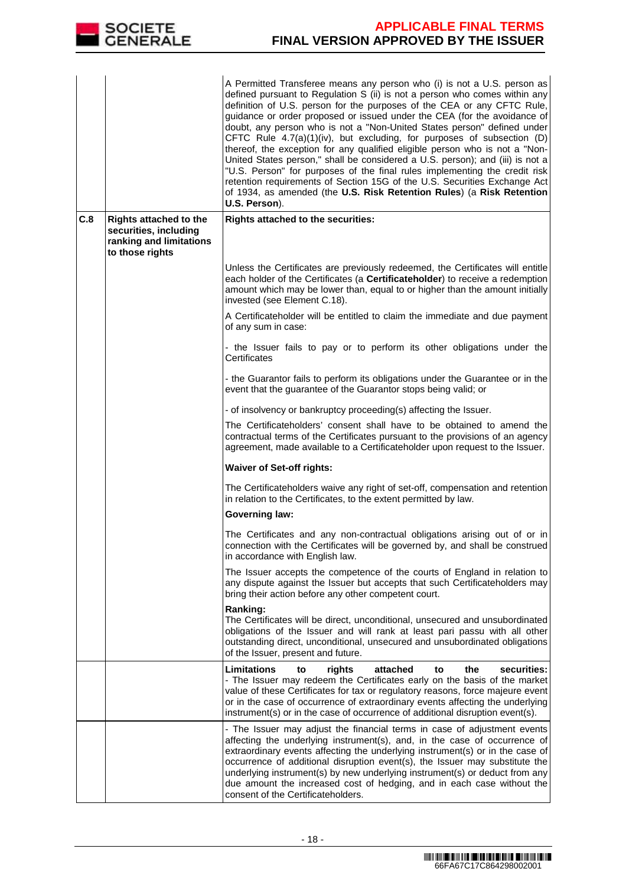

|     |                                                                                                      | A Permitted Transferee means any person who (i) is not a U.S. person as<br>defined pursuant to Regulation S (ii) is not a person who comes within any<br>definition of U.S. person for the purposes of the CEA or any CFTC Rule,<br>guidance or order proposed or issued under the CEA (for the avoidance of<br>doubt, any person who is not a "Non-United States person" defined under<br>CFTC Rule 4.7(a)(1)(iv), but excluding, for purposes of subsection (D)<br>thereof, the exception for any qualified eligible person who is not a "Non-<br>United States person," shall be considered a U.S. person); and (iii) is not a<br>"U.S. Person" for purposes of the final rules implementing the credit risk<br>retention requirements of Section 15G of the U.S. Securities Exchange Act<br>of 1934, as amended (the U.S. Risk Retention Rules) (a Risk Retention<br>U.S. Person). |
|-----|------------------------------------------------------------------------------------------------------|----------------------------------------------------------------------------------------------------------------------------------------------------------------------------------------------------------------------------------------------------------------------------------------------------------------------------------------------------------------------------------------------------------------------------------------------------------------------------------------------------------------------------------------------------------------------------------------------------------------------------------------------------------------------------------------------------------------------------------------------------------------------------------------------------------------------------------------------------------------------------------------|
| C.8 | <b>Rights attached to the</b><br>securities, including<br>ranking and limitations<br>to those rights | Rights attached to the securities:                                                                                                                                                                                                                                                                                                                                                                                                                                                                                                                                                                                                                                                                                                                                                                                                                                                     |
|     |                                                                                                      | Unless the Certificates are previously redeemed, the Certificates will entitle<br>each holder of the Certificates (a Certificateholder) to receive a redemption<br>amount which may be lower than, equal to or higher than the amount initially<br>invested (see Element C.18).                                                                                                                                                                                                                                                                                                                                                                                                                                                                                                                                                                                                        |
|     |                                                                                                      | A Certificateholder will be entitled to claim the immediate and due payment<br>of any sum in case:                                                                                                                                                                                                                                                                                                                                                                                                                                                                                                                                                                                                                                                                                                                                                                                     |
|     |                                                                                                      | - the Issuer fails to pay or to perform its other obligations under the<br>Certificates                                                                                                                                                                                                                                                                                                                                                                                                                                                                                                                                                                                                                                                                                                                                                                                                |
|     |                                                                                                      | - the Guarantor fails to perform its obligations under the Guarantee or in the<br>event that the guarantee of the Guarantor stops being valid; or                                                                                                                                                                                                                                                                                                                                                                                                                                                                                                                                                                                                                                                                                                                                      |
|     |                                                                                                      | - of insolvency or bankruptcy proceeding(s) affecting the Issuer.                                                                                                                                                                                                                                                                                                                                                                                                                                                                                                                                                                                                                                                                                                                                                                                                                      |
|     |                                                                                                      | The Certificateholders' consent shall have to be obtained to amend the<br>contractual terms of the Certificates pursuant to the provisions of an agency<br>agreement, made available to a Certificateholder upon request to the Issuer.                                                                                                                                                                                                                                                                                                                                                                                                                                                                                                                                                                                                                                                |
|     |                                                                                                      | <b>Waiver of Set-off rights:</b>                                                                                                                                                                                                                                                                                                                                                                                                                                                                                                                                                                                                                                                                                                                                                                                                                                                       |
|     |                                                                                                      | The Certificateholders waive any right of set-off, compensation and retention<br>in relation to the Certificates, to the extent permitted by law.                                                                                                                                                                                                                                                                                                                                                                                                                                                                                                                                                                                                                                                                                                                                      |
|     |                                                                                                      | <b>Governing law:</b>                                                                                                                                                                                                                                                                                                                                                                                                                                                                                                                                                                                                                                                                                                                                                                                                                                                                  |
|     |                                                                                                      | The Certificates and any non-contractual obligations arising out of or in<br>connection with the Certificates will be governed by, and shall be construed<br>in accordance with English law.                                                                                                                                                                                                                                                                                                                                                                                                                                                                                                                                                                                                                                                                                           |
|     |                                                                                                      | The Issuer accepts the competence of the courts of England in relation to<br>any dispute against the Issuer but accepts that such Certificateholders may<br>bring their action before any other competent court.                                                                                                                                                                                                                                                                                                                                                                                                                                                                                                                                                                                                                                                                       |
|     |                                                                                                      | Ranking:<br>The Certificates will be direct, unconditional, unsecured and unsubordinated<br>obligations of the Issuer and will rank at least pari passu with all other<br>outstanding direct, unconditional, unsecured and unsubordinated obligations<br>of the Issuer, present and future.                                                                                                                                                                                                                                                                                                                                                                                                                                                                                                                                                                                            |
|     |                                                                                                      | <b>Limitations</b><br>securities:<br>rights<br>attached<br>the<br>to<br>to<br>- The Issuer may redeem the Certificates early on the basis of the market<br>value of these Certificates for tax or regulatory reasons, force majeure event<br>or in the case of occurrence of extraordinary events affecting the underlying<br>instrument(s) or in the case of occurrence of additional disruption event(s).                                                                                                                                                                                                                                                                                                                                                                                                                                                                            |
|     |                                                                                                      | - The Issuer may adjust the financial terms in case of adjustment events<br>affecting the underlying instrument(s), and, in the case of occurrence of<br>extraordinary events affecting the underlying instrument(s) or in the case of<br>occurrence of additional disruption event(s), the Issuer may substitute the<br>underlying instrument(s) by new underlying instrument(s) or deduct from any<br>due amount the increased cost of hedging, and in each case without the<br>consent of the Certificateholders.                                                                                                                                                                                                                                                                                                                                                                   |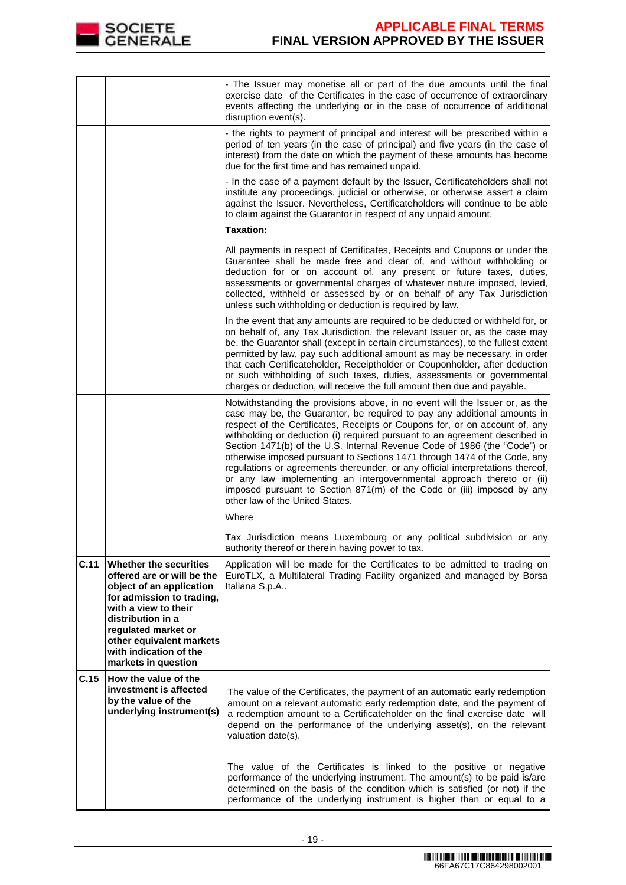

|      |                                                                                                                                                                                                                                                                | - The Issuer may monetise all or part of the due amounts until the final<br>exercise date of the Certificates in the case of occurrence of extraordinary<br>events affecting the underlying or in the case of occurrence of additional<br>disruption event(s).                                                                                                                                                                                                                                                                                                                                                                                                                                                                                           |
|------|----------------------------------------------------------------------------------------------------------------------------------------------------------------------------------------------------------------------------------------------------------------|----------------------------------------------------------------------------------------------------------------------------------------------------------------------------------------------------------------------------------------------------------------------------------------------------------------------------------------------------------------------------------------------------------------------------------------------------------------------------------------------------------------------------------------------------------------------------------------------------------------------------------------------------------------------------------------------------------------------------------------------------------|
|      |                                                                                                                                                                                                                                                                | - the rights to payment of principal and interest will be prescribed within a<br>period of ten years (in the case of principal) and five years (in the case of<br>interest) from the date on which the payment of these amounts has become<br>due for the first time and has remained unpaid.                                                                                                                                                                                                                                                                                                                                                                                                                                                            |
|      |                                                                                                                                                                                                                                                                | - In the case of a payment default by the Issuer, Certificateholders shall not<br>institute any proceedings, judicial or otherwise, or otherwise assert a claim<br>against the Issuer. Nevertheless, Certificateholders will continue to be able<br>to claim against the Guarantor in respect of any unpaid amount.                                                                                                                                                                                                                                                                                                                                                                                                                                      |
|      |                                                                                                                                                                                                                                                                | <b>Taxation:</b>                                                                                                                                                                                                                                                                                                                                                                                                                                                                                                                                                                                                                                                                                                                                         |
|      |                                                                                                                                                                                                                                                                | All payments in respect of Certificates, Receipts and Coupons or under the<br>Guarantee shall be made free and clear of, and without withholding or<br>deduction for or on account of, any present or future taxes, duties,<br>assessments or governmental charges of whatever nature imposed, levied,<br>collected, withheld or assessed by or on behalf of any Tax Jurisdiction<br>unless such withholding or deduction is required by law.                                                                                                                                                                                                                                                                                                            |
|      |                                                                                                                                                                                                                                                                | In the event that any amounts are required to be deducted or withheld for, or<br>on behalf of, any Tax Jurisdiction, the relevant Issuer or, as the case may<br>be, the Guarantor shall (except in certain circumstances), to the fullest extent<br>permitted by law, pay such additional amount as may be necessary, in order<br>that each Certificateholder, Receiptholder or Couponholder, after deduction<br>or such withholding of such taxes, duties, assessments or governmental<br>charges or deduction, will receive the full amount then due and payable.                                                                                                                                                                                      |
|      |                                                                                                                                                                                                                                                                | Notwithstanding the provisions above, in no event will the Issuer or, as the<br>case may be, the Guarantor, be required to pay any additional amounts in<br>respect of the Certificates, Receipts or Coupons for, or on account of, any<br>withholding or deduction (i) required pursuant to an agreement described in<br>Section 1471(b) of the U.S. Internal Revenue Code of 1986 (the "Code") or<br>otherwise imposed pursuant to Sections 1471 through 1474 of the Code, any<br>regulations or agreements thereunder, or any official interpretations thereof,<br>or any law implementing an intergovernmental approach thereto or (ii)<br>imposed pursuant to Section 871(m) of the Code or (iii) imposed by any<br>other law of the United States. |
|      |                                                                                                                                                                                                                                                                | Where                                                                                                                                                                                                                                                                                                                                                                                                                                                                                                                                                                                                                                                                                                                                                    |
|      |                                                                                                                                                                                                                                                                | Tax Jurisdiction means Luxembourg or any political subdivision or any<br>authority thereof or therein having power to tax.                                                                                                                                                                                                                                                                                                                                                                                                                                                                                                                                                                                                                               |
| C.11 | Whether the securities<br>offered are or will be the<br>object of an application<br>for admission to trading,<br>with a view to their<br>distribution in a<br>regulated market or<br>other equivalent markets<br>with indication of the<br>markets in question | Application will be made for the Certificates to be admitted to trading on<br>EuroTLX, a Multilateral Trading Facility organized and managed by Borsa<br>Italiana S.p.A                                                                                                                                                                                                                                                                                                                                                                                                                                                                                                                                                                                  |
| C.15 | How the value of the<br>investment is affected<br>by the value of the<br>underlying instrument(s)                                                                                                                                                              | The value of the Certificates, the payment of an automatic early redemption<br>amount on a relevant automatic early redemption date, and the payment of<br>a redemption amount to a Certificateholder on the final exercise date will<br>depend on the performance of the underlying asset(s), on the relevant<br>valuation date(s).                                                                                                                                                                                                                                                                                                                                                                                                                     |
|      |                                                                                                                                                                                                                                                                | The value of the Certificates is linked to the positive or negative<br>performance of the underlying instrument. The amount(s) to be paid is/are<br>determined on the basis of the condition which is satisfied (or not) if the<br>performance of the underlying instrument is higher than or equal to a                                                                                                                                                                                                                                                                                                                                                                                                                                                 |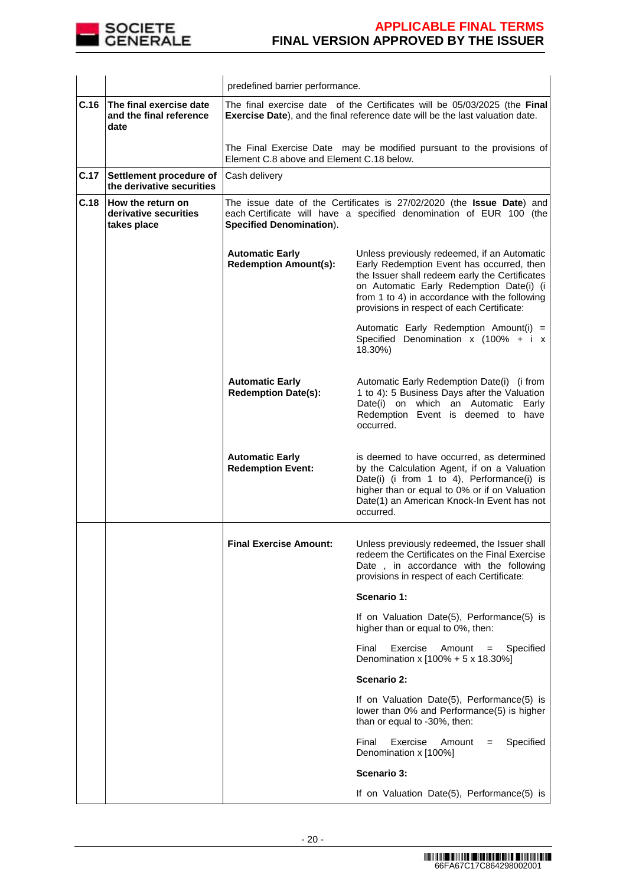

|      |                                                            |                                                                                                                                                                                 | predefined barrier performance.                                                                                                                                                                                                                                                       |  |  |  |  |
|------|------------------------------------------------------------|---------------------------------------------------------------------------------------------------------------------------------------------------------------------------------|---------------------------------------------------------------------------------------------------------------------------------------------------------------------------------------------------------------------------------------------------------------------------------------|--|--|--|--|
| C.16 | The final exercise date<br>and the final reference<br>date |                                                                                                                                                                                 | The final exercise date of the Certificates will be 05/03/2025 (the Final<br>Exercise Date), and the final reference date will be the last valuation date.                                                                                                                            |  |  |  |  |
|      |                                                            | Element C.8 above and Element C.18 below.                                                                                                                                       | The Final Exercise Date may be modified pursuant to the provisions of                                                                                                                                                                                                                 |  |  |  |  |
| C.17 | Settlement procedure of<br>the derivative securities       | Cash delivery                                                                                                                                                                   |                                                                                                                                                                                                                                                                                       |  |  |  |  |
| C.18 | How the return on<br>derivative securities<br>takes place  | The issue date of the Certificates is 27/02/2020 (the Issue Date) and<br>each Certificate will have a specified denomination of EUR 100 (the<br><b>Specified Denomination).</b> |                                                                                                                                                                                                                                                                                       |  |  |  |  |
|      |                                                            | <b>Automatic Early</b><br><b>Redemption Amount(s):</b>                                                                                                                          | Unless previously redeemed, if an Automatic<br>Early Redemption Event has occurred, then<br>the Issuer shall redeem early the Certificates<br>on Automatic Early Redemption Date(i) (i<br>from 1 to 4) in accordance with the following<br>provisions in respect of each Certificate: |  |  |  |  |
|      |                                                            |                                                                                                                                                                                 | Automatic Early Redemption Amount(i) =<br>Specified Denomination x (100% + i x<br>18.30%)                                                                                                                                                                                             |  |  |  |  |
|      |                                                            | <b>Automatic Early</b><br><b>Redemption Date(s):</b>                                                                                                                            | Automatic Early Redemption Date(i) (i from<br>1 to 4): 5 Business Days after the Valuation<br>Date(i) on which an Automatic Early<br>Redemption Event is deemed to have<br>occurred.                                                                                                  |  |  |  |  |
|      |                                                            | <b>Automatic Early</b><br><b>Redemption Event:</b>                                                                                                                              | is deemed to have occurred, as determined<br>by the Calculation Agent, if on a Valuation<br>Date(i) (i from 1 to 4), Performance(i) is<br>higher than or equal to 0% or if on Valuation<br>Date(1) an American Knock-In Event has not<br>occurred.                                    |  |  |  |  |
|      |                                                            | <b>Final Exercise Amount:</b>                                                                                                                                                   | Unless previously redeemed, the Issuer shall<br>redeem the Certificates on the Final Exercise<br>Date, in accordance with the following<br>provisions in respect of each Certificate:                                                                                                 |  |  |  |  |
|      |                                                            |                                                                                                                                                                                 | Scenario 1:                                                                                                                                                                                                                                                                           |  |  |  |  |
|      |                                                            |                                                                                                                                                                                 | If on Valuation Date(5), Performance(5) is<br>higher than or equal to 0%, then:                                                                                                                                                                                                       |  |  |  |  |
|      |                                                            |                                                                                                                                                                                 | Final<br>Exercise<br>Amount<br>Specified<br>$\hspace{1.6cm} = \hspace{1.6cm}$<br>Denomination x [100% + 5 x 18.30%]                                                                                                                                                                   |  |  |  |  |
|      |                                                            |                                                                                                                                                                                 | Scenario 2:                                                                                                                                                                                                                                                                           |  |  |  |  |
|      |                                                            |                                                                                                                                                                                 | If on Valuation Date(5), Performance(5) is<br>lower than 0% and Performance(5) is higher<br>than or equal to -30%, then:                                                                                                                                                              |  |  |  |  |
|      |                                                            |                                                                                                                                                                                 | Specified<br>Final<br>Exercise<br>Amount<br>$=$<br>Denomination x [100%]                                                                                                                                                                                                              |  |  |  |  |
|      |                                                            |                                                                                                                                                                                 | Scenario 3:                                                                                                                                                                                                                                                                           |  |  |  |  |
|      |                                                            |                                                                                                                                                                                 | If on Valuation Date(5), Performance(5) is                                                                                                                                                                                                                                            |  |  |  |  |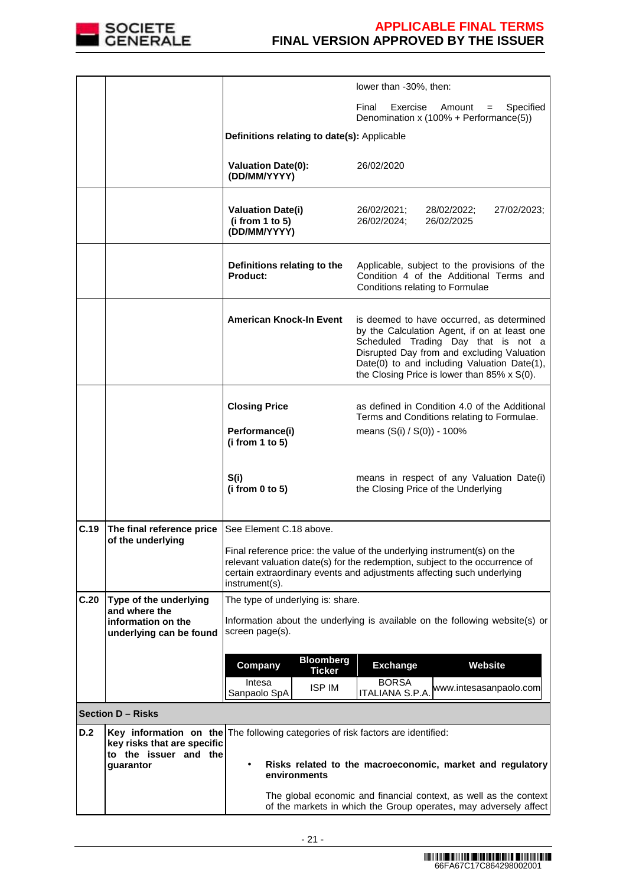

|      |                                                                |                                                                                        | lower than -30%, then:                                                                                                                                                                                                                                                       |
|------|----------------------------------------------------------------|----------------------------------------------------------------------------------------|------------------------------------------------------------------------------------------------------------------------------------------------------------------------------------------------------------------------------------------------------------------------------|
|      |                                                                |                                                                                        | Final<br>Exercise<br>Amount<br>Specified<br>$=$<br>Denomination x (100% + Performance(5))                                                                                                                                                                                    |
|      |                                                                | Definitions relating to date(s): Applicable                                            |                                                                                                                                                                                                                                                                              |
|      |                                                                | <b>Valuation Date(0):</b><br>(DD/MM/YYYY)                                              | 26/02/2020                                                                                                                                                                                                                                                                   |
|      |                                                                | <b>Valuation Date(i)</b><br>(i from 1 to 5)<br>(DD/MM/YYYY)                            | 26/02/2021;<br>28/02/2022;<br>27/02/2023;<br>26/02/2024;<br>26/02/2025                                                                                                                                                                                                       |
|      |                                                                | Definitions relating to the<br><b>Product:</b>                                         | Applicable, subject to the provisions of the<br>Condition 4 of the Additional Terms and<br>Conditions relating to Formulae                                                                                                                                                   |
|      |                                                                | <b>American Knock-In Event</b>                                                         | is deemed to have occurred, as determined<br>by the Calculation Agent, if on at least one<br>Scheduled Trading Day that is not a<br>Disrupted Day from and excluding Valuation<br>Date(0) to and including Valuation Date(1),<br>the Closing Price is lower than 85% x S(0). |
|      |                                                                | <b>Closing Price</b><br>Performance(i)<br>(i from 1 to 5)                              | as defined in Condition 4.0 of the Additional<br>Terms and Conditions relating to Formulae.<br>means (S(i) / S(0)) - 100%                                                                                                                                                    |
|      |                                                                | S(i)<br>(i from 0 to 5)                                                                | means in respect of any Valuation Date(i)<br>the Closing Price of the Underlying                                                                                                                                                                                             |
| C.19 | The final reference price                                      | See Element C.18 above.                                                                |                                                                                                                                                                                                                                                                              |
|      | of the underlying                                              | instrument(s).                                                                         | Final reference price: the value of the underlying instrument(s) on the<br>relevant valuation date(s) for the redemption, subject to the occurrence of<br>certain extraordinary events and adjustments affecting such underlying                                             |
| C.20 | Type of the underlying                                         | The type of underlying is: share.                                                      |                                                                                                                                                                                                                                                                              |
|      | and where the<br>information on the<br>underlying can be found | screen page(s).                                                                        | Information about the underlying is available on the following website(s) or                                                                                                                                                                                                 |
|      |                                                                | <b>Bloomberg</b>                                                                       |                                                                                                                                                                                                                                                                              |
|      |                                                                | Company<br><b>Ticker</b><br>Intesa                                                     | Website<br><b>Exchange</b><br><b>BORSA</b>                                                                                                                                                                                                                                   |
|      |                                                                | <b>ISP IM</b><br>Sanpaolo SpA                                                          | www.intesasanpaolo.com<br>ITALIANA S.P.A.                                                                                                                                                                                                                                    |
|      | <b>Section D - Risks</b>                                       |                                                                                        |                                                                                                                                                                                                                                                                              |
| D.2  | key risks that are specific<br>to the issuer and the           | <b>Key information on the</b> The following categories of risk factors are identified: |                                                                                                                                                                                                                                                                              |
|      | guarantor                                                      | ٠<br>environments                                                                      | Risks related to the macroeconomic, market and regulatory                                                                                                                                                                                                                    |
|      |                                                                |                                                                                        | The global economic and financial context, as well as the context<br>of the markets in which the Group operates, may adversely affect                                                                                                                                        |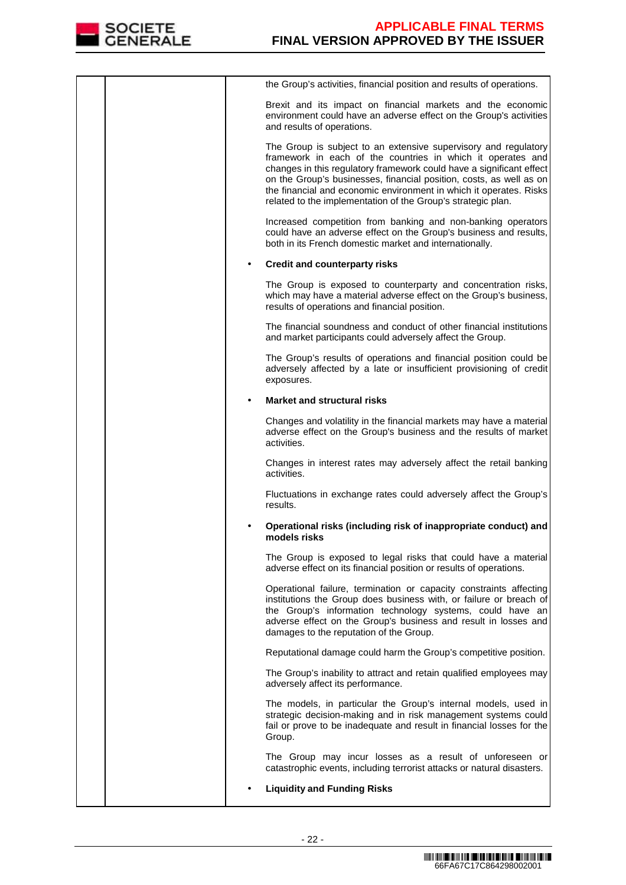

|  |   | the Group's activities, financial position and results of operations.                                                                                                                                                                                                                                                                                                                                               |
|--|---|---------------------------------------------------------------------------------------------------------------------------------------------------------------------------------------------------------------------------------------------------------------------------------------------------------------------------------------------------------------------------------------------------------------------|
|  |   | Brexit and its impact on financial markets and the economic<br>environment could have an adverse effect on the Group's activities<br>and results of operations.                                                                                                                                                                                                                                                     |
|  |   | The Group is subject to an extensive supervisory and regulatory<br>framework in each of the countries in which it operates and<br>changes in this regulatory framework could have a significant effect<br>on the Group's businesses, financial position, costs, as well as on<br>the financial and economic environment in which it operates. Risks<br>related to the implementation of the Group's strategic plan. |
|  |   | Increased competition from banking and non-banking operators<br>could have an adverse effect on the Group's business and results,<br>both in its French domestic market and internationally.                                                                                                                                                                                                                        |
|  | ٠ | <b>Credit and counterparty risks</b>                                                                                                                                                                                                                                                                                                                                                                                |
|  |   | The Group is exposed to counterparty and concentration risks,<br>which may have a material adverse effect on the Group's business,<br>results of operations and financial position.                                                                                                                                                                                                                                 |
|  |   | The financial soundness and conduct of other financial institutions<br>and market participants could adversely affect the Group.                                                                                                                                                                                                                                                                                    |
|  |   | The Group's results of operations and financial position could be<br>adversely affected by a late or insufficient provisioning of credit<br>exposures.                                                                                                                                                                                                                                                              |
|  |   | <b>Market and structural risks</b>                                                                                                                                                                                                                                                                                                                                                                                  |
|  |   | Changes and volatility in the financial markets may have a material<br>adverse effect on the Group's business and the results of market<br>activities.                                                                                                                                                                                                                                                              |
|  |   | Changes in interest rates may adversely affect the retail banking<br>activities.                                                                                                                                                                                                                                                                                                                                    |
|  |   | Fluctuations in exchange rates could adversely affect the Group's<br>results.                                                                                                                                                                                                                                                                                                                                       |
|  |   | Operational risks (including risk of inappropriate conduct) and<br>models risks                                                                                                                                                                                                                                                                                                                                     |
|  |   | The Group is exposed to legal risks that could have a material<br>adverse effect on its financial position or results of operations.                                                                                                                                                                                                                                                                                |
|  |   | Operational failure, termination or capacity constraints affecting<br>institutions the Group does business with, or failure or breach of<br>the Group's information technology systems, could have an<br>adverse effect on the Group's business and result in losses and<br>damages to the reputation of the Group.                                                                                                 |
|  |   | Reputational damage could harm the Group's competitive position.                                                                                                                                                                                                                                                                                                                                                    |
|  |   | The Group's inability to attract and retain qualified employees may<br>adversely affect its performance.                                                                                                                                                                                                                                                                                                            |
|  |   | The models, in particular the Group's internal models, used in<br>strategic decision-making and in risk management systems could<br>fail or prove to be inadequate and result in financial losses for the<br>Group.                                                                                                                                                                                                 |
|  |   | The Group may incur losses as a result of unforeseen or<br>catastrophic events, including terrorist attacks or natural disasters.                                                                                                                                                                                                                                                                                   |
|  |   | <b>Liquidity and Funding Risks</b>                                                                                                                                                                                                                                                                                                                                                                                  |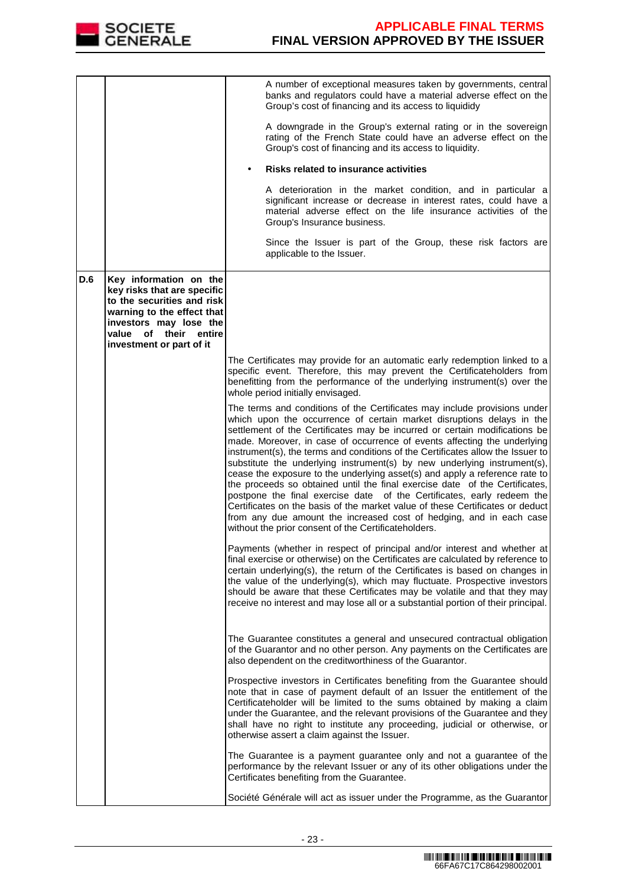

|     |                                                                                                                                                                                                  | A number of exceptional measures taken by governments, central<br>banks and regulators could have a material adverse effect on the<br>Group's cost of financing and its access to liquididy                                                                                                                                                                                                                                                                                                                                                                                                                                                                                                                                                                                                                                                                                                                                         |
|-----|--------------------------------------------------------------------------------------------------------------------------------------------------------------------------------------------------|-------------------------------------------------------------------------------------------------------------------------------------------------------------------------------------------------------------------------------------------------------------------------------------------------------------------------------------------------------------------------------------------------------------------------------------------------------------------------------------------------------------------------------------------------------------------------------------------------------------------------------------------------------------------------------------------------------------------------------------------------------------------------------------------------------------------------------------------------------------------------------------------------------------------------------------|
|     |                                                                                                                                                                                                  | A downgrade in the Group's external rating or in the sovereign<br>rating of the French State could have an adverse effect on the<br>Group's cost of financing and its access to liquidity.                                                                                                                                                                                                                                                                                                                                                                                                                                                                                                                                                                                                                                                                                                                                          |
|     |                                                                                                                                                                                                  | <b>Risks related to insurance activities</b>                                                                                                                                                                                                                                                                                                                                                                                                                                                                                                                                                                                                                                                                                                                                                                                                                                                                                        |
|     |                                                                                                                                                                                                  | A deterioration in the market condition, and in particular a<br>significant increase or decrease in interest rates, could have a<br>material adverse effect on the life insurance activities of the<br>Group's Insurance business.                                                                                                                                                                                                                                                                                                                                                                                                                                                                                                                                                                                                                                                                                                  |
|     |                                                                                                                                                                                                  | Since the Issuer is part of the Group, these risk factors are<br>applicable to the Issuer.                                                                                                                                                                                                                                                                                                                                                                                                                                                                                                                                                                                                                                                                                                                                                                                                                                          |
| D.6 | Key information on the<br>key risks that are specific<br>to the securities and risk<br>warning to the effect that<br>investors may lose the<br>value of their entire<br>investment or part of it |                                                                                                                                                                                                                                                                                                                                                                                                                                                                                                                                                                                                                                                                                                                                                                                                                                                                                                                                     |
|     |                                                                                                                                                                                                  | The Certificates may provide for an automatic early redemption linked to a<br>specific event. Therefore, this may prevent the Certificateholders from<br>benefitting from the performance of the underlying instrument(s) over the<br>whole period initially envisaged.                                                                                                                                                                                                                                                                                                                                                                                                                                                                                                                                                                                                                                                             |
|     |                                                                                                                                                                                                  | The terms and conditions of the Certificates may include provisions under<br>which upon the occurrence of certain market disruptions delays in the<br>settlement of the Certificates may be incurred or certain modifications be<br>made. Moreover, in case of occurrence of events affecting the underlying<br>instrument(s), the terms and conditions of the Certificates allow the Issuer to<br>substitute the underlying instrument(s) by new underlying instrument(s),<br>cease the exposure to the underlying asset(s) and apply a reference rate to<br>the proceeds so obtained until the final exercise date of the Certificates,<br>postpone the final exercise date of the Certificates, early redeem the<br>Certificates on the basis of the market value of these Certificates or deduct<br>from any due amount the increased cost of hedging, and in each case<br>without the prior consent of the Certificateholders. |
|     |                                                                                                                                                                                                  | Payments (whether in respect of principal and/or interest and whether at<br>final exercise or otherwise) on the Certificates are calculated by reference to<br>certain underlying(s), the return of the Certificates is based on changes in<br>the value of the underlying(s), which may fluctuate. Prospective investors<br>should be aware that these Certificates may be volatile and that they may<br>receive no interest and may lose all or a substantial portion of their principal.                                                                                                                                                                                                                                                                                                                                                                                                                                         |
|     |                                                                                                                                                                                                  | The Guarantee constitutes a general and unsecured contractual obligation<br>of the Guarantor and no other person. Any payments on the Certificates are<br>also dependent on the creditworthiness of the Guarantor.                                                                                                                                                                                                                                                                                                                                                                                                                                                                                                                                                                                                                                                                                                                  |
|     |                                                                                                                                                                                                  | Prospective investors in Certificates benefiting from the Guarantee should<br>note that in case of payment default of an Issuer the entitlement of the<br>Certificateholder will be limited to the sums obtained by making a claim<br>under the Guarantee, and the relevant provisions of the Guarantee and they<br>shall have no right to institute any proceeding, judicial or otherwise, or<br>otherwise assert a claim against the Issuer.                                                                                                                                                                                                                                                                                                                                                                                                                                                                                      |
|     |                                                                                                                                                                                                  | The Guarantee is a payment guarantee only and not a guarantee of the<br>performance by the relevant Issuer or any of its other obligations under the<br>Certificates benefiting from the Guarantee.                                                                                                                                                                                                                                                                                                                                                                                                                                                                                                                                                                                                                                                                                                                                 |
|     |                                                                                                                                                                                                  | Société Générale will act as issuer under the Programme, as the Guarantor                                                                                                                                                                                                                                                                                                                                                                                                                                                                                                                                                                                                                                                                                                                                                                                                                                                           |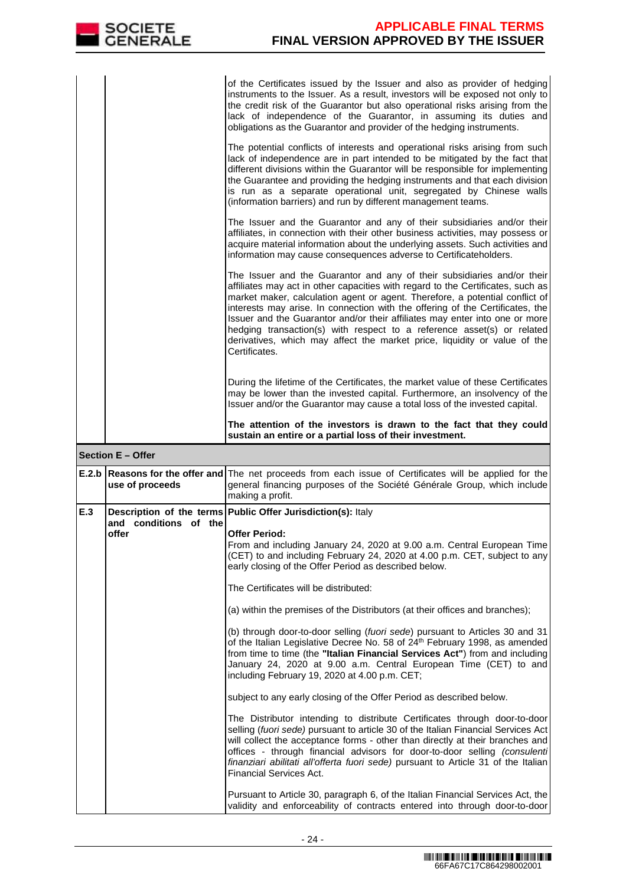|     | <b>SOCIETE</b><br><b>GENERALE</b> | <b>APPLICABLE FINAL TERMS</b><br><b>FINAL VERSION APPROVED BY THE ISSUER</b>                                                                                                                                                                                                                                                                                                                                                                                                                                                                                                       |
|-----|-----------------------------------|------------------------------------------------------------------------------------------------------------------------------------------------------------------------------------------------------------------------------------------------------------------------------------------------------------------------------------------------------------------------------------------------------------------------------------------------------------------------------------------------------------------------------------------------------------------------------------|
|     |                                   | of the Certificates issued by the Issuer and also as provider of hedging<br>instruments to the Issuer. As a result, investors will be exposed not only to<br>the credit risk of the Guarantor but also operational risks arising from the<br>lack of independence of the Guarantor, in assuming its duties and<br>obligations as the Guarantor and provider of the hedging instruments.                                                                                                                                                                                            |
|     |                                   | The potential conflicts of interests and operational risks arising from such<br>lack of independence are in part intended to be mitigated by the fact that<br>different divisions within the Guarantor will be responsible for implementing<br>the Guarantee and providing the hedging instruments and that each division<br>is run as a separate operational unit, segregated by Chinese walls<br>(information barriers) and run by different management teams.                                                                                                                   |
|     |                                   | The Issuer and the Guarantor and any of their subsidiaries and/or their<br>affiliates, in connection with their other business activities, may possess or<br>acquire material information about the underlying assets. Such activities and<br>information may cause consequences adverse to Certificateholders.                                                                                                                                                                                                                                                                    |
|     |                                   | The Issuer and the Guarantor and any of their subsidiaries and/or their<br>affiliates may act in other capacities with regard to the Certificates, such as<br>market maker, calculation agent or agent. Therefore, a potential conflict of<br>interests may arise. In connection with the offering of the Certificates, the<br>Issuer and the Guarantor and/or their affiliates may enter into one or more<br>hedging transaction(s) with respect to a reference asset(s) or related<br>derivatives, which may affect the market price, liquidity or value of the<br>Certificates. |
|     |                                   | During the lifetime of the Certificates, the market value of these Certificates<br>may be lower than the invested capital. Furthermore, an insolvency of the<br>Issuer and/or the Guarantor may cause a total loss of the invested capital.                                                                                                                                                                                                                                                                                                                                        |
|     |                                   | The attention of the investors is drawn to the fact that they could<br>sustain an entire or a partial loss of their investment.                                                                                                                                                                                                                                                                                                                                                                                                                                                    |
|     | Section E - Offer                 |                                                                                                                                                                                                                                                                                                                                                                                                                                                                                                                                                                                    |
|     |                                   |                                                                                                                                                                                                                                                                                                                                                                                                                                                                                                                                                                                    |
|     | use of proceeds                   | general financing purposes of the Société Générale Group, which include<br>making a profit.                                                                                                                                                                                                                                                                                                                                                                                                                                                                                        |
| E.3 | and conditions of the<br>offer    | Description of the terms Public Offer Jurisdiction(s): Italy<br><b>Offer Period:</b><br>From and including January 24, 2020 at 9.00 a.m. Central European Time                                                                                                                                                                                                                                                                                                                                                                                                                     |
|     |                                   | early closing of the Offer Period as described below.                                                                                                                                                                                                                                                                                                                                                                                                                                                                                                                              |
|     |                                   | The Certificates will be distributed:                                                                                                                                                                                                                                                                                                                                                                                                                                                                                                                                              |
|     |                                   | (a) within the premises of the Distributors (at their offices and branches);                                                                                                                                                                                                                                                                                                                                                                                                                                                                                                       |
|     |                                   | (b) through door-to-door selling (fuori sede) pursuant to Articles 30 and 31<br>including February 19, 2020 at 4.00 p.m. CET;                                                                                                                                                                                                                                                                                                                                                                                                                                                      |
|     |                                   | <b>E.2.b Reasons for the offer and</b> The net proceeds from each issue of Certificates will be applied for the<br>(CET) to and including February 24, 2020 at 4.00 p.m. CET, subject to any<br>of the Italian Legislative Decree No. 58 of 24 <sup>th</sup> February 1998, as amended<br>from time to time (the "Italian Financial Services Act") from and including<br>January 24, 2020 at 9.00 a.m. Central European Time (CET) to and<br>subject to any early closing of the Offer Period as described below.                                                                  |
|     |                                   | The Distributor intending to distribute Certificates through door-to-door<br>selling (fuori sede) pursuant to article 30 of the Italian Financial Services Act<br>will collect the acceptance forms - other than directly at their branches and<br>offices - through financial advisors for door-to-door selling <i>(consulenti</i><br>finanziari abilitati all'offerta fuori sede) pursuant to Article 31 of the Italian<br><b>Financial Services Act.</b>                                                                                                                        |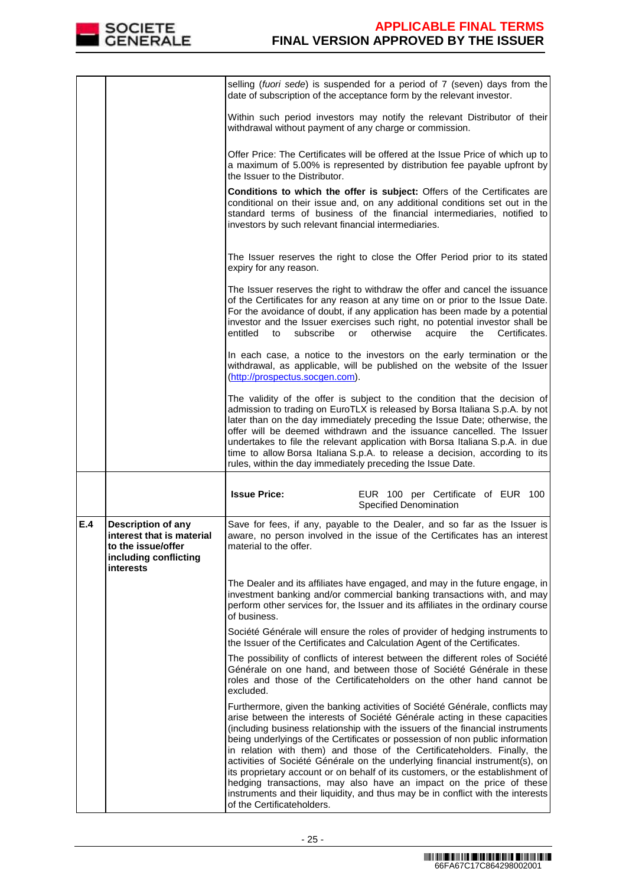

|     |                                                                                                                           |                                                                                                                                                                                                                                                                                                                                                                                                                  | selling (fuori sede) is suspended for a period of 7 (seven) days from the<br>date of subscription of the acceptance form by the relevant investor.                                                                                                                                                                                                                                                                                                                                                                                              |  |  |
|-----|---------------------------------------------------------------------------------------------------------------------------|------------------------------------------------------------------------------------------------------------------------------------------------------------------------------------------------------------------------------------------------------------------------------------------------------------------------------------------------------------------------------------------------------------------|-------------------------------------------------------------------------------------------------------------------------------------------------------------------------------------------------------------------------------------------------------------------------------------------------------------------------------------------------------------------------------------------------------------------------------------------------------------------------------------------------------------------------------------------------|--|--|
|     |                                                                                                                           |                                                                                                                                                                                                                                                                                                                                                                                                                  | Within such period investors may notify the relevant Distributor of their<br>withdrawal without payment of any charge or commission.                                                                                                                                                                                                                                                                                                                                                                                                            |  |  |
|     |                                                                                                                           | the Issuer to the Distributor.                                                                                                                                                                                                                                                                                                                                                                                   | Offer Price: The Certificates will be offered at the Issue Price of which up to<br>a maximum of 5.00% is represented by distribution fee payable upfront by                                                                                                                                                                                                                                                                                                                                                                                     |  |  |
|     |                                                                                                                           | investors by such relevant financial intermediaries.                                                                                                                                                                                                                                                                                                                                                             | Conditions to which the offer is subject: Offers of the Certificates are<br>conditional on their issue and, on any additional conditions set out in the<br>standard terms of business of the financial intermediaries, notified to                                                                                                                                                                                                                                                                                                              |  |  |
|     |                                                                                                                           | expiry for any reason.                                                                                                                                                                                                                                                                                                                                                                                           | The Issuer reserves the right to close the Offer Period prior to its stated                                                                                                                                                                                                                                                                                                                                                                                                                                                                     |  |  |
|     |                                                                                                                           | The Issuer reserves the right to withdraw the offer and cancel the issuance<br>of the Certificates for any reason at any time on or prior to the Issue Date.<br>For the avoidance of doubt, if any application has been made by a potential<br>investor and the Issuer exercises such right, no potential investor shall be<br>otherwise<br>entitled<br>subscribe<br>acquire<br>Certificates.<br>to<br>or<br>the |                                                                                                                                                                                                                                                                                                                                                                                                                                                                                                                                                 |  |  |
|     |                                                                                                                           | (http://prospectus.socgen.com).                                                                                                                                                                                                                                                                                                                                                                                  | In each case, a notice to the investors on the early termination or the<br>withdrawal, as applicable, will be published on the website of the Issuer                                                                                                                                                                                                                                                                                                                                                                                            |  |  |
|     |                                                                                                                           |                                                                                                                                                                                                                                                                                                                                                                                                                  | The validity of the offer is subject to the condition that the decision of<br>admission to trading on EuroTLX is released by Borsa Italiana S.p.A. by not<br>later than on the day immediately preceding the Issue Date; otherwise, the<br>offer will be deemed withdrawn and the issuance cancelled. The Issuer<br>undertakes to file the relevant application with Borsa Italiana S.p.A. in due<br>time to allow Borsa Italiana S.p.A. to release a decision, according to its<br>rules, within the day immediately preceding the Issue Date. |  |  |
|     |                                                                                                                           | <b>Issue Price:</b>                                                                                                                                                                                                                                                                                                                                                                                              | EUR 100 per Certificate of EUR 100<br>Specified Denomination                                                                                                                                                                                                                                                                                                                                                                                                                                                                                    |  |  |
| E.4 | <b>Description of any</b><br>interest that is material<br>to the issue/offer<br>including conflicting<br><i>interests</i> | material to the offer.                                                                                                                                                                                                                                                                                                                                                                                           | Save for fees, if any, payable to the Dealer, and so far as the Issuer is<br>aware, no person involved in the issue of the Certificates has an interest                                                                                                                                                                                                                                                                                                                                                                                         |  |  |
|     |                                                                                                                           | of business.                                                                                                                                                                                                                                                                                                                                                                                                     | The Dealer and its affiliates have engaged, and may in the future engage, in<br>investment banking and/or commercial banking transactions with, and may<br>perform other services for, the Issuer and its affiliates in the ordinary course                                                                                                                                                                                                                                                                                                     |  |  |
|     |                                                                                                                           |                                                                                                                                                                                                                                                                                                                                                                                                                  | Société Générale will ensure the roles of provider of hedging instruments to<br>the Issuer of the Certificates and Calculation Agent of the Certificates.                                                                                                                                                                                                                                                                                                                                                                                       |  |  |
|     |                                                                                                                           | excluded.                                                                                                                                                                                                                                                                                                                                                                                                        | The possibility of conflicts of interest between the different roles of Société<br>Générale on one hand, and between those of Société Générale in these<br>roles and those of the Certificateholders on the other hand cannot be                                                                                                                                                                                                                                                                                                                |  |  |
|     |                                                                                                                           |                                                                                                                                                                                                                                                                                                                                                                                                                  | Furthermore, given the banking activities of Société Générale, conflicts may<br>arise between the interests of Société Générale acting in these capacities<br>(including business relationship with the issuers of the financial instruments<br>being underlyings of the Certificates or possession of non public information<br>in relation with them) and those of the Certificateholders. Finally, the<br>activities of Société Générale on the underlying financial instrument(s), on                                                       |  |  |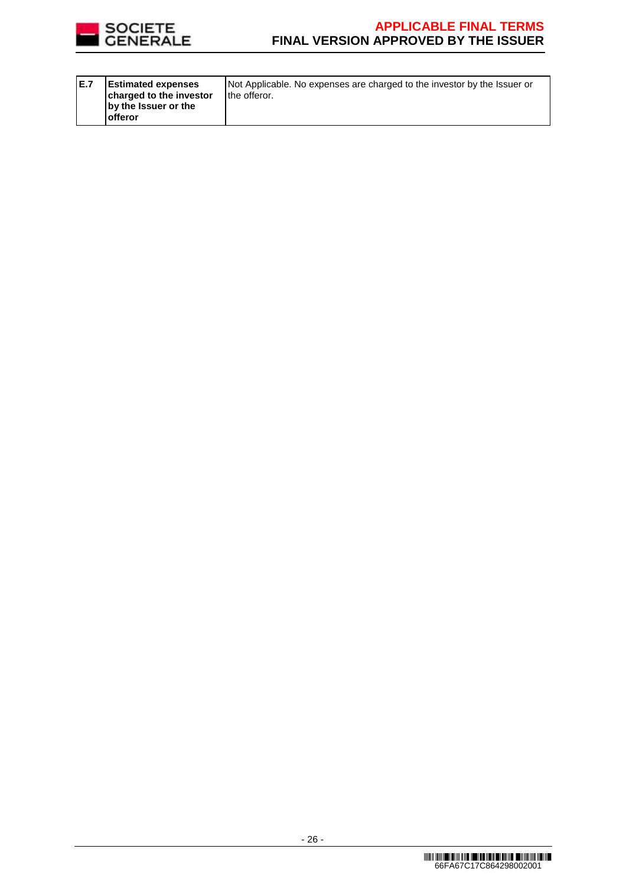

| E.7<br><b>Offeror</b> | <b>Estimated expenses</b><br>charged to the investor<br>by the Issuer or the | Not Applicable. No expenses are charged to the investor by the Issuer or<br>the offeror. |
|-----------------------|------------------------------------------------------------------------------|------------------------------------------------------------------------------------------|
|-----------------------|------------------------------------------------------------------------------|------------------------------------------------------------------------------------------|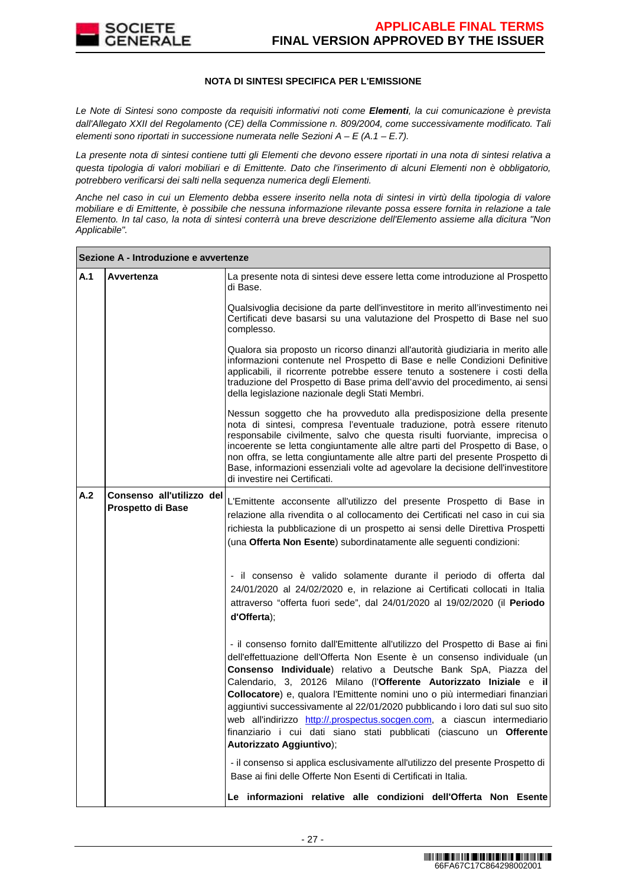

### **NOTA DI SINTESI SPECIFICA PER L'EMISSIONE**

Le Note di Sintesi sono composte da requisiti informativi noti come **Elementi**, la cui comunicazione è prevista dall'Allegato XXII del Regolamento (CE) della Commissione n. 809/2004, come successivamente modificato. Tali elementi sono riportati in successione numerata nelle Sezioni  $A - E(A.1 - E.7)$ .

La presente nota di sintesi contiene tutti gli Elementi che devono essere riportati in una nota di sintesi relativa a questa tipologia di valori mobiliari e di Emittente. Dato che l'inserimento di alcuni Elementi non è obbligatorio, potrebbero verificarsi dei salti nella sequenza numerica degli Elementi.

Anche nel caso in cui un Elemento debba essere inserito nella nota di sintesi in virtù della tipologia di valore mobiliare e di Emittente, è possibile che nessuna informazione rilevante possa essere fornita in relazione a tale Elemento. In tal caso, la nota di sintesi conterrà una breve descrizione dell'Elemento assieme alla dicitura "Non Applicabile".

|     | Sezione A - Introduzione e avvertenze          |                                                                                                                                                                                                                                                                                                                                                                                                                                                                                                                                                                                                                                                       |  |  |  |  |
|-----|------------------------------------------------|-------------------------------------------------------------------------------------------------------------------------------------------------------------------------------------------------------------------------------------------------------------------------------------------------------------------------------------------------------------------------------------------------------------------------------------------------------------------------------------------------------------------------------------------------------------------------------------------------------------------------------------------------------|--|--|--|--|
| A.1 | Avvertenza                                     | La presente nota di sintesi deve essere letta come introduzione al Prospetto<br>di Base.                                                                                                                                                                                                                                                                                                                                                                                                                                                                                                                                                              |  |  |  |  |
|     |                                                | Qualsivoglia decisione da parte dell'investitore in merito all'investimento nei<br>Certificati deve basarsi su una valutazione del Prospetto di Base nel suo<br>complesso.                                                                                                                                                                                                                                                                                                                                                                                                                                                                            |  |  |  |  |
|     |                                                | Qualora sia proposto un ricorso dinanzi all'autorità giudiziaria in merito alle<br>informazioni contenute nel Prospetto di Base e nelle Condizioni Definitive<br>applicabili, il ricorrente potrebbe essere tenuto a sostenere i costi della<br>traduzione del Prospetto di Base prima dell'avvio del procedimento, ai sensi<br>della legislazione nazionale degli Stati Membri.                                                                                                                                                                                                                                                                      |  |  |  |  |
|     | di investire nei Certificati.                  | Nessun soggetto che ha provveduto alla predisposizione della presente<br>nota di sintesi, compresa l'eventuale traduzione, potrà essere ritenuto<br>responsabile civilmente, salvo che questa risulti fuorviante, imprecisa o<br>incoerente se letta congiuntamente alle altre parti del Prospetto di Base, o<br>non offra, se letta congiuntamente alle altre parti del presente Prospetto di<br>Base, informazioni essenziali volte ad agevolare la decisione dell'investitore                                                                                                                                                                      |  |  |  |  |
| A.2 | Consenso all'utilizzo del<br>Prospetto di Base | L'Emittente acconsente all'utilizzo del presente Prospetto di Base in<br>relazione alla rivendita o al collocamento dei Certificati nel caso in cui sia<br>richiesta la pubblicazione di un prospetto ai sensi delle Direttiva Prospetti<br>(una Offerta Non Esente) subordinatamente alle seguenti condizioni:                                                                                                                                                                                                                                                                                                                                       |  |  |  |  |
|     |                                                | - il consenso è valido solamente durante il periodo di offerta dal<br>24/01/2020 al 24/02/2020 e, in relazione ai Certificati collocati in Italia<br>attraverso "offerta fuori sede", dal 24/01/2020 al 19/02/2020 (il Periodo<br>d'Offerta);                                                                                                                                                                                                                                                                                                                                                                                                         |  |  |  |  |
|     |                                                | - il consenso fornito dall'Emittente all'utilizzo del Prospetto di Base ai fini<br>dell'effettuazione dell'Offerta Non Esente è un consenso individuale (un<br>Consenso Individuale) relativo a Deutsche Bank SpA, Piazza del<br>Calendario, 3, 20126 Milano (l'Offerente Autorizzato Iniziale e il<br>Collocatore) e, qualora l'Emittente nomini uno o più intermediari finanziari<br>aggiuntivi successivamente al 22/01/2020 pubblicando i loro dati sul suo sito<br>web all'indirizzo http://.prospectus.socgen.com, a ciascun intermediario.<br>finanziario i cui dati siano stati pubblicati (ciascuno un Offerente<br>Autorizzato Aggiuntivo); |  |  |  |  |
|     |                                                | - il consenso si applica esclusivamente all'utilizzo del presente Prospetto di<br>Base ai fini delle Offerte Non Esenti di Certificati in Italia.                                                                                                                                                                                                                                                                                                                                                                                                                                                                                                     |  |  |  |  |
|     |                                                | Le informazioni relative alle condizioni dell'Offerta Non Esente                                                                                                                                                                                                                                                                                                                                                                                                                                                                                                                                                                                      |  |  |  |  |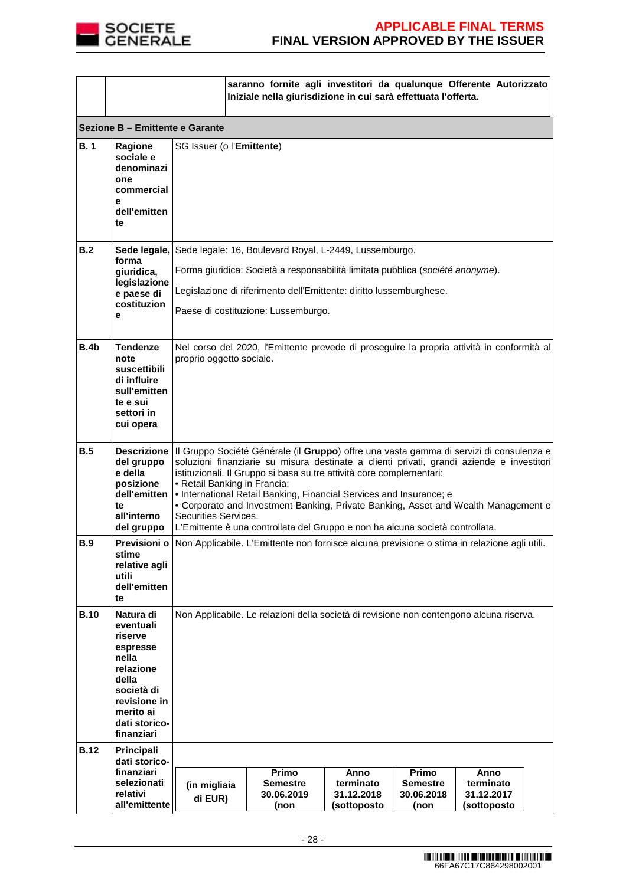

|             |                                                                                                                                                        |                                                                                                                                                                                                                                                                                                                                                                                                                                                                                                                                                                                  | saranno fornite agli investitori da qualunque Offerente Autorizzato<br>Iniziale nella giurisdizione in cui sarà effettuata l'offerta. |                                                |                                                |                                                |  |
|-------------|--------------------------------------------------------------------------------------------------------------------------------------------------------|----------------------------------------------------------------------------------------------------------------------------------------------------------------------------------------------------------------------------------------------------------------------------------------------------------------------------------------------------------------------------------------------------------------------------------------------------------------------------------------------------------------------------------------------------------------------------------|---------------------------------------------------------------------------------------------------------------------------------------|------------------------------------------------|------------------------------------------------|------------------------------------------------|--|
|             | Sezione B - Emittente e Garante                                                                                                                        |                                                                                                                                                                                                                                                                                                                                                                                                                                                                                                                                                                                  |                                                                                                                                       |                                                |                                                |                                                |  |
| B.1         | <b>Ragione</b><br>sociale e<br>denominazi<br>one<br>commercial<br>е<br>dell'emitten<br>te                                                              | SG Issuer (o l'Emittente)                                                                                                                                                                                                                                                                                                                                                                                                                                                                                                                                                        |                                                                                                                                       |                                                |                                                |                                                |  |
| B.2         | forma                                                                                                                                                  |                                                                                                                                                                                                                                                                                                                                                                                                                                                                                                                                                                                  | Sede legale, Sede legale: 16, Boulevard Royal, L-2449, Lussemburgo.                                                                   |                                                |                                                |                                                |  |
|             | giuridica,<br>legislazione                                                                                                                             |                                                                                                                                                                                                                                                                                                                                                                                                                                                                                                                                                                                  | Forma giuridica: Società a responsabilità limitata pubblica (société anonyme).                                                        |                                                |                                                |                                                |  |
|             | e paese di<br>costituzion                                                                                                                              |                                                                                                                                                                                                                                                                                                                                                                                                                                                                                                                                                                                  | Legislazione di riferimento dell'Emittente: diritto lussemburghese.                                                                   |                                                |                                                |                                                |  |
|             | е                                                                                                                                                      |                                                                                                                                                                                                                                                                                                                                                                                                                                                                                                                                                                                  | Paese di costituzione: Lussemburgo.                                                                                                   |                                                |                                                |                                                |  |
| B.4b        | Tendenze<br>note<br>suscettibili<br>di influire<br>sull'emitten<br>te e sui<br>settori in<br>cui opera                                                 | Nel corso del 2020, l'Emittente prevede di proseguire la propria attività in conformità al<br>proprio oggetto sociale.                                                                                                                                                                                                                                                                                                                                                                                                                                                           |                                                                                                                                       |                                                |                                                |                                                |  |
| B.5         | del gruppo<br>e della<br>posizione<br>dell'emitten<br>te<br>all'interno<br>del gruppo                                                                  | Descrizione   Il Gruppo Société Générale (il Gruppo) offre una vasta gamma di servizi di consulenza e<br>soluzioni finanziarie su misura destinate a clienti privati, grandi aziende e investitori<br>istituzionali. Il Gruppo si basa su tre attività core complementari:<br>• Retail Banking in Francia;<br>• International Retail Banking, Financial Services and Insurance; e<br>• Corporate and Investment Banking, Private Banking, Asset and Wealth Management e<br>Securities Services.<br>L'Emittente è una controllata del Gruppo e non ha alcuna società controllata. |                                                                                                                                       |                                                |                                                |                                                |  |
| <b>B.9</b>  | stime<br>relative agli<br>utili<br>dell'emitten<br>te                                                                                                  | Previsioni o Non Applicabile. L'Emittente non fornisce alcuna previsione o stima in relazione agli utili.                                                                                                                                                                                                                                                                                                                                                                                                                                                                        |                                                                                                                                       |                                                |                                                |                                                |  |
| <b>B.10</b> | Natura di<br>eventuali<br>riserve<br>espresse<br>nella<br>relazione<br>della<br>società di<br>revisione in<br>merito ai<br>dati storico-<br>finanziari | Non Applicabile. Le relazioni della società di revisione non contengono alcuna riserva.                                                                                                                                                                                                                                                                                                                                                                                                                                                                                          |                                                                                                                                       |                                                |                                                |                                                |  |
| <b>B.12</b> | Principali<br>dati storico-<br>finanziari<br>selezionati<br>relativi<br>all'emittente                                                                  | (in migliaia<br>di EUR)                                                                                                                                                                                                                                                                                                                                                                                                                                                                                                                                                          | Primo<br><b>Semestre</b><br>30.06.2019<br>(non                                                                                        | Anno<br>terminato<br>31.12.2018<br>(sottoposto | Primo<br><b>Semestre</b><br>30.06.2018<br>(non | Anno<br>terminato<br>31.12.2017<br>(sottoposto |  |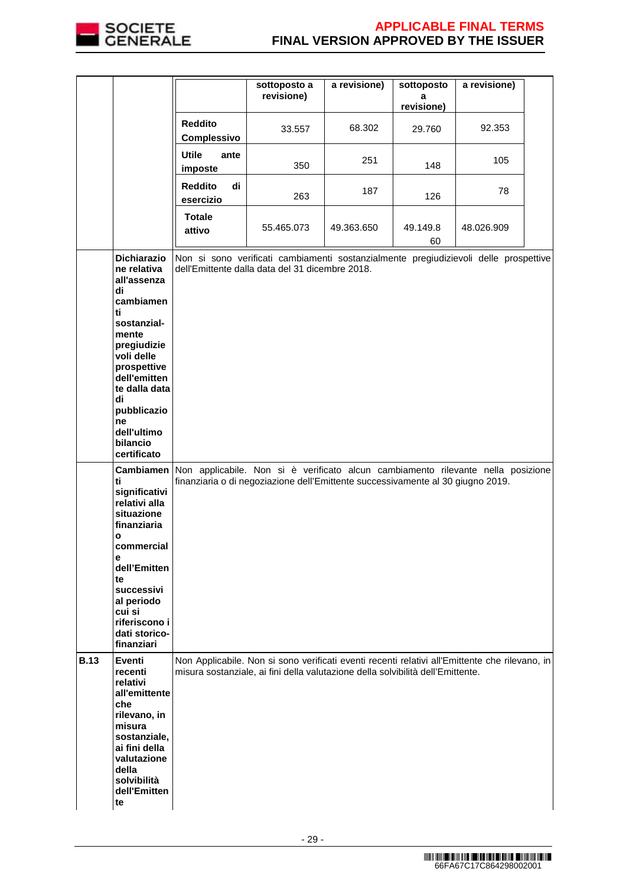

|             |                                                                                                                                                                                                                                              |                                                                                                                                                                     | sottoposto a<br>revisione)                                                                                                                                                        | a revisione) | sottoposto<br>а | a revisione) |  |
|-------------|----------------------------------------------------------------------------------------------------------------------------------------------------------------------------------------------------------------------------------------------|---------------------------------------------------------------------------------------------------------------------------------------------------------------------|-----------------------------------------------------------------------------------------------------------------------------------------------------------------------------------|--------------|-----------------|--------------|--|
|             |                                                                                                                                                                                                                                              |                                                                                                                                                                     |                                                                                                                                                                                   |              | revisione)      |              |  |
|             |                                                                                                                                                                                                                                              | <b>Reddito</b><br>Complessivo                                                                                                                                       | 33.557                                                                                                                                                                            | 68.302       | 29.760          | 92.353       |  |
|             |                                                                                                                                                                                                                                              | <b>Utile</b><br>ante<br>imposte                                                                                                                                     | 350                                                                                                                                                                               | 251          | 148             | 105          |  |
|             |                                                                                                                                                                                                                                              | <b>Reddito</b><br>di<br>esercizio                                                                                                                                   | 263                                                                                                                                                                               | 187          | 126             | 78           |  |
|             |                                                                                                                                                                                                                                              | <b>Totale</b><br>attivo                                                                                                                                             | 55.465.073                                                                                                                                                                        | 49.363.650   | 49.149.8<br>60  | 48.026.909   |  |
|             | Dichiarazio<br>ne relativa<br>all'assenza<br>di<br>cambiamen<br>ti<br>sostanzial-<br>mente<br>pregiudizie<br>voli delle<br>prospettive<br>dell'emitten<br>te dalla data<br>di<br>pubblicazio<br>ne<br>dell'ultimo<br>bilancio<br>certificato | Non si sono verificati cambiamenti sostanzialmente pregiudizievoli delle prospettive<br>dell'Emittente dalla data del 31 dicembre 2018.                             |                                                                                                                                                                                   |              |                 |              |  |
|             | Cambiamen<br>ti<br>significativi<br>relativi alla<br>situazione<br>finanziaria                                                                                                                                                               | Non applicabile. Non si è verificato alcun cambiamento rilevante nella posizione<br>finanziaria o di negoziazione dell'Emittente successivamente al 30 giugno 2019. |                                                                                                                                                                                   |              |                 |              |  |
|             | $\mathbf{o}$<br>commercial<br>е<br>dell'Emitten<br>te<br>successivi<br>al periodo<br>cui si<br>riferiscono i<br>dati storico-<br>finanziari                                                                                                  |                                                                                                                                                                     |                                                                                                                                                                                   |              |                 |              |  |
| <b>B.13</b> | Eventi<br>recenti<br>relativi<br>all'emittente<br>che<br>rilevano, in<br>misura<br>sostanziale,<br>ai fini della<br>valutazione<br>della<br>solvibilità<br>dell'Emitten<br>te                                                                |                                                                                                                                                                     | Non Applicabile. Non si sono verificati eventi recenti relativi all'Emittente che rilevano, in<br>misura sostanziale, ai fini della valutazione della solvibilità dell'Emittente. |              |                 |              |  |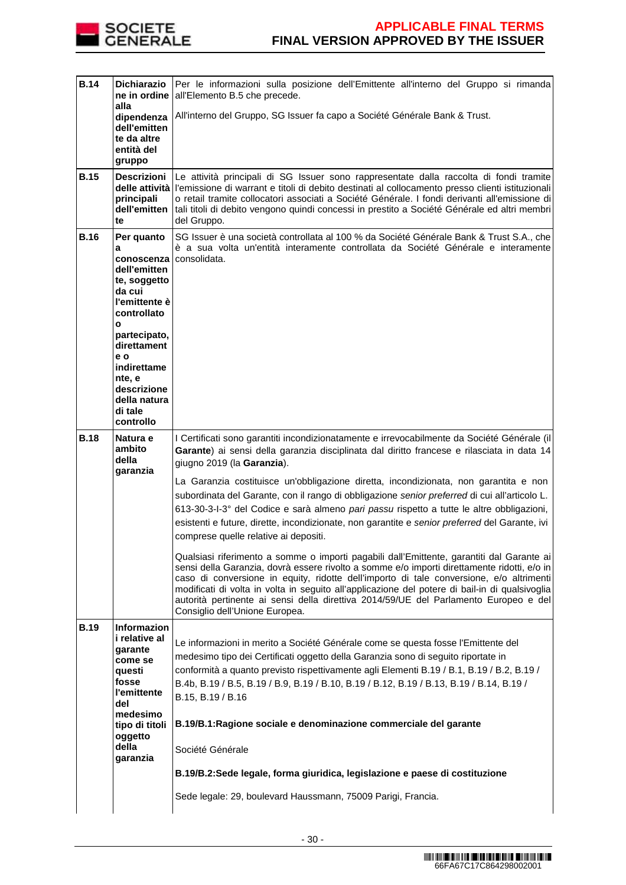

| <b>B.14</b> | Dichiarazio<br>ne in ordine                                                                                                                                                                                                        | Per le informazioni sulla posizione dell'Emittente all'interno del Gruppo si rimanda<br>all'Elemento B.5 che precede.                                                                                                                                                                                                                                                                                                                                                                                                                                                                                                                                                                                                                                                                                                                                                                                                                                                                                                                                                                                                                                                       |
|-------------|------------------------------------------------------------------------------------------------------------------------------------------------------------------------------------------------------------------------------------|-----------------------------------------------------------------------------------------------------------------------------------------------------------------------------------------------------------------------------------------------------------------------------------------------------------------------------------------------------------------------------------------------------------------------------------------------------------------------------------------------------------------------------------------------------------------------------------------------------------------------------------------------------------------------------------------------------------------------------------------------------------------------------------------------------------------------------------------------------------------------------------------------------------------------------------------------------------------------------------------------------------------------------------------------------------------------------------------------------------------------------------------------------------------------------|
|             | alla<br>dipendenza<br>dell'emitten<br>te da altre<br>entità del<br>gruppo                                                                                                                                                          | All'interno del Gruppo, SG Issuer fa capo a Société Générale Bank & Trust.                                                                                                                                                                                                                                                                                                                                                                                                                                                                                                                                                                                                                                                                                                                                                                                                                                                                                                                                                                                                                                                                                                  |
| <b>B.15</b> | Descrizioni<br>principali<br>dell'emitten<br>te                                                                                                                                                                                    | Le attività principali di SG Issuer sono rappresentate dalla raccolta di fondi tramite<br>delle attività l'emissione di warrant e titoli di debito destinati al collocamento presso clienti istituzionali<br>o retail tramite collocatori associati a Société Générale. I fondi derivanti all'emissione di<br>tali titoli di debito vengono quindi concessi in prestito a Société Générale ed altri membri<br>del Gruppo.                                                                                                                                                                                                                                                                                                                                                                                                                                                                                                                                                                                                                                                                                                                                                   |
| <b>B.16</b> | Per quanto<br>a<br>conoscenza<br>dell'emitten<br>te, soggetto<br>da cui<br>l'emittente è<br>controllato<br>O<br>partecipato,<br>direttament<br>e o<br>indirettame<br>nte, e<br>descrizione<br>della natura<br>di tale<br>controllo | SG Issuer è una società controllata al 100 % da Société Générale Bank & Trust S.A., che<br>è a sua volta un'entità interamente controllata da Société Générale e interamente<br>consolidata.                                                                                                                                                                                                                                                                                                                                                                                                                                                                                                                                                                                                                                                                                                                                                                                                                                                                                                                                                                                |
| <b>B.18</b> | Natura e<br>ambito<br>della<br>garanzia                                                                                                                                                                                            | I Certificati sono garantiti incondizionatamente e irrevocabilmente da Société Générale (il<br>Garante) ai sensi della garanzia disciplinata dal diritto francese e rilasciata in data 14<br>giugno 2019 (la Garanzia).<br>La Garanzia costituisce un'obbligazione diretta, incondizionata, non garantita e non<br>subordinata del Garante, con il rango di obbligazione senior preferred di cui all'articolo L.<br>613-30-3-l-3° del Codice e sarà almeno pari passu rispetto a tutte le altre obbligazioni,<br>esistenti e future, dirette, incondizionate, non garantite e senior preferred del Garante, ivi<br>comprese quelle relative ai depositi.<br>Qualsiasi riferimento a somme o importi pagabili dall'Emittente, garantiti dal Garante ai<br>sensi della Garanzia, dovrà essere rivolto a somme e/o importi direttamente ridotti, e/o in<br>caso di conversione in equity, ridotte dell'importo di tale conversione, e/o altrimenti<br>modificati di volta in volta in seguito all'applicazione del potere di bail-in di qualsivoglia<br>autorità pertinente ai sensi della direttiva 2014/59/UE del Parlamento Europeo e del<br>Consiglio dell'Unione Europea. |
| <b>B.19</b> | <b>Informazion</b><br>i relative al<br>garante<br>come se<br>questi<br>fosse<br>l'emittente<br>del<br>medesimo<br>tipo di titoli<br>oggetto<br>della<br>garanzia                                                                   | Le informazioni in merito a Société Générale come se questa fosse l'Emittente del<br>medesimo tipo dei Certificati oggetto della Garanzia sono di seguito riportate in<br>conformità a quanto previsto rispettivamente agli Elementi B.19 / B.1, B.19 / B.2, B.19 /<br>B.4b, B.19 / B.5, B.19 / B.9, B.19 / B.10, B.19 / B.12, B.19 / B.13, B.19 / B.14, B.19 /<br>B.15, B.19 / B.16<br>B.19/B.1: Ragione sociale e denominazione commerciale del garante<br>Société Générale<br>B.19/B.2:Sede legale, forma giuridica, legislazione e paese di costituzione<br>Sede legale: 29, boulevard Haussmann, 75009 Parigi, Francia.                                                                                                                                                                                                                                                                                                                                                                                                                                                                                                                                                |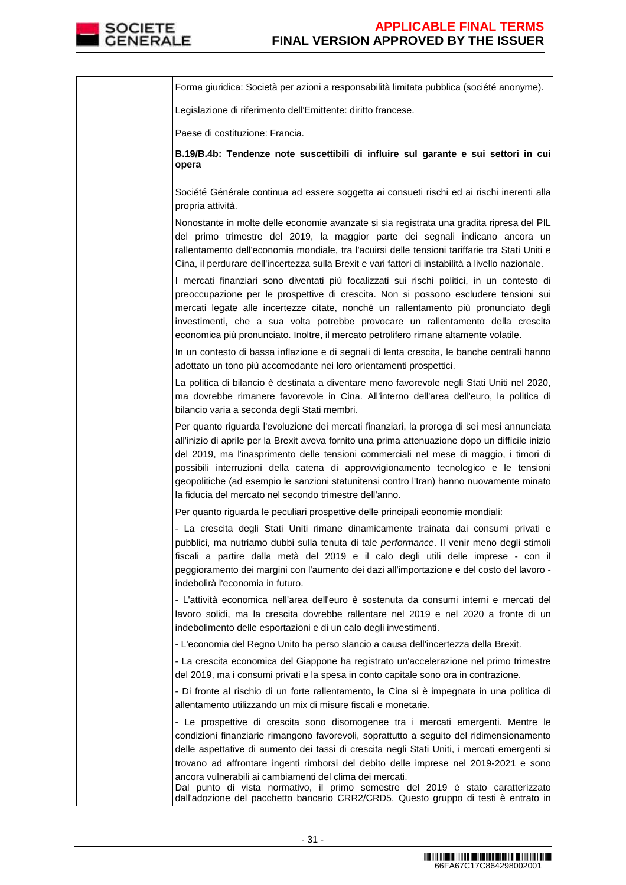

Forma giuridica: Società per azioni a responsabilità limitata pubblica (société anonyme). Legislazione di riferimento dell'Emittente: diritto francese. Paese di costituzione: Francia. **B.19/B.4b: Tendenze note suscettibili di influire sul garante e sui settori in cui opera**  Société Générale continua ad essere soggetta ai consueti rischi ed ai rischi inerenti alla propria attività. Nonostante in molte delle economie avanzate si sia registrata una gradita ripresa del PIL del primo trimestre del 2019, la maggior parte dei segnali indicano ancora un rallentamento dell'economia mondiale, tra l'acuirsi delle tensioni tariffarie tra Stati Uniti e Cina, il perdurare dell'incertezza sulla Brexit e vari fattori di instabilità a livello nazionale. I mercati finanziari sono diventati più focalizzati sui rischi politici, in un contesto di preoccupazione per le prospettive di crescita. Non si possono escludere tensioni sui mercati legate alle incertezze citate, nonché un rallentamento più pronunciato degli investimenti, che a sua volta potrebbe provocare un rallentamento della crescita economica più pronunciato. Inoltre, il mercato petrolifero rimane altamente volatile. In un contesto di bassa inflazione e di segnali di lenta crescita, le banche centrali hanno adottato un tono più accomodante nei loro orientamenti prospettici. La politica di bilancio è destinata a diventare meno favorevole negli Stati Uniti nel 2020, ma dovrebbe rimanere favorevole in Cina. All'interno dell'area dell'euro, la politica di bilancio varia a seconda degli Stati membri. Per quanto riguarda l'evoluzione dei mercati finanziari, la proroga di sei mesi annunciata all'inizio di aprile per la Brexit aveva fornito una prima attenuazione dopo un difficile inizio del 2019, ma l'inasprimento delle tensioni commerciali nel mese di maggio, i timori di possibili interruzioni della catena di approvvigionamento tecnologico e le tensioni geopolitiche (ad esempio le sanzioni statunitensi contro l'Iran) hanno nuovamente minato la fiducia del mercato nel secondo trimestre dell'anno. Per quanto riguarda le peculiari prospettive delle principali economie mondiali: - La crescita degli Stati Uniti rimane dinamicamente trainata dai consumi privati e pubblici, ma nutriamo dubbi sulla tenuta di tale performance. Il venir meno degli stimoli fiscali a partire dalla metà del 2019 e il calo degli utili delle imprese - con il peggioramento dei margini con l'aumento dei dazi all'importazione e del costo del lavoro indebolirà l'economia in futuro. - L'attività economica nell'area dell'euro è sostenuta da consumi interni e mercati del lavoro solidi, ma la crescita dovrebbe rallentare nel 2019 e nel 2020 a fronte di un indebolimento delle esportazioni e di un calo degli investimenti. - L'economia del Regno Unito ha perso slancio a causa dell'incertezza della Brexit. - La crescita economica del Giappone ha registrato un'accelerazione nel primo trimestre del 2019, ma i consumi privati e la spesa in conto capitale sono ora in contrazione. - Di fronte al rischio di un forte rallentamento, la Cina si è impegnata in una politica di allentamento utilizzando un mix di misure fiscali e monetarie. - Le prospettive di crescita sono disomogenee tra i mercati emergenti. Mentre le condizioni finanziarie rimangono favorevoli, soprattutto a seguito del ridimensionamento delle aspettative di aumento dei tassi di crescita negli Stati Uniti, i mercati emergenti si trovano ad affrontare ingenti rimborsi del debito delle imprese nel 2019-2021 e sono ancora vulnerabili ai cambiamenti del clima dei mercati. Dal punto di vista normativo, il primo semestre del 2019 è stato caratterizzato dall'adozione del pacchetto bancario CRR2/CRD5. Questo gruppo di testi è entrato in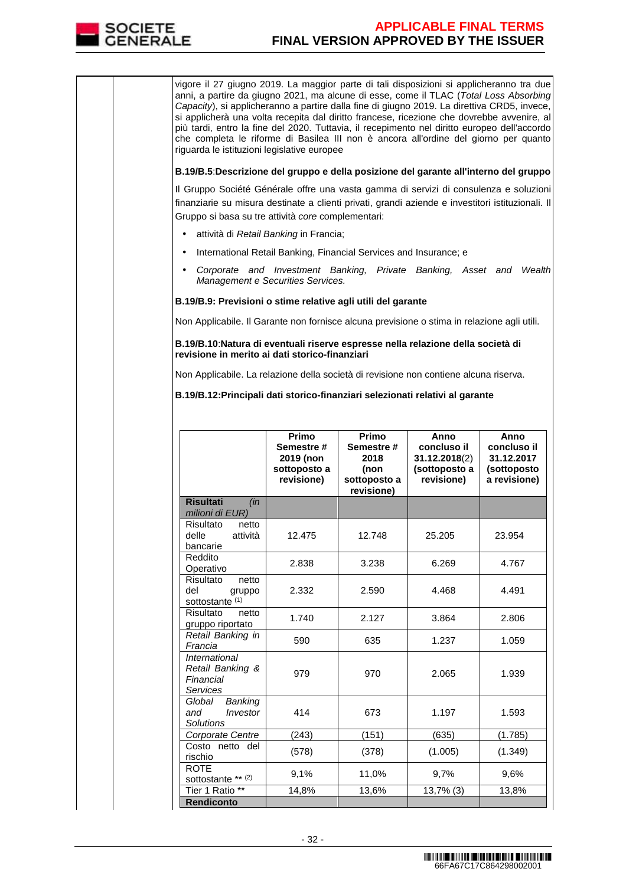

vigore il 27 giugno 2019. La maggior parte di tali disposizioni si applicheranno tra due anni, a partire da giugno 2021, ma alcune di esse, come il TLAC (Total Loss Absorbing Capacity), si applicheranno a partire dalla fine di giugno 2019. La direttiva CRD5, invece, si applicherà una volta recepita dal diritto francese, ricezione che dovrebbe avvenire, al più tardi, entro la fine del 2020. Tuttavia, il recepimento nel diritto europeo dell'accordo che completa le riforme di Basilea III non è ancora all'ordine del giorno per quanto riguarda le istituzioni legislative europee **B.19/B.5**:**Descrizione del gruppo e della posizione del garante all'interno del gruppo** Il Gruppo Société Générale offre una vasta gamma di servizi di consulenza e soluzioni finanziarie su misura destinate a clienti privati, grandi aziende e investitori istituzionali. Il Gruppo si basa su tre attività core complementari: • attività di Retail Banking in Francia; • International Retail Banking, Financial Services and Insurance; e • Corporate and Investment Banking, Private Banking, Asset and Wealth Management e Securities Services. **B.19/B.9: Previsioni o stime relative agli utili del garante**  Non Applicabile. Il Garante non fornisce alcuna previsione o stima in relazione agli utili. **B.19/B.10**:**Natura di eventuali riserve espresse nella relazione della società di revisione in merito ai dati storico-finanziari** Non Applicabile. La relazione della società di revisione non contiene alcuna riserva. **B.19/B.12:Principali dati storico-finanziari selezionati relativi al garante Primo Semestre # 2019 (non sottoposto a revisione) Primo Semestre # 2018 (non sottoposto a revisione) Anno concluso il 31.12.2018**(2) **(sottoposto a revisione) Anno concluso il 31.12.2017 (sottoposto a revisione) Risultati** (in milioni di EUR) Risultato netto delle attività bancarie 12.475 12.748 25.205 23.954 Reddito Neddrig<br>Operativo | 2.838 | 3.238 | 6.269 | 4.767 Risultato netto<br>del gruppo gruppo sottostante (1) 2.332 2.590 4.468 4.491 Risultato netto gruppo riportato 1.740 2.127 3.864 2.806 Retail Banking in Francia **1.237** 1.059<br>Francia 1.059 International Retail Banking & Financial Services 979 970 2.065 1.939 Global Banking and Investor **Solutions** 414 673 1.197 1.593 Corporate Centre (243) (151) (635) (1.785) Costo netto del rischio (578) (378) (1.005) (1.349) ROTE  $R_{\text{Sottostante}}$  \*\* (2) 9,1% 11,0% 9,7% 9,6% Tier 1 Ratio \*\* | 14,8% | 13,6% | 13,7% (3) | 13,8% **Rendiconto**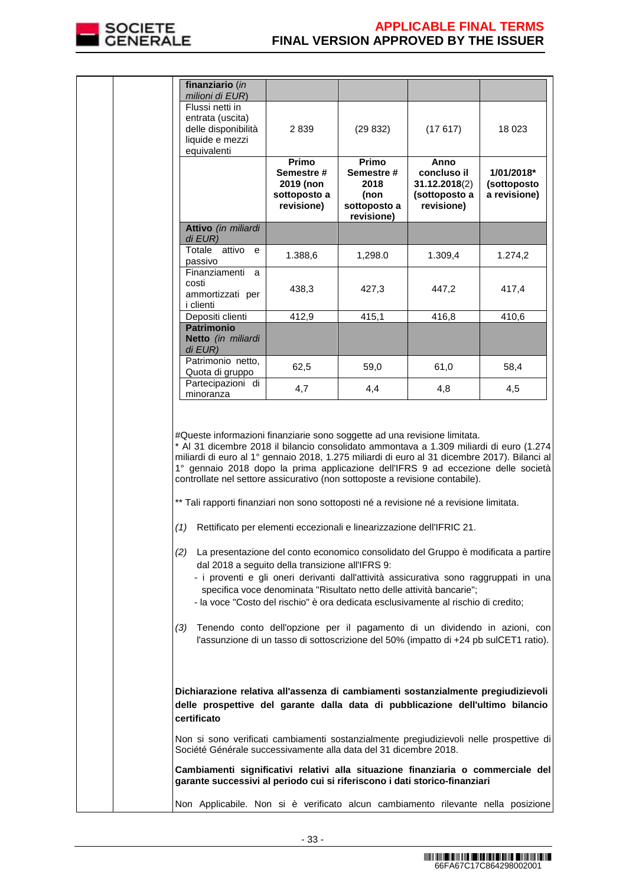

| finanziario (in                                                                                                                                                                                                                                                       |                                                                                                                          |                                                                   |                                                                                       |                                           |
|-----------------------------------------------------------------------------------------------------------------------------------------------------------------------------------------------------------------------------------------------------------------------|--------------------------------------------------------------------------------------------------------------------------|-------------------------------------------------------------------|---------------------------------------------------------------------------------------|-------------------------------------------|
| milioni di EUR)                                                                                                                                                                                                                                                       |                                                                                                                          |                                                                   |                                                                                       |                                           |
| Flussi netti in<br>entrata (uscita)<br>delle disponibilità<br>liquide e mezzi<br>equivalenti                                                                                                                                                                          | 2839                                                                                                                     | (29832)                                                           | (17617)                                                                               | 18 0 23                                   |
|                                                                                                                                                                                                                                                                       | Primo<br>Semestre#<br>2019 (non<br>sottoposto a<br>revisione)                                                            | Primo<br>Semestre #<br>2018<br>(non<br>sottoposto a<br>revisione) | Anno<br>concluso il<br>31.12.2018(2)<br>(sottoposto a<br>revisione)                   | 1/01/2018*<br>(sottoposto<br>a revisione) |
| Attivo (in miliardi<br>di EUR)                                                                                                                                                                                                                                        |                                                                                                                          |                                                                   |                                                                                       |                                           |
| Totale attivo e<br>passivo                                                                                                                                                                                                                                            | 1.388,6                                                                                                                  | 1,298.0                                                           | 1.309,4                                                                               | 1.274,2                                   |
| Finanziamenti<br>a<br>costi<br>ammortizzati per<br>i clienti                                                                                                                                                                                                          | 438,3                                                                                                                    | 427,3                                                             | 447,2                                                                                 | 417,4                                     |
| Depositi clienti                                                                                                                                                                                                                                                      | 412,9                                                                                                                    | 415,1                                                             | 416,8                                                                                 | 410,6                                     |
| <b>Patrimonio</b><br>Netto (in miliardi<br>di EUR)                                                                                                                                                                                                                    |                                                                                                                          |                                                                   |                                                                                       |                                           |
| Patrimonio netto,<br>Quota di gruppo                                                                                                                                                                                                                                  | 62,5                                                                                                                     | 59,0                                                              | 61,0                                                                                  | 58,4                                      |
| Partecipazioni di<br>minoranza                                                                                                                                                                                                                                        | 4,7                                                                                                                      | 4,4                                                               | 4,8                                                                                   | 4,5                                       |
| controllate nel settore assicurativo (non sottoposte a revisione contabile).<br>** Tali rapporti finanziari non sono sottoposti né a revisione né a revisione limitata.                                                                                               |                                                                                                                          |                                                                   |                                                                                       |                                           |
| Rettificato per elementi eccezionali e linearizzazione dell'IFRIC 21.<br>(1)                                                                                                                                                                                          |                                                                                                                          |                                                                   |                                                                                       |                                           |
| (2) La presentazione del conto economico consolidato del Gruppo è modificata a partire<br>- i proventi e gli oneri derivanti dall'attività assicurativa sono raggruppati in una<br>- la voce "Costo del rischio" è ora dedicata esclusivamente al rischio di credito; | dal 2018 a seguito della transizione all'IFRS 9:<br>specifica voce denominata "Risultato netto delle attività bancarie"; |                                                                   |                                                                                       |                                           |
| Tenendo conto dell'opzione per il pagamento di un dividendo in azioni, con<br>(3)                                                                                                                                                                                     |                                                                                                                          |                                                                   | l'assunzione di un tasso di sottoscrizione del 50% (impatto di +24 pb sulCET1 ratio). |                                           |
| Dichiarazione relativa all'assenza di cambiamenti sostanzialmente pregiudizievoli<br>delle prospettive del garante dalla data di pubblicazione dell'ultimo bilancio<br>certificato                                                                                    |                                                                                                                          |                                                                   |                                                                                       |                                           |
| Non si sono verificati cambiamenti sostanzialmente pregiudizievoli nelle prospettive di<br>Société Générale successivamente alla data del 31 dicembre 2018.                                                                                                           |                                                                                                                          |                                                                   |                                                                                       |                                           |
| Cambiamenti significativi relativi alla situazione finanziaria o commerciale del<br>garante successivi al periodo cui si riferiscono i dati storico-finanziari                                                                                                        |                                                                                                                          |                                                                   |                                                                                       |                                           |
| Non Applicabile. Non si è verificato alcun cambiamento rilevante nella posizione                                                                                                                                                                                      |                                                                                                                          |                                                                   |                                                                                       |                                           |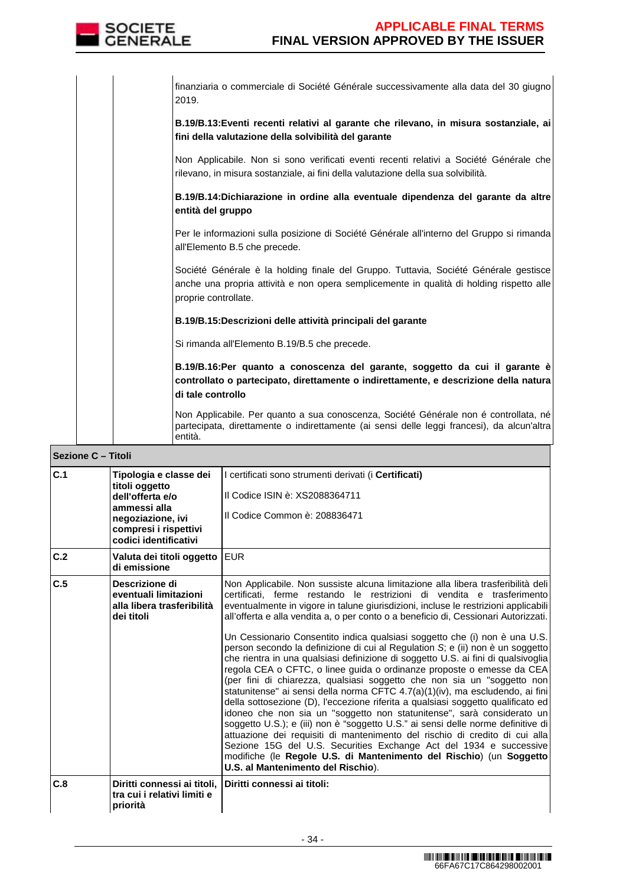

finanziaria o commerciale di Société Générale successivamente alla data del 30 giugno 2019. **B.19/B.13:Eventi recenti relativi al garante che rilevano, in misura sostanziale, ai fini della valutazione della solvibilità del garante** Non Applicabile. Non si sono verificati eventi recenti relativi a Société Générale che rilevano, in misura sostanziale, ai fini della valutazione della sua solvibilità. **B.19/B.14:Dichiarazione in ordine alla eventuale dipendenza del garante da altre entità del gruppo** Per le informazioni sulla posizione di Société Générale all'interno del Gruppo si rimanda all'Elemento B.5 che precede. Société Générale è la holding finale del Gruppo. Tuttavia, Société Générale gestisce anche una propria attività e non opera semplicemente in qualità di holding rispetto alle proprie controllate. **B.19/B.15:Descrizioni delle attività principali del garante** Si rimanda all'Elemento B.19/B.5 che precede. **B.19/B.16:Per quanto a conoscenza del garante, soggetto da cui il garante è controllato o partecipato, direttamente o indirettamente, e descrizione della natura di tale controllo** Non Applicabile. Per quanto a sua conoscenza, Société Générale non é controllata, né partecipata, direttamente o indirettamente (ai sensi delle leggi francesi), da alcun'altra entità.

|     | Sezione C - Titoli                                                                                                                                  |                                                                                                                                                                                                                                                                                                                                                                                                                                                                                                                                                                                                                                                                                                                                                                                                                                                                                                                                                                                                                                                                                                                                                                                                                                                                                                                                                       |  |
|-----|-----------------------------------------------------------------------------------------------------------------------------------------------------|-------------------------------------------------------------------------------------------------------------------------------------------------------------------------------------------------------------------------------------------------------------------------------------------------------------------------------------------------------------------------------------------------------------------------------------------------------------------------------------------------------------------------------------------------------------------------------------------------------------------------------------------------------------------------------------------------------------------------------------------------------------------------------------------------------------------------------------------------------------------------------------------------------------------------------------------------------------------------------------------------------------------------------------------------------------------------------------------------------------------------------------------------------------------------------------------------------------------------------------------------------------------------------------------------------------------------------------------------------|--|
| C.1 | Tipologia e classe dei<br>titoli oggetto<br>dell'offerta e/o<br>ammessi alla<br>negoziazione, ivi<br>compresi i rispettivi<br>codici identificativi | I certificati sono strumenti derivati (i <b>Certificati)</b><br>Il Codice ISIN è: XS2088364711<br>Il Codice Common è: 208836471                                                                                                                                                                                                                                                                                                                                                                                                                                                                                                                                                                                                                                                                                                                                                                                                                                                                                                                                                                                                                                                                                                                                                                                                                       |  |
| C.2 | Valuta dei titoli oggetto<br>di emissione                                                                                                           | <b>EUR</b>                                                                                                                                                                                                                                                                                                                                                                                                                                                                                                                                                                                                                                                                                                                                                                                                                                                                                                                                                                                                                                                                                                                                                                                                                                                                                                                                            |  |
| C.5 | Descrizione di<br>eventuali limitazioni<br>alla libera trasferibilità<br>dei titoli                                                                 | Non Applicabile. Non sussiste alcuna limitazione alla libera trasferibilità dell<br>certificati. ferme restando le restrizioni di vendita e trasferimento<br>eventualmente in vigore in talune giurisdizioni, incluse le restrizioni applicabili<br>all'offerta e alla vendita a, o per conto o a beneficio di, Cessionari Autorizzati.<br>Un Cessionario Consentito indica qualsiasi soggetto che (i) non è una U.S.<br>person secondo la definizione di cui al Regulation S; e (ii) non è un soggetto<br>che rientra in una qualsiasi definizione di soggetto U.S. ai fini di qualsivoglia<br>regola CEA o CFTC, o linee guida o ordinanze proposte o emesse da CEA<br>(per fini di chiarezza, qualsiasi soggetto che non sia un "soggetto non<br>statunitense" ai sensi della norma CFTC 4.7(a)(1)(iv), ma escludendo, ai fini<br>della sottosezione (D), l'eccezione riferita a qualsiasi soggetto qualificato ed<br>idoneo che non sia un "soggetto non statunitense", sarà considerato un<br>soggetto U.S.); e (iii) non è "soggetto U.S." ai sensi delle norme definitive di<br>attuazione dei requisiti di mantenimento del rischio di credito di cui alla<br>Sezione 15G del U.S. Securities Exchange Act del 1934 e successive<br>modifiche (le Regole U.S. di Mantenimento del Rischio) (un Soggetto<br>U.S. al Mantenimento del Rischio). |  |
| C.8 | Diritti connessi ai titoli,<br>tra cui i relativi limiti e<br>priorità                                                                              | Diritti connessi ai titoli:                                                                                                                                                                                                                                                                                                                                                                                                                                                                                                                                                                                                                                                                                                                                                                                                                                                                                                                                                                                                                                                                                                                                                                                                                                                                                                                           |  |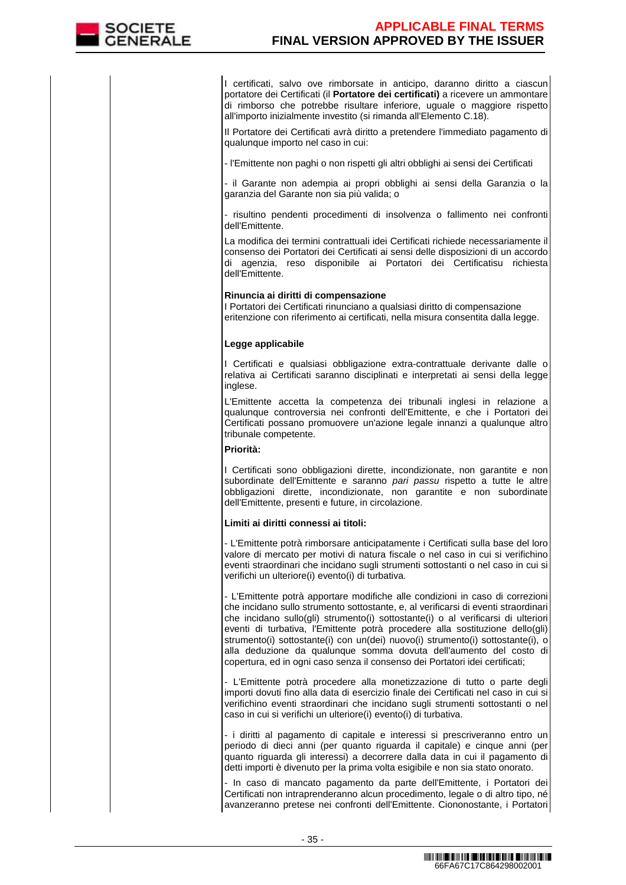

 I certificati, salvo ove rimborsate in anticipo, daranno diritto a ciascun portatore dei Certificati (il **Portatore dei certificati)** a ricevere un ammontare di rimborso che potrebbe risultare inferiore, uguale o maggiore rispetto all'importo inizialmente investito (si rimanda all'Elemento C.18).

 Il Portatore dei Certificati avrà diritto a pretendere l'immediato pagamento di qualunque importo nel caso in cui:

- l'Emittente non paghi o non rispetti gli altri obblighi ai sensi dei Certificati

- il Garante non adempia ai propri obblighi ai sensi della Garanzia o la garanzia del Garante non sia più valida; o

- risultino pendenti procedimenti di insolvenza o fallimento nei confronti dell'Emittente.

 La modifica dei termini contrattuali idei Certificati richiede necessariamente il consenso dei Portatori dei Certificati ai sensi delle disposizioni di un accordo di agenzia, reso disponibile ai Portatori dei Certificatisu richiesta dell'Emittente.

### **Rinuncia ai diritti di compensazione**

I Portatori dei Certificati rinunciano a qualsiasi diritto di compensazione eritenzione con riferimento ai certificati, nella misura consentita dalla legge.

### **Legge applicabile**

I Certificati e qualsiasi obbligazione extra-contrattuale derivante dalle o relativa ai Certificati saranno disciplinati e interpretati ai sensi della legge inglese.

 L'Emittente accetta la competenza dei tribunali inglesi in relazione a qualunque controversia nei confronti dell'Emittente, e che i Portatori dei Certificati possano promuovere un'azione legale innanzi a qualunque altro tribunale competente.

## **Priorità:**

I Certificati sono obbligazioni dirette, incondizionate, non garantite e non subordinate dell'Emittente e saranno pari passu rispetto a tutte le altre obbligazioni dirette, incondizionate, non garantite e non subordinate dell'Emittente, presenti e future, in circolazione.

#### **Limiti ai diritti connessi ai titoli:**

- L'Emittente potrà rimborsare anticipatamente i Certificati sulla base del loro valore di mercato per motivi di natura fiscale o nel caso in cui si verifichino eventi straordinari che incidano sugli strumenti sottostanti o nel caso in cui si verifichi un ulteriore(i) evento(i) di turbativa.

- L'Emittente potrà apportare modifiche alle condizioni in caso di correzioni che incidano sullo strumento sottostante, e, al verificarsi di eventi straordinari che incidano sullo(gli) strumento(i) sottostante(i) o al verificarsi di ulteriori eventi di turbativa. l'Emittente potrà procedere alla sostituzione dello(gli) strumento(i) sottostante(i) con un(dei) nuovo(i) strumento(i) sottostante(i), o alla deduzione da qualunque somma dovuta dell'aumento del costo di copertura, ed in ogni caso senza il consenso dei Portatori idei certificati;

- L'Emittente potrà procedere alla monetizzazione di tutto o parte degli importi dovuti fino alla data di esercizio finale dei Certificati nel caso in cui si verifichino eventi straordinari che incidano sugli strumenti sottostanti o nel caso in cui si verifichi un ulteriore(i) evento(i) di turbativa.

- i diritti al pagamento di capitale e interessi si prescriveranno entro un periodo di dieci anni (per quanto riguarda il capitale) e cinque anni (per quanto riguarda gli interessi) a decorrere dalla data in cui il pagamento di detti importi è divenuto per la prima volta esigibile e non sia stato onorato.

 - In caso di mancato pagamento da parte dell'Emittente, i Portatori dei Certificati non intraprenderanno alcun procedimento, legale o di altro tipo, né avanzeranno pretese nei confronti dell'Emittente. Ciononostante, i Portatori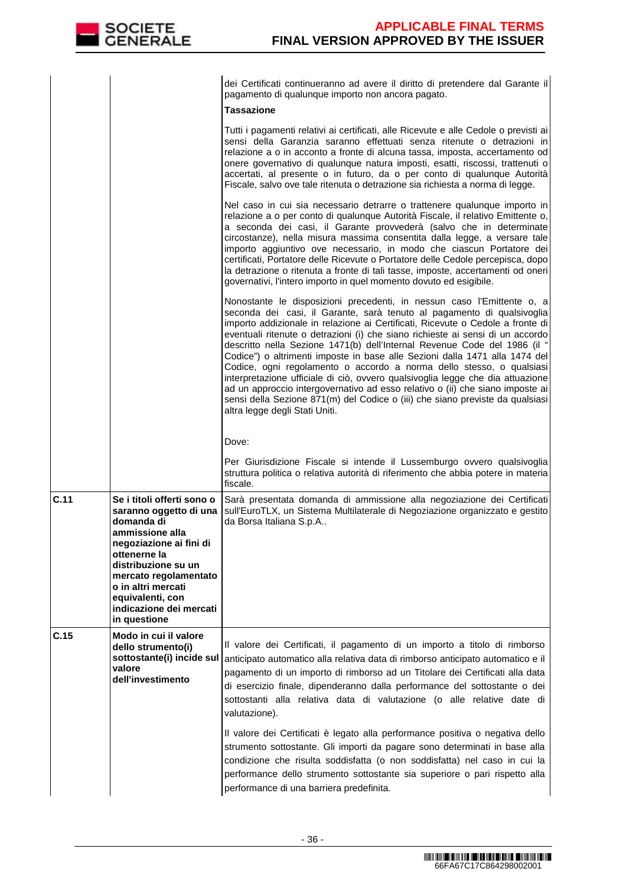|      |                                                                                                                                                                                                                                                                       | dei Certificati continueranno ad avere il diritto di pretendere dal Garante il<br>pagamento di qualunque importo non ancora pagato.<br><b>Tassazione</b><br>Tutti i pagamenti relativi ai certificati, alle Ricevute e alle Cedole o previsti ai<br>sensi della Garanzia saranno effettuati senza ritenute o detrazioni in<br>relazione a o in acconto a fronte di alcuna tassa, imposta, accertamento od<br>onere governativo di qualunque natura imposti, esatti, riscossi, trattenuti o<br>accertati, al presente o in futuro, da o per conto di qualunque Autorità<br>Fiscale, salvo ove tale ritenuta o detrazione sia richiesta a norma di legge.<br>Nel caso in cui sia necessario detrarre o trattenere qualunque importo in<br>relazione a o per conto di qualunque Autorità Fiscale, il relativo Emittente o,<br>a seconda dei casi, il Garante provvederà (salvo che in determinate<br>circostanze), nella misura massima consentita dalla legge, a versare tale<br>importo aggiuntivo ove necessario, in modo che ciascun Portatore dei<br>certificati, Portatore delle Ricevute o Portatore delle Cedole percepisca, dopo<br>la detrazione o ritenuta a fronte di tali tasse, imposte, accertamenti od oneri<br>governativi, l'intero importo in quel momento dovuto ed esigibile.<br>Nonostante le disposizioni precedenti, in nessun caso l'Emittente o, a<br>seconda dei casi, il Garante, sarà tenuto al pagamento di qualsivoglia<br>importo addizionale in relazione ai Certificati, Ricevute o Cedole a fronte di<br>eventuali ritenute o detrazioni (i) che siano richieste ai sensi di un accordo<br>descritto nella Sezione 1471(b) dell'Internal Revenue Code del 1986 (il " |
|------|-----------------------------------------------------------------------------------------------------------------------------------------------------------------------------------------------------------------------------------------------------------------------|------------------------------------------------------------------------------------------------------------------------------------------------------------------------------------------------------------------------------------------------------------------------------------------------------------------------------------------------------------------------------------------------------------------------------------------------------------------------------------------------------------------------------------------------------------------------------------------------------------------------------------------------------------------------------------------------------------------------------------------------------------------------------------------------------------------------------------------------------------------------------------------------------------------------------------------------------------------------------------------------------------------------------------------------------------------------------------------------------------------------------------------------------------------------------------------------------------------------------------------------------------------------------------------------------------------------------------------------------------------------------------------------------------------------------------------------------------------------------------------------------------------------------------------------------------------------------------------------------------------------------------------------------------------------------------------------------|
|      |                                                                                                                                                                                                                                                                       | Codice") o altrimenti imposte in base alle Sezioni dalla 1471 alla 1474 del<br>Codice, ogni regolamento o accordo a norma dello stesso, o qualsiasi<br>interpretazione ufficiale di ciò, ovvero qualsivoglia legge che dia attuazione<br>ad un approccio intergovernativo ad esso relativo o (ii) che siano imposte ai<br>sensi della Sezione 871(m) del Codice o (iii) che siano previste da qualsiasi<br>altra legge degli Stati Uniti.<br>Dove:                                                                                                                                                                                                                                                                                                                                                                                                                                                                                                                                                                                                                                                                                                                                                                                                                                                                                                                                                                                                                                                                                                                                                                                                                                                   |
|      |                                                                                                                                                                                                                                                                       | Per Giurisdizione Fiscale si intende il Lussemburgo ovvero qualsivoglia<br>struttura politica o relativa autorità di riferimento che abbia potere in materia<br>fiscale.                                                                                                                                                                                                                                                                                                                                                                                                                                                                                                                                                                                                                                                                                                                                                                                                                                                                                                                                                                                                                                                                                                                                                                                                                                                                                                                                                                                                                                                                                                                             |
| C.11 | Se i titoli offerti sono o<br>saranno oggetto di una<br>domanda di<br>ammissione alla<br>negoziazione ai fini di<br>ottenerne la<br>distribuzione su un<br>mercato regolamentato<br>o in altri mercati<br>equivalenti, con<br>indicazione dei mercati<br>in questione | Sarà presentata domanda di ammissione alla negoziazione dei Certificati<br>sull'EuroTLX, un Sistema Multilaterale di Negoziazione organizzato e gestito<br>da Borsa Italiana S.p.A                                                                                                                                                                                                                                                                                                                                                                                                                                                                                                                                                                                                                                                                                                                                                                                                                                                                                                                                                                                                                                                                                                                                                                                                                                                                                                                                                                                                                                                                                                                   |
| C.15 | Modo in cui il valore<br>dello strumento(i)<br>sottostante(i) incide sul<br>valore<br>dell'investimento                                                                                                                                                               | Il valore dei Certificati, il pagamento di un importo a titolo di rimborso<br>anticipato automatico alla relativa data di rimborso anticipato automatico e il<br>pagamento di un importo di rimborso ad un Titolare dei Certificati alla data<br>di esercizio finale, dipenderanno dalla performance del sottostante o dei<br>sottostanti alla relativa data di valutazione (o alle relative date di<br>valutazione).                                                                                                                                                                                                                                                                                                                                                                                                                                                                                                                                                                                                                                                                                                                                                                                                                                                                                                                                                                                                                                                                                                                                                                                                                                                                                |
|      |                                                                                                                                                                                                                                                                       | Il valore dei Certificati è legato alla performance positiva o negativa dello<br>strumento sottostante. Gli importi da pagare sono determinati in base alla<br>condizione che risulta soddisfatta (o non soddisfatta) nel caso in cui la<br>performance dello strumento sottostante sia superiore o pari rispetto alla<br>performance di una barriera predefinita.                                                                                                                                                                                                                                                                                                                                                                                                                                                                                                                                                                                                                                                                                                                                                                                                                                                                                                                                                                                                                                                                                                                                                                                                                                                                                                                                   |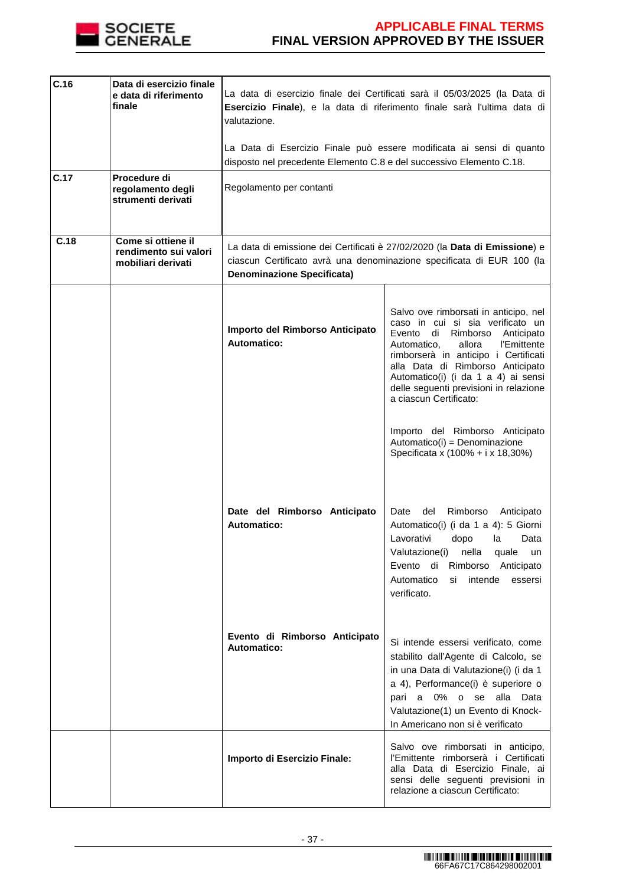

| C.16 | Data di esercizio finale<br>e data di riferimento<br>finale       | valutazione.                                                                                                                                 | La data di esercizio finale dei Certificati sarà il 05/03/2025 (la Data di<br>Esercizio Finale), e la data di riferimento finale sarà l'ultima data di                                                                                                                                                                                          |
|------|-------------------------------------------------------------------|----------------------------------------------------------------------------------------------------------------------------------------------|-------------------------------------------------------------------------------------------------------------------------------------------------------------------------------------------------------------------------------------------------------------------------------------------------------------------------------------------------|
|      |                                                                   | La Data di Esercizio Finale può essere modificata ai sensi di quanto<br>disposto nel precedente Elemento C.8 e del successivo Elemento C.18. |                                                                                                                                                                                                                                                                                                                                                 |
| C.17 | Procedure di<br>regolamento degli<br>strumenti derivati           | Regolamento per contanti                                                                                                                     |                                                                                                                                                                                                                                                                                                                                                 |
| C.18 | Come si ottiene il<br>rendimento sui valori<br>mobiliari derivati | <b>Denominazione Specificata)</b>                                                                                                            | La data di emissione dei Certificati è 27/02/2020 (la <b>Data di Emissione</b> ) e<br>ciascun Certificato avrà una denominazione specificata di EUR 100 (la                                                                                                                                                                                     |
|      |                                                                   | Importo del Rimborso Anticipato<br><b>Automatico:</b>                                                                                        | Salvo ove rimborsati in anticipo, nel<br>caso in cui si sia verificato un<br>Evento<br>di Rimborso<br>Anticipato<br>l'Emittente<br>allora<br>Automatico.<br>rimborserà in anticipo i Certificati<br>alla Data di Rimborso Anticipato<br>Automatico(i) (i da 1 a 4) ai sensi<br>delle seguenti previsioni in relazione<br>a ciascun Certificato: |
|      |                                                                   |                                                                                                                                              | Importo del Rimborso Anticipato<br>Automatico(i) = Denominazione<br>Specificata x (100% + i x 18,30%)                                                                                                                                                                                                                                           |
|      |                                                                   | Date del Rimborso Anticipato<br><b>Automatico:</b>                                                                                           | Date<br>del<br>Rimborso<br>Anticipato<br>Automatico(i) (i da 1 a 4): 5 Giorni<br>Lavorativi<br>dopo<br>Data<br>la<br>Valutazione(i)<br>nella<br>quale<br>un<br>Evento di Rimborso Anticipato<br>Automatico<br>si intende<br>essersi<br>verificato.                                                                                              |
|      |                                                                   | Evento di Rimborso Anticipato<br><b>Automatico:</b>                                                                                          | Si intende essersi verificato, come<br>stabilito dall'Agente di Calcolo, se<br>in una Data di Valutazione(i) (i da 1<br>a 4), Performance(i) è superiore o<br>pari a 0% o se alla Data<br>Valutazione(1) un Evento di Knock-<br>In Americano non si è verificato                                                                                |
|      |                                                                   | Importo di Esercizio Finale:                                                                                                                 | Salvo ove rimborsati in anticipo,<br>l'Emittente rimborserà i Certificati<br>alla Data di Esercizio Finale, ai<br>sensi delle seguenti previsioni in<br>relazione a ciascun Certificato:                                                                                                                                                        |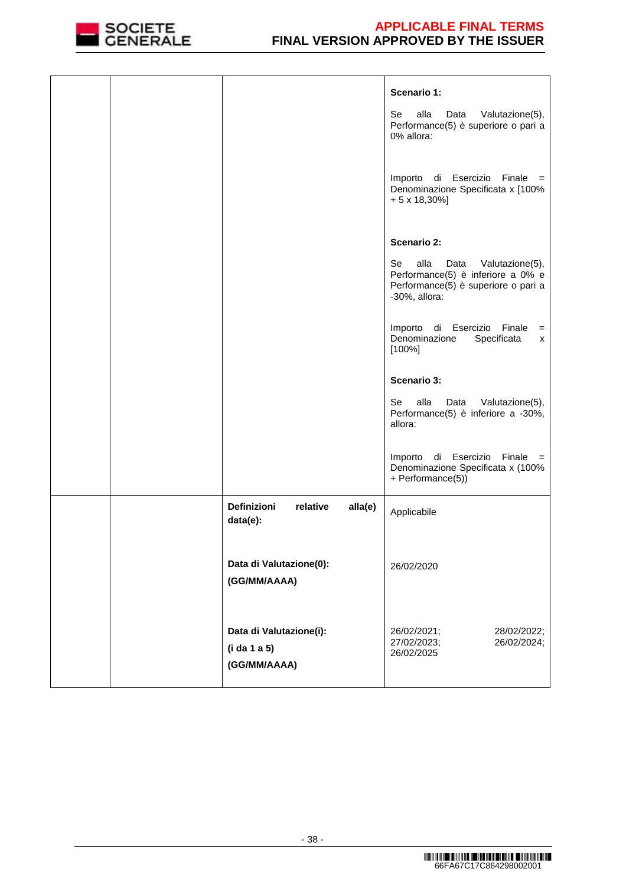

|  |                                                         | Scenario 1:                                                                                                                        |
|--|---------------------------------------------------------|------------------------------------------------------------------------------------------------------------------------------------|
|  |                                                         | alla<br>Se<br>Data<br>Valutazione(5),<br>Performance(5) è superiore o pari a<br>0% allora:                                         |
|  |                                                         | Esercizio Finale =<br>Importo di<br>Denominazione Specificata x [100%<br>$+5x18,30\%$                                              |
|  |                                                         | <b>Scenario 2:</b>                                                                                                                 |
|  |                                                         | alla<br>Se<br>Data<br>Valutazione(5),<br>Performance(5) è inferiore a 0% e<br>Performance(5) è superiore o pari a<br>-30%, allora: |
|  |                                                         | di Esercizio<br>Finale<br>Importo<br>$=$<br>Denominazione<br>Specificata<br>x<br>$[100\%]$                                         |
|  |                                                         | Scenario 3:                                                                                                                        |
|  |                                                         | alla<br>Se<br>Data<br>Valutazione(5),<br>Performance(5) è inferiore a -30%,<br>allora:                                             |
|  |                                                         | Importo di Esercizio Finale =<br>Denominazione Specificata x (100%<br>+ Performance(5))                                            |
|  | Definizioni<br>relative<br>alla(e)<br>data(e):          | Applicabile                                                                                                                        |
|  | Data di Valutazione(0):<br>(GG/MM/AAAA)                 | 26/02/2020                                                                                                                         |
|  | Data di Valutazione(i):<br>(i da 1 a 5)<br>(GG/MM/AAAA) | 26/02/2021;<br>28/02/2022;<br>26/02/2024;<br>27/02/2023;<br>26/02/2025                                                             |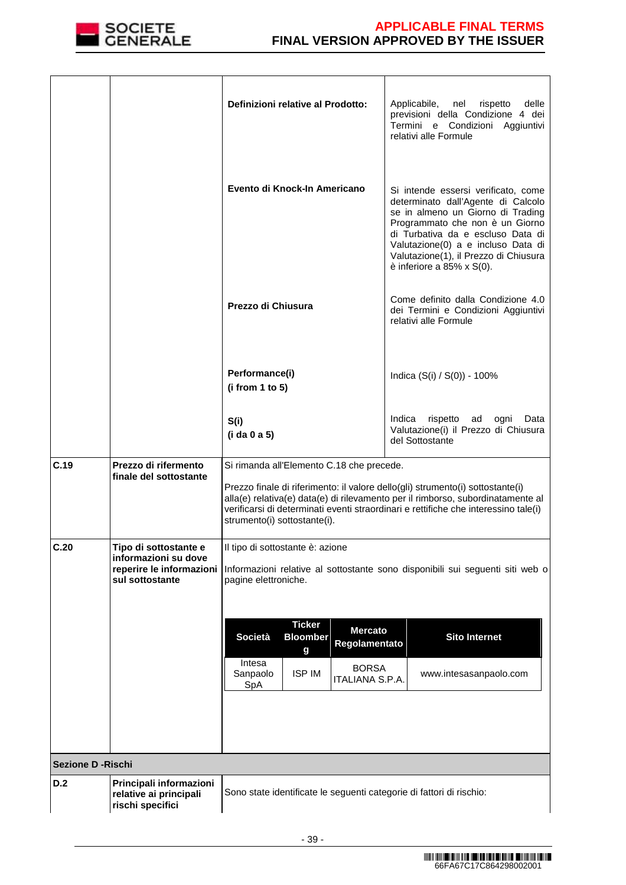

|                   |                                                                                              | Definizioni relative al Prodotto:                                                                                                                                                                                                                                                        | Applicabile, nel rispetto<br>delle<br>previsioni della Condizione 4 dei<br>Termini e Condizioni Aggiuntivi<br>relativi alle Formule                                                                                                                                                                       |
|-------------------|----------------------------------------------------------------------------------------------|------------------------------------------------------------------------------------------------------------------------------------------------------------------------------------------------------------------------------------------------------------------------------------------|-----------------------------------------------------------------------------------------------------------------------------------------------------------------------------------------------------------------------------------------------------------------------------------------------------------|
|                   |                                                                                              | Evento di Knock-In Americano                                                                                                                                                                                                                                                             | Si intende essersi verificato, come<br>determinato dall'Agente di Calcolo<br>se in almeno un Giorno di Trading<br>Programmato che non è un Giorno<br>di Turbativa da e escluso Data di<br>Valutazione(0) a e incluso Data di<br>Valutazione(1), il Prezzo di Chiusura<br>è inferiore a 85% $\times$ S(0). |
|                   |                                                                                              | Prezzo di Chiusura                                                                                                                                                                                                                                                                       | Come definito dalla Condizione 4.0<br>dei Termini e Condizioni Aggiuntivi<br>relativi alle Formule                                                                                                                                                                                                        |
|                   |                                                                                              | Performance(i)<br>(i from 1 to 5)                                                                                                                                                                                                                                                        | Indica (S(i) / S(0)) - 100%                                                                                                                                                                                                                                                                               |
|                   |                                                                                              | S(i)<br>(i da 0 a 5)                                                                                                                                                                                                                                                                     | Indica<br>rispetto ad ogni Data<br>Valutazione(i) il Prezzo di Chiusura<br>del Sottostante                                                                                                                                                                                                                |
| C.19              | Prezzo di rifermento                                                                         | Si rimanda all'Elemento C.18 che precede.                                                                                                                                                                                                                                                |                                                                                                                                                                                                                                                                                                           |
|                   | finale del sottostante                                                                       | Prezzo finale di riferimento: il valore dello(gli) strumento(i) sottostante(i)<br>alla(e) relativa(e) data(e) di rilevamento per il rimborso, subordinatamente al<br>verificarsi di determinati eventi straordinari e rettifiche che interessino tale(i)<br>strumento(i) sottostante(i). |                                                                                                                                                                                                                                                                                                           |
| C.20              | Tipo di sottostante e<br>informazioni su dove<br>reperire le informazioni<br>sul sottostante | Il tipo di sottostante è: azione<br>pagine elettroniche.                                                                                                                                                                                                                                 | Informazioni relative al sottostante sono disponibili sui seguenti siti web o                                                                                                                                                                                                                             |
|                   |                                                                                              | <b>Ticker</b><br><b>Mercato</b><br><b>Società</b><br><b>Bloomber</b><br>Regolamentato<br>g                                                                                                                                                                                               | <b>Sito Internet</b>                                                                                                                                                                                                                                                                                      |
|                   |                                                                                              | Intesa<br><b>BORSA</b><br><b>ISP IM</b><br>Sanpaolo<br>ITALIANA S.P.A.<br>SpA                                                                                                                                                                                                            | www.intesasanpaolo.com                                                                                                                                                                                                                                                                                    |
|                   |                                                                                              |                                                                                                                                                                                                                                                                                          |                                                                                                                                                                                                                                                                                                           |
| Sezione D -Rischi |                                                                                              |                                                                                                                                                                                                                                                                                          |                                                                                                                                                                                                                                                                                                           |
| D.2               | Principali informazioni<br>relative ai principali<br>rischi specifici                        | Sono state identificate le seguenti categorie di fattori di rischio:                                                                                                                                                                                                                     |                                                                                                                                                                                                                                                                                                           |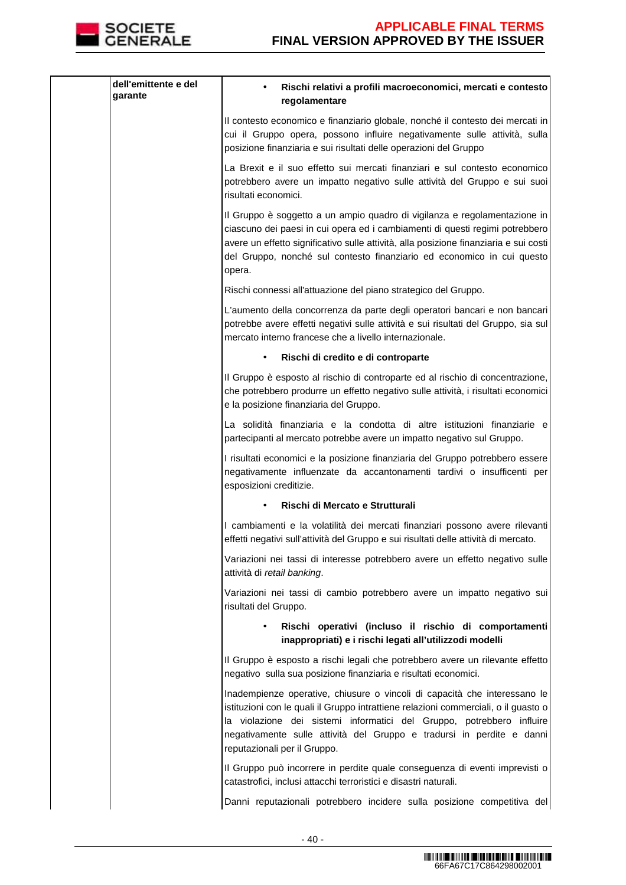

| dell'emittente e del<br>garante | Rischi relativi a profili macroeconomici, mercati e contesto<br>regolamentare                                                                                                                                                                                                                                                                      |
|---------------------------------|----------------------------------------------------------------------------------------------------------------------------------------------------------------------------------------------------------------------------------------------------------------------------------------------------------------------------------------------------|
|                                 | Il contesto economico e finanziario globale, nonché il contesto dei mercati in<br>cui il Gruppo opera, possono influire negativamente sulle attività, sulla<br>posizione finanziaria e sui risultati delle operazioni del Gruppo                                                                                                                   |
|                                 | La Brexit e il suo effetto sui mercati finanziari e sul contesto economico<br>potrebbero avere un impatto negativo sulle attività del Gruppo e sui suoi<br>risultati economici.                                                                                                                                                                    |
|                                 | Il Gruppo è soggetto a un ampio quadro di vigilanza e regolamentazione in<br>ciascuno dei paesi in cui opera ed i cambiamenti di questi regimi potrebbero<br>avere un effetto significativo sulle attività, alla posizione finanziaria e sui costi<br>del Gruppo, nonché sul contesto finanziario ed economico in cui questo<br>opera.             |
|                                 | Rischi connessi all'attuazione del piano strategico del Gruppo.                                                                                                                                                                                                                                                                                    |
|                                 | L'aumento della concorrenza da parte degli operatori bancari e non bancari<br>potrebbe avere effetti negativi sulle attività e sui risultati del Gruppo, sia sul<br>mercato interno francese che a livello internazionale.                                                                                                                         |
|                                 | Rischi di credito e di controparte                                                                                                                                                                                                                                                                                                                 |
|                                 | Il Gruppo è esposto al rischio di controparte ed al rischio di concentrazione,<br>che potrebbero produrre un effetto negativo sulle attività, i risultati economici<br>e la posizione finanziaria del Gruppo.                                                                                                                                      |
|                                 | La solidità finanziaria e la condotta di altre istituzioni finanziarie e<br>partecipanti al mercato potrebbe avere un impatto negativo sul Gruppo.                                                                                                                                                                                                 |
|                                 | I risultati economici e la posizione finanziaria del Gruppo potrebbero essere<br>negativamente influenzate da accantonamenti tardivi o insufficenti per<br>esposizioni creditizie.                                                                                                                                                                 |
|                                 | Rischi di Mercato e Strutturali                                                                                                                                                                                                                                                                                                                    |
|                                 | I cambiamenti e la volatilità dei mercati finanziari possono avere rilevanti<br>effetti negativi sull'attività del Gruppo e sui risultati delle attività di mercato.                                                                                                                                                                               |
|                                 | Variazioni nei tassi di interesse potrebbero avere un effetto negativo sulle<br>attività di retail banking.                                                                                                                                                                                                                                        |
|                                 | Variazioni nei tassi di cambio potrebbero avere un impatto negativo sui<br>risultati del Gruppo.                                                                                                                                                                                                                                                   |
|                                 | Rischi operativi (incluso il rischio di comportamenti<br>inappropriati) e i rischi legati all'utilizzodi modelli                                                                                                                                                                                                                                   |
|                                 | Il Gruppo è esposto a rischi legali che potrebbero avere un rilevante effetto<br>negativo sulla sua posizione finanziaria e risultati economici.                                                                                                                                                                                                   |
|                                 | Inadempienze operative, chiusure o vincoli di capacità che interessano le<br>istituzioni con le quali il Gruppo intrattiene relazioni commerciali, o il guasto o<br>la violazione dei sistemi informatici del Gruppo, potrebbero influire<br>negativamente sulle attività del Gruppo e tradursi in perdite e danni<br>reputazionali per il Gruppo. |
|                                 | Il Gruppo può incorrere in perdite quale conseguenza di eventi imprevisti o<br>catastrofici, inclusi attacchi terroristici e disastri naturali.                                                                                                                                                                                                    |
|                                 | Danni reputazionali potrebbero incidere sulla posizione competitiva del                                                                                                                                                                                                                                                                            |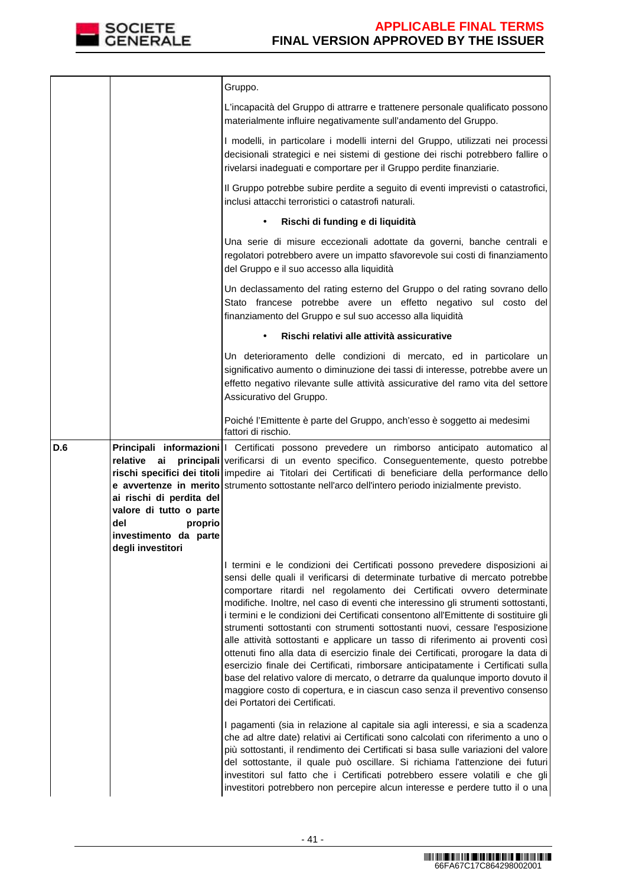

|     |                                                                                                                                       | Gruppo.                                                                                                                                                                                                                                                                                                                                                                                                                                                                                                                                                                                                                                                                                                                                                                                                                                                                                                                                                                                                                                                                                                                                 |
|-----|---------------------------------------------------------------------------------------------------------------------------------------|-----------------------------------------------------------------------------------------------------------------------------------------------------------------------------------------------------------------------------------------------------------------------------------------------------------------------------------------------------------------------------------------------------------------------------------------------------------------------------------------------------------------------------------------------------------------------------------------------------------------------------------------------------------------------------------------------------------------------------------------------------------------------------------------------------------------------------------------------------------------------------------------------------------------------------------------------------------------------------------------------------------------------------------------------------------------------------------------------------------------------------------------|
|     |                                                                                                                                       | L'incapacità del Gruppo di attrarre e trattenere personale qualificato possono<br>materialmente influire negativamente sull'andamento del Gruppo.                                                                                                                                                                                                                                                                                                                                                                                                                                                                                                                                                                                                                                                                                                                                                                                                                                                                                                                                                                                       |
|     |                                                                                                                                       | I modelli, in particolare i modelli interni del Gruppo, utilizzati nei processi<br>decisionali strategici e nei sistemi di gestione dei rischi potrebbero fallire o<br>rivelarsi inadeguati e comportare per il Gruppo perdite finanziarie.                                                                                                                                                                                                                                                                                                                                                                                                                                                                                                                                                                                                                                                                                                                                                                                                                                                                                             |
|     |                                                                                                                                       | Il Gruppo potrebbe subire perdite a seguito di eventi imprevisti o catastrofici,<br>inclusi attacchi terroristici o catastrofi naturali.                                                                                                                                                                                                                                                                                                                                                                                                                                                                                                                                                                                                                                                                                                                                                                                                                                                                                                                                                                                                |
|     |                                                                                                                                       | Rischi di funding e di liquidità                                                                                                                                                                                                                                                                                                                                                                                                                                                                                                                                                                                                                                                                                                                                                                                                                                                                                                                                                                                                                                                                                                        |
|     |                                                                                                                                       | Una serie di misure eccezionali adottate da governi, banche centrali e<br>regolatori potrebbero avere un impatto sfavorevole sui costi di finanziamento<br>del Gruppo e il suo accesso alla liquidità                                                                                                                                                                                                                                                                                                                                                                                                                                                                                                                                                                                                                                                                                                                                                                                                                                                                                                                                   |
|     |                                                                                                                                       | Un declassamento del rating esterno del Gruppo o del rating sovrano dello<br>Stato francese potrebbe avere un effetto negativo sul costo del<br>finanziamento del Gruppo e sul suo accesso alla liquidità                                                                                                                                                                                                                                                                                                                                                                                                                                                                                                                                                                                                                                                                                                                                                                                                                                                                                                                               |
|     |                                                                                                                                       | Rischi relativi alle attività assicurative                                                                                                                                                                                                                                                                                                                                                                                                                                                                                                                                                                                                                                                                                                                                                                                                                                                                                                                                                                                                                                                                                              |
|     |                                                                                                                                       | Un deterioramento delle condizioni di mercato, ed in particolare un<br>significativo aumento o diminuzione dei tassi di interesse, potrebbe avere un<br>effetto negativo rilevante sulle attività assicurative del ramo vita del settore<br>Assicurativo del Gruppo.                                                                                                                                                                                                                                                                                                                                                                                                                                                                                                                                                                                                                                                                                                                                                                                                                                                                    |
|     |                                                                                                                                       | Poiché l'Emittente è parte del Gruppo, anch'esso è soggetto ai medesimi<br>fattori di rischio.                                                                                                                                                                                                                                                                                                                                                                                                                                                                                                                                                                                                                                                                                                                                                                                                                                                                                                                                                                                                                                          |
| D.6 | relative<br>ai<br>ai rischi di perdita del<br>valore di tutto o parte<br>del<br>proprio<br>investimento da parte<br>degli investitori | Principali informazioni   Certificati possono prevedere un rimborso anticipato automatico al<br>principali verificarsi di un evento specifico. Conseguentemente, questo potrebbe<br>rischi specifici dei titoli impedire ai Titolari dei Certificati di beneficiare della performance dello<br>e avvertenze in merito strumento sottostante nell'arco dell'intero periodo inizialmente previsto.                                                                                                                                                                                                                                                                                                                                                                                                                                                                                                                                                                                                                                                                                                                                        |
|     |                                                                                                                                       | I termini e le condizioni dei Certificati possono prevedere disposizioni ai<br>sensi delle quali il verificarsi di determinate turbative di mercato potrebbe<br>comportare ritardi nel regolamento dei Certificati ovvero determinate<br>modifiche. Inoltre, nel caso di eventi che interessino gli strumenti sottostanti,<br>i termini e le condizioni dei Certificati consentono all'Emittente di sostituire gli<br>strumenti sottostanti con strumenti sottostanti nuovi, cessare l'esposizione<br>alle attività sottostanti e applicare un tasso di riferimento ai proventi così<br>ottenuti fino alla data di esercizio finale dei Certificati, prorogare la data di<br>esercizio finale dei Certificati, rimborsare anticipatamente i Certificati sulla<br>base del relativo valore di mercato, o detrarre da qualunque importo dovuto il<br>maggiore costo di copertura, e in ciascun caso senza il preventivo consenso<br>dei Portatori dei Certificati.<br>I pagamenti (sia in relazione al capitale sia agli interessi, e sia a scadenza<br>che ad altre date) relativi ai Certificati sono calcolati con riferimento a uno o |
|     |                                                                                                                                       | più sottostanti, il rendimento dei Certificati si basa sulle variazioni del valore<br>del sottostante, il quale può oscillare. Si richiama l'attenzione dei futuri<br>investitori sul fatto che i Certificati potrebbero essere volatili e che gli<br>investitori potrebbero non percepire alcun interesse e perdere tutto il o una                                                                                                                                                                                                                                                                                                                                                                                                                                                                                                                                                                                                                                                                                                                                                                                                     |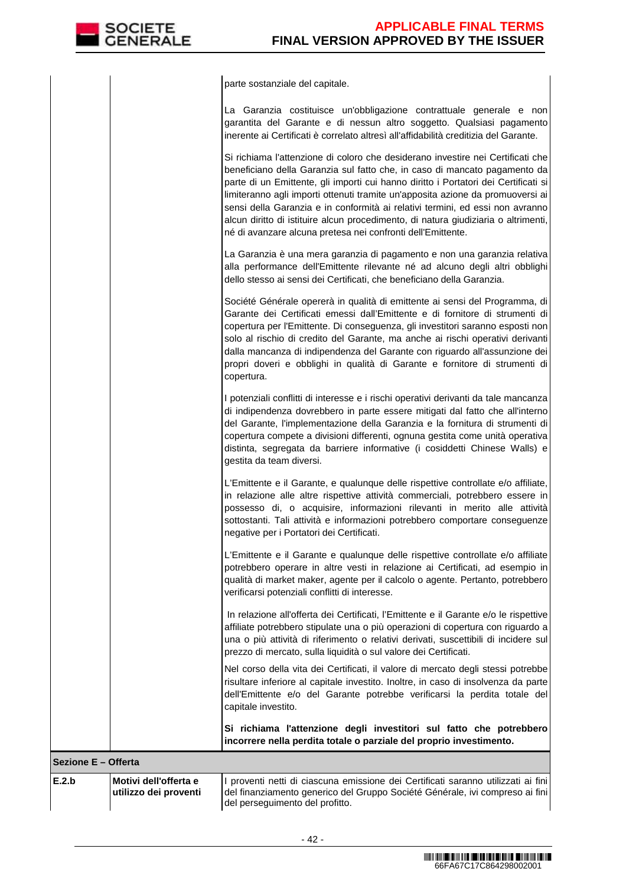|                     | parte sostanziale del capitale.                                                                                                                                                                                                                                                                                                                                                                                                                                                                                                                                             |
|---------------------|-----------------------------------------------------------------------------------------------------------------------------------------------------------------------------------------------------------------------------------------------------------------------------------------------------------------------------------------------------------------------------------------------------------------------------------------------------------------------------------------------------------------------------------------------------------------------------|
|                     | La Garanzia costituisce un'obbligazione contrattuale generale e non<br>garantita del Garante e di nessun altro soggetto. Qualsiasi pagamento<br>inerente ai Certificati è correlato altresì all'affidabilità creditizia del Garante.                                                                                                                                                                                                                                                                                                                                        |
|                     | Si richiama l'attenzione di coloro che desiderano investire nei Certificati che<br>beneficiano della Garanzia sul fatto che, in caso di mancato pagamento da<br>parte di un Emittente, gli importi cui hanno diritto i Portatori dei Certificati si<br>limiteranno agli importi ottenuti tramite un'apposita azione da promuoversi ai<br>sensi della Garanzia e in conformità ai relativi termini, ed essi non avranno<br>alcun diritto di istituire alcun procedimento, di natura giudiziaria o altrimenti,<br>né di avanzare alcuna pretesa nei confronti dell'Emittente. |
|                     | La Garanzia è una mera garanzia di pagamento e non una garanzia relativa<br>alla performance dell'Emittente rilevante né ad alcuno degli altri obblighi<br>dello stesso ai sensi dei Certificati, che beneficiano della Garanzia.                                                                                                                                                                                                                                                                                                                                           |
| copertura.          | Société Générale opererà in qualità di emittente ai sensi del Programma, di<br>Garante dei Certificati emessi dall'Emittente e di fornitore di strumenti di<br>copertura per l'Emittente. Di conseguenza, gli investitori saranno esposti non<br>solo al rischio di credito del Garante, ma anche ai rischi operativi derivanti<br>dalla mancanza di indipendenza del Garante con riguardo all'assunzione dei<br>propri doveri e obblighi in qualità di Garante e fornitore di strumenti di                                                                                 |
|                     | I potenziali conflitti di interesse e i rischi operativi derivanti da tale mancanza<br>di indipendenza dovrebbero in parte essere mitigati dal fatto che all'interno<br>del Garante, l'implementazione della Garanzia e la fornitura di strumenti di<br>copertura compete a divisioni differenti, ognuna gestita come unità operativa<br>distinta, segregata da barriere informative (i cosiddetti Chinese Walls) e<br>gestita da team diversi.                                                                                                                             |
|                     | L'Emittente e il Garante, e qualunque delle rispettive controllate e/o affiliate,<br>in relazione alle altre rispettive attività commerciali, potrebbero essere in<br>possesso di, o acquisire, informazioni rilevanti in merito alle attività<br>sottostanti. Tali attività e informazioni potrebbero comportare conseguenze<br>negative per i Portatori dei Certificati.                                                                                                                                                                                                  |
|                     | L'Emittente e il Garante e qualunque delle rispettive controllate e/o affiliate<br>potrebbero operare in altre vesti in relazione ai Certificati, ad esempio in<br>qualità di market maker, agente per il calcolo o agente. Pertanto, potrebbero<br>verificarsi potenziali conflitti di interesse.                                                                                                                                                                                                                                                                          |
|                     | In relazione all'offerta dei Certificati, l'Emittente e il Garante e/o le rispettive<br>affiliate potrebbero stipulate una o più operazioni di copertura con riguardo a<br>una o più attività di riferimento o relativi derivati, suscettibili di incidere sul<br>prezzo di mercato, sulla liquidità o sul valore dei Certificati.                                                                                                                                                                                                                                          |
| capitale investito. | Nel corso della vita dei Certificati, il valore di mercato degli stessi potrebbe<br>risultare inferiore al capitale investito. Inoltre, in caso di insolvenza da parte<br>dell'Emittente e/o del Garante potrebbe verificarsi la perdita totale del                                                                                                                                                                                                                                                                                                                         |
|                     | Si richiama l'attenzione degli investitori sul fatto che potrebbero<br>incorrere nella perdita totale o parziale del proprio investimento.                                                                                                                                                                                                                                                                                                                                                                                                                                  |
| Sezione E - Offerta |                                                                                                                                                                                                                                                                                                                                                                                                                                                                                                                                                                             |

| E.2.b | Motivi dell'offerta e  | I proventi netti di ciascuna emissione dei Certificati saranno utilizzati ai fini |
|-------|------------------------|-----------------------------------------------------------------------------------|
|       | lutilizzo dei proventi | del finanziamento generico del Gruppo Société Générale, ivi compreso ai fini      |
|       |                        | del perseguimento del profitto.                                                   |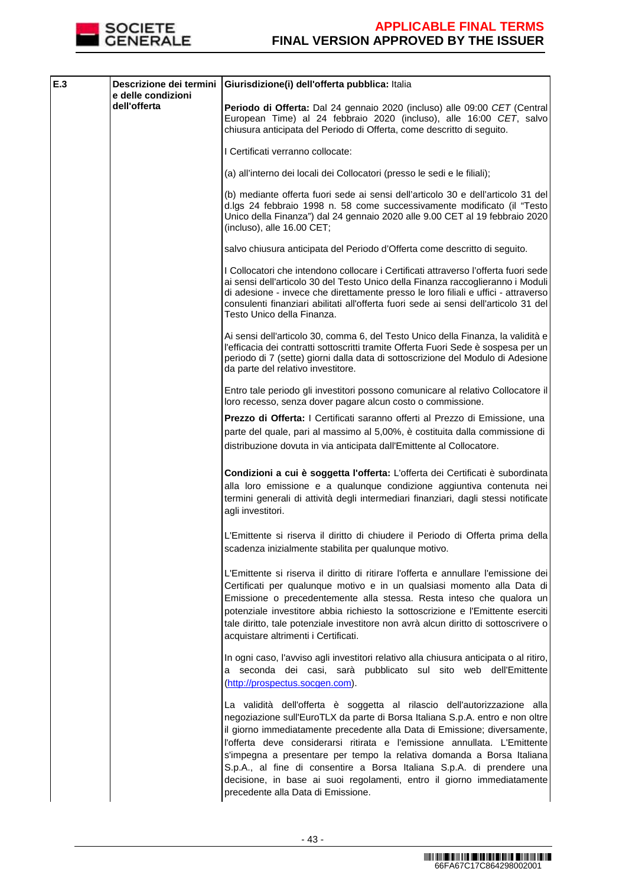

| E.3 | e delle condizioni<br>dell'offerta | Descrizione dei termini Giurisdizione(i) dell'offerta pubblica: Italia                                                                                                                                                                                                                                                                                                                                                                                                                                                                                                                |
|-----|------------------------------------|---------------------------------------------------------------------------------------------------------------------------------------------------------------------------------------------------------------------------------------------------------------------------------------------------------------------------------------------------------------------------------------------------------------------------------------------------------------------------------------------------------------------------------------------------------------------------------------|
|     |                                    | Periodo di Offerta: Dal 24 gennaio 2020 (incluso) alle 09:00 CET (Central<br>European Time) al 24 febbraio 2020 (incluso), alle 16:00 CET, salvo<br>chiusura anticipata del Periodo di Offerta, come descritto di seguito.                                                                                                                                                                                                                                                                                                                                                            |
|     |                                    | I Certificati verranno collocate:                                                                                                                                                                                                                                                                                                                                                                                                                                                                                                                                                     |
|     |                                    | (a) all'interno dei locali dei Collocatori (presso le sedi e le filiali);                                                                                                                                                                                                                                                                                                                                                                                                                                                                                                             |
|     |                                    | (b) mediante offerta fuori sede ai sensi dell'articolo 30 e dell'articolo 31 del<br>d.lgs 24 febbraio 1998 n. 58 come successivamente modificato (il "Testo<br>Unico della Finanza") dal 24 gennaio 2020 alle 9.00 CET al 19 febbraio 2020<br>(incluso), alle 16.00 CET;                                                                                                                                                                                                                                                                                                              |
|     |                                    | salvo chiusura anticipata del Periodo d'Offerta come descritto di seguito.                                                                                                                                                                                                                                                                                                                                                                                                                                                                                                            |
|     |                                    | I Collocatori che intendono collocare i Certificati attraverso l'offerta fuori sede<br>ai sensi dell'articolo 30 del Testo Unico della Finanza raccoglieranno i Moduli<br>di adesione - invece che direttamente presso le loro filiali e uffici - attraverso<br>consulenti finanziari abilitati all'offerta fuori sede ai sensi dell'articolo 31 del<br>Testo Unico della Finanza.                                                                                                                                                                                                    |
|     |                                    | Ai sensi dell'articolo 30, comma 6, del Testo Unico della Finanza, la validità e<br>l'efficacia dei contratti sottoscritti tramite Offerta Fuori Sede è sospesa per un<br>periodo di 7 (sette) giorni dalla data di sottoscrizione del Modulo di Adesione<br>da parte del relativo investitore.                                                                                                                                                                                                                                                                                       |
|     |                                    | Entro tale periodo gli investitori possono comunicare al relativo Collocatore il<br>loro recesso, senza dover pagare alcun costo o commissione.                                                                                                                                                                                                                                                                                                                                                                                                                                       |
|     |                                    | Prezzo di Offerta: I Certificati saranno offerti al Prezzo di Emissione, una<br>parte del quale, pari al massimo al 5,00%, è costituita dalla commissione di<br>distribuzione dovuta in via anticipata dall'Emittente al Collocatore.                                                                                                                                                                                                                                                                                                                                                 |
|     |                                    | Condizioni a cui è soggetta l'offerta: L'offerta dei Certificati è subordinata<br>alla loro emissione e a qualunque condizione aggiuntiva contenuta nei<br>termini generali di attività degli intermediari finanziari, dagli stessi notificate<br>agli investitori.                                                                                                                                                                                                                                                                                                                   |
|     |                                    | L'Emittente si riserva il diritto di chiudere il Periodo di Offerta prima della<br>scadenza inizialmente stabilita per qualunque motivo.                                                                                                                                                                                                                                                                                                                                                                                                                                              |
|     |                                    | L'Emittente si riserva il diritto di ritirare l'offerta e annullare l'emissione dei<br>Certificati per qualunque motivo e in un qualsiasi momento alla Data di<br>Emissione o precedentemente alla stessa. Resta inteso che qualora un<br>potenziale investitore abbia richiesto la sottoscrizione e l'Emittente eserciti<br>tale diritto, tale potenziale investitore non avrà alcun diritto di sottoscrivere o<br>acquistare altrimenti i Certificati.                                                                                                                              |
|     |                                    | In ogni caso, l'avviso agli investitori relativo alla chiusura anticipata o al ritiro,<br>a seconda dei casi, sarà pubblicato sul sito web dell'Emittente<br>(http://prospectus.socgen.com).                                                                                                                                                                                                                                                                                                                                                                                          |
|     |                                    | La validità dell'offerta è soggetta al rilascio dell'autorizzazione alla<br>negoziazione sull'EuroTLX da parte di Borsa Italiana S.p.A. entro e non oltre<br>il giorno immediatamente precedente alla Data di Emissione; diversamente,<br>l'offerta deve considerarsi ritirata e l'emissione annullata. L'Emittente<br>s'impegna a presentare per tempo la relativa domanda a Borsa Italiana<br>S.p.A., al fine di consentire a Borsa Italiana S.p.A. di prendere una<br>decisione, in base ai suoi regolamenti, entro il giorno immediatamente<br>precedente alla Data di Emissione. |